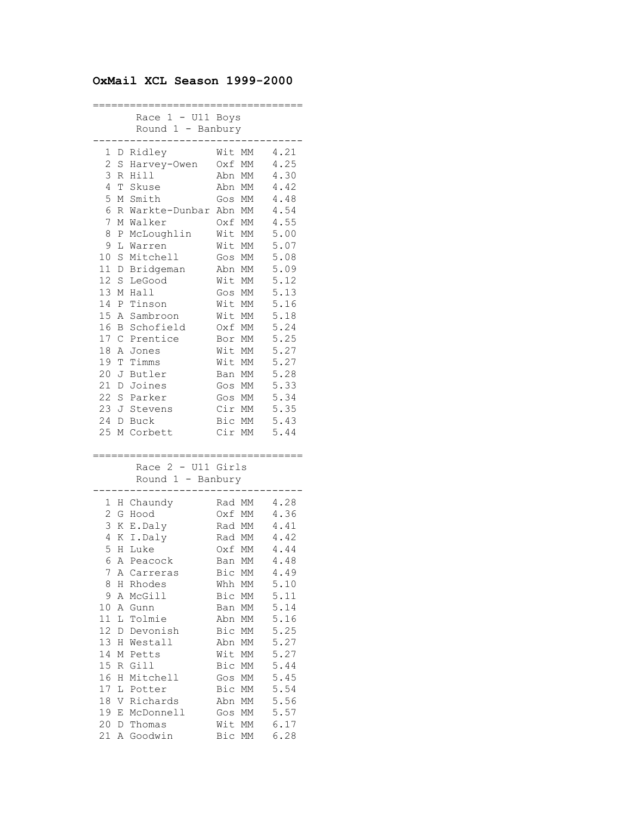## **OxMail XCL Season 1999-2000**

===================================== Race 1 - U11 Boys Round 1 - Banbury ---------------------------------- 1 D Ridley Wit MM 4.21 2 S Harvey-Owen Oxf MM 4.25 3 R Hill Abn MM 4.30 4 T Skuse Abn MM 4.42 5 M Smith Gos MM 4.48 6 R Warkte-Dunbar Abn MM 4.54 7 M Walker Oxf MM 4.55 8 P McLoughlin Wit MM 5.00 9 L Warren Wit MM 5.07 10 S Mitchell Gos MM 5.08 11 D Bridgeman Abn MM 5.09 12 S LeGood Wit MM 5.12 13 M Hall Gos MM 5.13<br>14 P Tinson Wit MM 5.16 14 P Tinson Wit MM 5.16 15 A Sambroon Wit MM 5.18 16 B Schofield Oxf MM 5.24 17 C Prentice Bor MM 5.25 18 A Jones Wit MM 5.27 19 T Timms Wit MM 5.27 20 J Butler Ban MM 5.28 21 D Joines Gos MM 5.33 22 S Parker Gos MM 5.34 23 J Stevens Cir MM 5.35 24 D Buck Bic MM 5.43 25 M Corbett Cir MM 5.44 ================================== Race 2 - U11 Girls Round 1 - Banbury ---------------------------------- 1 H Chaundy Rad MM 4.28 2 G Hood Oxf MM 4.36 3 K E.Daly Rad MM 4.41 4 K I.Daly Rad MM 4.42 5 H Luke Oxf MM 4.44 6 A Peacock Ban MM 4.48 7 A Carreras Bic MM 4.49 8 H Rhodes Whh MM 5.10 9 A McGill Bic MM 5.11 10 A Gunn Ban MM 5.14 11 L Tolmie Abn MM 5.16<br>12 D Devonish Bic MM 5.25<br>13 H Westall Abn MM 5.27 12 D Devonish Bic MM 5.25 13 H Westall Abn MM 5.27 14 M Petts Wit MM 5.27 15 R Gill Bic MM 5.44 16 H Mitchell Gos MM 5.45<br>17 L Potter Bic MM 5.54 17 L Potter Bic MM 5.54 18 V Richards Abn MM 5.56 19 E McDonnell Gos MM 5.57 20 D Thomas Wit MM 6.17 21 A Goodwin Bic MM 6.28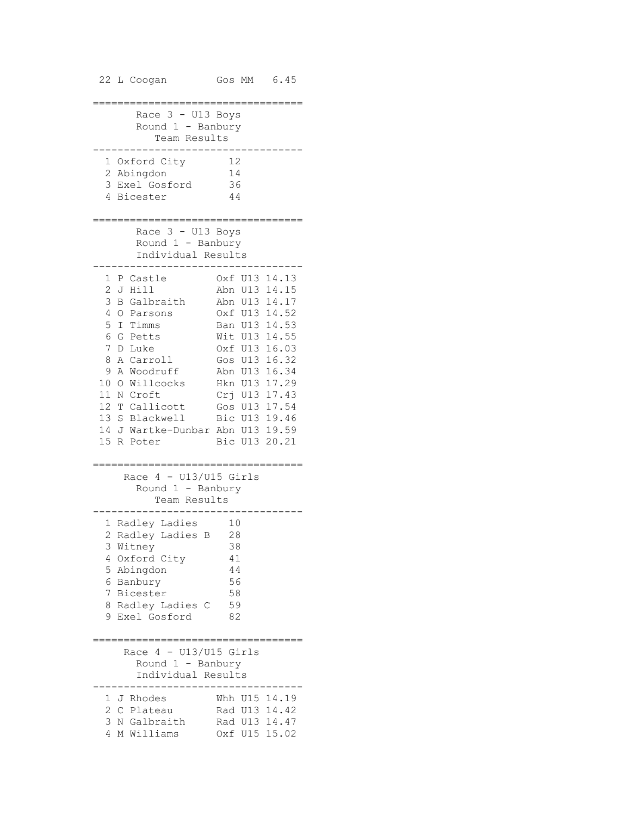====================================== Race 3 - U13 Boys Round  $1$  - Banbury Team Results ---------------------------------- 1 Oxford City 12 2 Abingdon 3 Exel Gosford 36 4 Bicester 44 ================================== Race 3 - U13 Boys Round 1 - Banbury Individual Results ---------------------------------- 1 P Castle Oxf U13 14.13 2 J Hill Abn U13 14.15 3 B Galbraith Abn U13 14.17 4 O Parsons Oxf U13 14.52 5 I Timms Ban U13 14.53 6 G Petts Wit U13 14.55 7 D Luke Oxf U13 16.03 8 A Carroll Gos U13 16.32 9 A Woodruff Abn U13 16.34 10 O Willcocks Hkn U13 17.29 11 N Croft Crj U13 17.43 12 T Callicott Gos U13 17.54 13 S Blackwell Bic U13 19.46 14 J Wartke-Dunbar Abn U13 19.59 15 R Poter Bic U13 20.21 ================================== Race 4 - U13/U15 Girls Round 1 - Banbury Team Results ---------------------------------- 1 Radley Ladies 10 2 Radley Ladies B 28 3 Witney 38 4 Oxford City 41<br>5 Abingdon 44 5 Abingdon 6 Banbury 56 7 Bicester 58 8 Radley Ladies C 59 9 Exel Gosford 82 ================================== Race  $4 - U13/U15$  Girls Round 1 - Banbury Individual Results ---------------------------------- 1 J Rhodes Whh U15 14.19 2 C Plateau Rad U13 14.42 3 N Galbraith Rad U13 14.47 4 M Williams Oxf U15 15.02

22 L Coogan Gos MM 6.45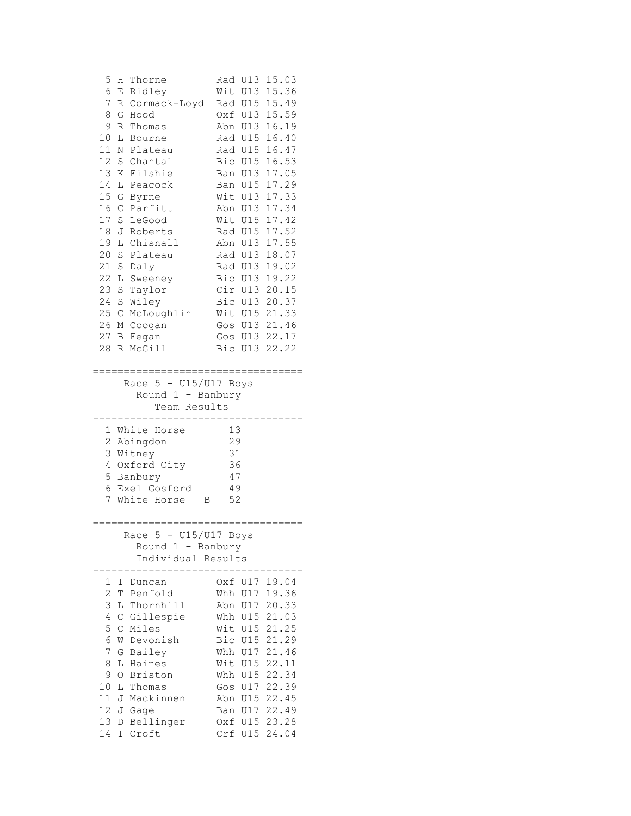| 5 H Thorne                          | Rad U13 15.03                      |
|-------------------------------------|------------------------------------|
| 6 E Ridley                          | Wit U13 15.36                      |
| 7<br>R Cormack-Loyd                 | Rad U15 15.49                      |
| 8<br>G Hood                         | Oxf U13 15.59                      |
| 9 R Thomas                          | Abn U13 16.19                      |
| 10 L Bourne                         | Rad U15 16.40                      |
| 11 N Plateau                        | Rad U15 16.47                      |
| 12 S Chantal                        | Bic U15 16.53                      |
| 13 K Filshie                        | Ban U13 17.05                      |
| 14 L Peacock                        | Ban U15 17.29                      |
| 15 G Byrne                          | Wit U13 17.33                      |
| 16 C Parfitt                        | Abn U13 17.34                      |
| 17 S LeGood                         | Wit U15 17.42                      |
| 18<br>J Roberts                     | Rad U15 17.52                      |
| 19<br>L Chisnall                    | Abn U13 17.55                      |
| 20<br>S Plateau                     | Rad U13 18.07                      |
| 21<br>S Daly                        | Rad U13 19.02                      |
| 22 L Sweeney                        | Bic U13 19.22                      |
| 23<br>S Taylor                      | Cir U13 20.15                      |
| 24 S Wiley                          | Bic U13 20.37                      |
| 25 C McLoughlin                     | Wit U15 21.33                      |
| 26 M Coogan                         | Gos U13 21.46                      |
| 27 B Fegan                          | Gos U13 22.17                      |
| 28 R McGill                         | Bic U13 22.22                      |
|                                     |                                    |
| Round $1 -$ Banbury<br>Team Results |                                    |
| 1 White Horse                       | 13                                 |
| 2 Abingdon                          | 29                                 |
| 3 Witney                            | 31                                 |
| 4 Oxford City                       | 36                                 |
| 5 Banbury<br>6 Exel Gosford         | 47<br>49                           |
| 7<br>White Horse B                  | 52                                 |
|                                     |                                    |
| Race $5 - U15/U17$ Boys             | :================================= |
| Round $1 -$ Banbury                 |                                    |
| Individual Results                  |                                    |
| 1 I Duncan                          | Oxf U17 19.04                      |
| $\overline{2}$<br>T Penfold         | Whh U17 19.36                      |
| 3<br>L Thornhill                    | Abn U17 20.33                      |
| 4<br>C Gillespie                    | Whh U15 21.03                      |
| 5<br>C Miles                        | Wit U15 21.25                      |
| 6<br>W Devonish                     | Bic U15 21.29                      |
| 7 <sup>1</sup><br>G Bailey          | Whh U17 21.46                      |
| L Haines<br>8                       | Wit U15 22.11                      |
| 0 Briston<br>9                      | Whh U15 22.34                      |
| L Thomas<br>10                      | Gos U17 22.39                      |
| 11<br>J Mackinnen                   | Abn U15 22.45                      |
| 12<br>J Gage                        | Ban U17 22.49                      |
| 13<br>D Bellinger                   | Oxf U15 23.28                      |
|                                     |                                    |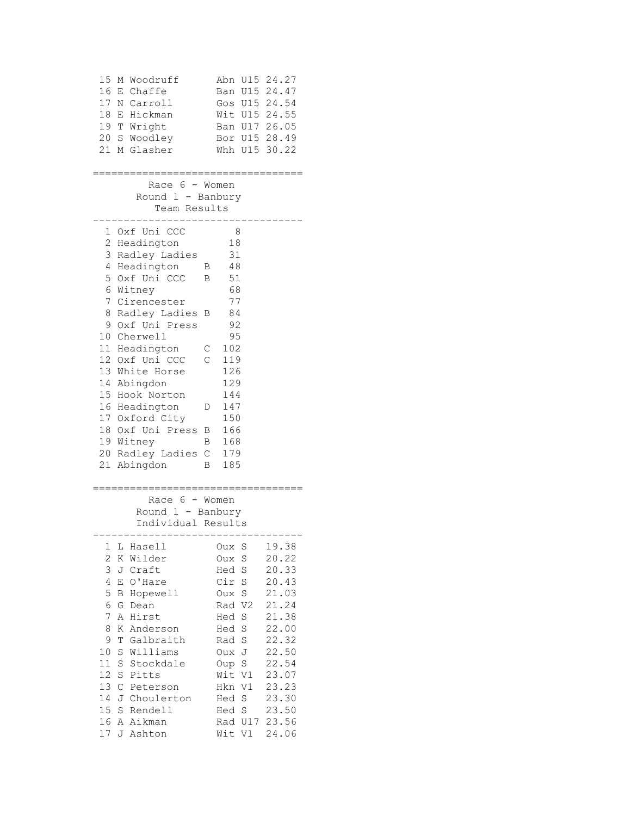| 15<br>M Woodruff<br>16<br>E Chaffe<br>17 N Carroll<br>18<br>E Hickman<br>19 T Wright<br>20 S Woodley<br>21 M Glasher<br>Race 6 - Women                                                                                                                                                                                                                                                                      | Abn U15 24.27<br>Ban U15 24.47<br>Gos U15 24.54<br>Wit U15 24.55<br>Ban U17 26.05<br>Bor U15 28.49<br>Whh U15 30.22                                                                                                                                                                                                                    |
|-------------------------------------------------------------------------------------------------------------------------------------------------------------------------------------------------------------------------------------------------------------------------------------------------------------------------------------------------------------------------------------------------------------|----------------------------------------------------------------------------------------------------------------------------------------------------------------------------------------------------------------------------------------------------------------------------------------------------------------------------------------|
| Round $1 -$ Banbury<br>Team Results                                                                                                                                                                                                                                                                                                                                                                         |                                                                                                                                                                                                                                                                                                                                        |
| 1 Oxf Uni CCC<br>$\mathbf{2}$<br>Headington<br>3<br>Radley Ladies<br>4<br>Headington<br>5<br>Oxf Uni CCC<br>6<br>Witney<br>7<br>Cirencester<br>8<br>Radley Ladies<br>Oxf Uni Press<br>9<br>10 Cherwell<br>11 Headington<br>12 Oxf Uni CCC<br>13 White Horse<br>14<br>Abingdon<br>15 Hook Norton<br>16 Headington<br>17 Oxford City<br>18<br>Oxf Uni Press B<br>19 Witney<br>20 Radley Ladies<br>21 Abingdon | 8<br>18<br>31<br>48<br>В<br>51<br>В<br>68<br>77<br>84<br>Β<br>92<br>95<br>102<br>С<br>$\overline{C}$<br>119<br>126<br>129<br>144<br>147<br>D<br>150<br>166<br>168<br>В<br>$\mathsf{C}$<br>179<br>185<br>В                                                                                                                              |
| Race 6 - Women<br>Round $1 -$ Banbury<br>Individual Results                                                                                                                                                                                                                                                                                                                                                 |                                                                                                                                                                                                                                                                                                                                        |
| Hasell<br>1<br>L<br>$\overline{c}$<br>Wilder<br>Κ<br>3<br>J<br>Craft<br>4<br>O'Hare<br>Ε<br>5<br>Hopewell<br>Β<br>6<br>G<br>Dean<br>7<br>Hirst<br>Α<br>8<br>Κ<br>Anderson<br>9<br>Т<br>Galbraith<br>10<br>S<br>Williams<br>$11\,$<br>S<br>Stockdale<br>12<br>S<br>Pitts<br>13<br>$\mathcal{C}$<br>Peterson<br>14<br>J<br>Choulerton<br>15<br>$\rm S$<br>Rendell<br>16<br>Aikman<br>Α<br>17<br>J<br>Ashton   | 19.38<br>Oux S<br>20.22<br>Oux<br>S<br>20.33<br>Hed S<br>Cir S<br>20.43<br>S<br>21.03<br>Oux<br>21.24<br>Rad V2<br>21.38<br>Hed S<br>22.00<br>Hed S<br>Rad S<br>22.32<br>22.50<br>Oux J<br>22.54<br>Oup S<br>23.07<br>Wit<br>V1<br>23.23<br>Hkn V1<br>23.30<br>Hed S<br>23.50<br>Hed<br>S<br>23.56<br>Rad<br>U17<br>Wit<br>V1<br>24.06 |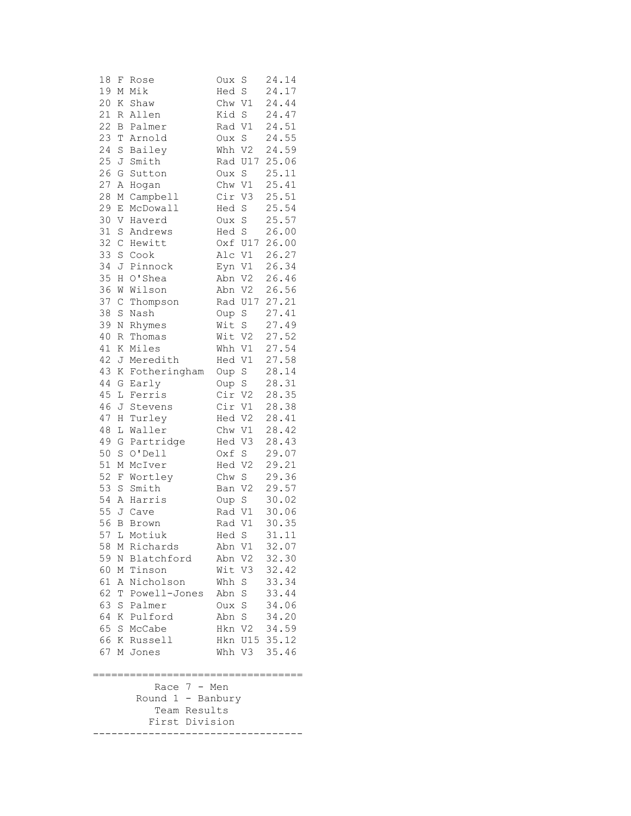| 18   | F                 | Rose                                               | Oux    | S              | 24.14         |
|------|-------------------|----------------------------------------------------|--------|----------------|---------------|
| 19   | $\mathbb M$       | Mik                                                | Hed    | S              | 24.17         |
| 20   | Κ                 | Shaw                                               | Chw V1 |                | 24.44         |
| 21   | R                 | Allen                                              | Kid    | S              | 24.47         |
| 22   | В                 | Palmer                                             | Rad    | V1             | 24.51         |
| 23   | T                 | Arnold                                             | Oux    | S              | 24.55         |
| 24   | S                 | Bailey                                             | Whh    | V2             | 24.59         |
| 25   | J                 | Smith                                              | Rad    | U17            | 25.06         |
| 26   | G                 | Sutton                                             | Oux    | S              | 25.11         |
| 27   | Α                 | Hogan                                              | Chw V1 |                | 25.41         |
| 28   | М                 | Campbell                                           | Cir    | V3             | 25.51         |
| 29   | Ε                 | McDowall                                           | Hed    | S              | 25.54         |
| 30   | V                 | Haverd                                             | Oux    | $\rm S$        | 25.57         |
| 31   | $\rm S$           | Andrews                                            | Hed S  |                | 26.00         |
| 32   | $\mathsf C$       | Hewitt                                             | Oxf    | U17            | 26.00         |
| 33   | $\rm S$           | Cook                                               | Alc    | V1             | 26.27         |
| 34   | J                 | Pinnock                                            | Eyn    | V1             | 26.34         |
| 35   | Η                 | O'Shea                                             | Abn    | V <sub>2</sub> | 26.46         |
| 36   |                   | Wilson                                             |        | V <sub>2</sub> | 26.56         |
| 37   | W<br>$\mathsf{C}$ |                                                    | Abn    | U17            | 27.21         |
| 38   |                   | Thompson                                           | Rad    |                |               |
|      | S                 | Nash                                               | Oup    | S              | 27.41         |
| 39   | Ν                 | Rhymes                                             | Wit    | S              | 27.49         |
| 40   | R                 | Thomas                                             | Wit    | V2             | 27.52         |
| 41   | Κ                 | Miles                                              | Whh    | V1             | 27.54         |
| 42   | J                 | Meredith                                           | Hed    | $\mathtt{V1}$  | 27.58         |
| 43   | К                 | Fotheringham                                       | Oup    | $\rm S$        | 28.14         |
| 44   | G                 | Early                                              | Oup    | $\mathbf S$    | 28.31         |
| 45   | L                 | Ferris                                             | Cir    | V <sub>2</sub> | 28.35         |
| 46   | J                 | Stevens                                            | Cir    | V1             | 28.38         |
| 47   | Η                 | Turley                                             | Hed    | V <sub>2</sub> | 28.41         |
| 48   | L                 | Waller                                             | Chw    | V1             | 28.42         |
| 49   | G                 | Partridge                                          | Hed    | V3             | 28.43         |
| 50   | $\rm S$           | O'Dell                                             | Oxf    | S              | 29.07         |
| 51   | М                 | McIver                                             | Hed    | V <sub>2</sub> | 29.21         |
| 52   | F                 | Wortley                                            | Chw    | S              | 29.36         |
| 53   | $\rm S$           | Smith                                              | Ban    | V <sub>2</sub> | 29.57         |
| 54   | Α                 | Harris                                             | Oup    | S              | 30.02         |
| 55   |                   | J Cave                                             | Rad    | $\mathtt{V1}$  | 30.06         |
| 56   | $\, {\bf B}$      | Brown                                              | Rad    | V1             | 30.35         |
| 57   |                   | L Motiuk                                           | Hed S  |                | 31.11         |
|      |                   | 58 M Richards                                      |        | Abn V1         | 32.07         |
| 59   |                   | N Blatchford                                       |        |                | Abn V2 32.30  |
|      |                   | 60 M Tinson                                        | Wit V3 |                | 32.42         |
| 61   | Α                 | Nicholson                                          | Whh S  |                | 33.34         |
|      |                   | 62 T Powell-Jones                                  | Abn S  |                | 33.44         |
| 63 S |                   | Palmer                                             | Oux S  |                | 34.06         |
|      |                   | 64 K Pulford                                       | Abn S  |                | 34.20         |
|      |                   | 65 S McCabe                                        |        |                | Hkn V2 34.59  |
|      |                   | 66 K Russell                                       |        |                | Hkn U15 35.12 |
|      |                   | 67 M Jones                                         |        |                | Whh V3 35.46  |
|      |                   |                                                    |        |                |               |
|      |                   | :===============================<br>Race $7 - Men$ |        |                |               |
|      |                   | Round $1 -$ Banbury                                |        |                |               |
|      |                   | Team Results                                       |        |                |               |
|      |                   | First Division                                     |        |                |               |
|      |                   |                                                    |        |                |               |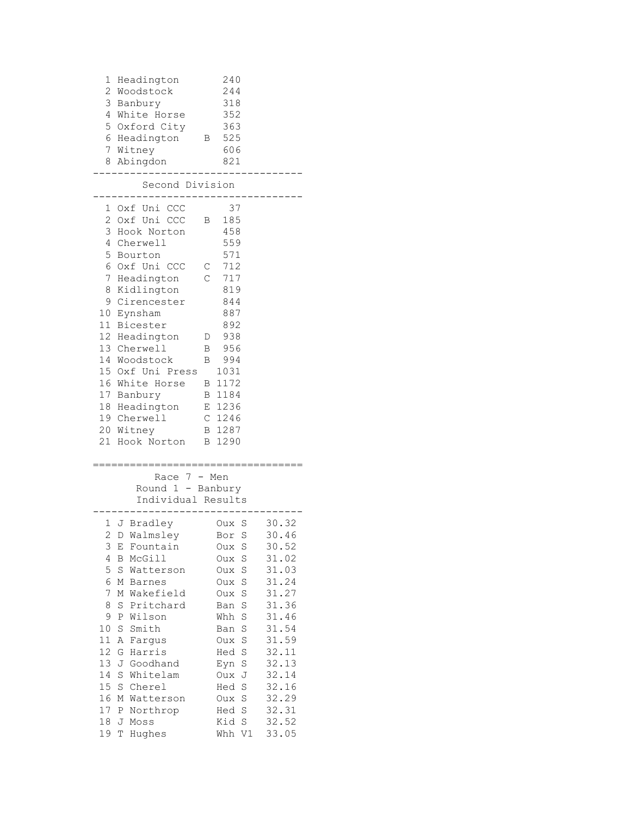| 1<br>2<br>3<br>4<br>5<br>6<br>8                       | Headington<br>Woodstock<br>Banbury<br>White Horse<br>Oxford City<br>Headington<br>7 Witney<br>Abingdon                                            | Β            | 240<br>244<br>318<br>352<br>363<br>525<br>606<br>821                     |                |
|-------------------------------------------------------|---------------------------------------------------------------------------------------------------------------------------------------------------|--------------|--------------------------------------------------------------------------|----------------|
|                                                       | Second Division                                                                                                                                   |              |                                                                          |                |
| 1<br>2<br>3<br>4<br>5<br>6<br>7<br>8<br>9<br>10<br>11 | Oxf Uni CCC<br>Oxf Uni CCC<br>Hook Norton<br>Cherwell<br>Bourton<br>Oxf Uni CCC<br>Headington<br>Kidlington<br>Cirencester<br>Eynsham<br>Bicester | В<br>С<br>Ċ  | 37<br>185<br>458<br>559<br>571<br>712<br>717<br>819<br>844<br>887<br>892 |                |
|                                                       | 12 Headington                                                                                                                                     | D            | 938                                                                      |                |
|                                                       | 13 Cherwell<br>14 Woodstock                                                                                                                       | В<br>В       | 956<br>994                                                               |                |
| 15<br>16                                              | Oxf Uni Press<br>White Horse                                                                                                                      | $\mathbf{B}$ | 1031<br>1172                                                             |                |
|                                                       | 17 Banbury                                                                                                                                        |              | B 1184                                                                   |                |
|                                                       | 18 Headington<br>19 Cherwell                                                                                                                      |              | E 1236<br>$C$ 1246                                                       |                |
|                                                       | 20 Witney                                                                                                                                         |              | B 1287                                                                   |                |
|                                                       | 21 Hook Norton                                                                                                                                    | B            | 1290                                                                     |                |
|                                                       | Race<br>Round $1 -$ Banbury<br>Individual Results                                                                                                 |              | $7 - Men$                                                                |                |
|                                                       | 1 J Bradley                                                                                                                                       |              | S<br>Oux                                                                 | 30.32          |
| 2<br>3                                                | D<br>Walmsley<br>Fountain<br>Ε                                                                                                                    |              | Bor<br>S<br>S<br>Oux                                                     | 30.46<br>30.52 |
| 4                                                     | McGill<br>Β                                                                                                                                       |              | $\rm S$<br>Oux                                                           | 31.02          |
| 5                                                     | S<br>Watterson                                                                                                                                    |              | $\rm S$<br>Oux                                                           | 31.03          |
| 6<br>7                                                | М<br><b>Barnes</b><br>Wakefield<br>Μ                                                                                                              |              | S<br><b>Oux</b><br>$\rm S$<br>Oux                                        | 31.24<br>31.27 |
| 8                                                     | S<br>Pritchard                                                                                                                                    |              | S<br>Ban                                                                 | 31.36          |
| 9                                                     | Wilson<br>Ρ                                                                                                                                       |              | Whh<br>S                                                                 | 31.46          |
| 10                                                    | $\rm S$<br>Smith                                                                                                                                  |              | $\rm S$<br>Ban                                                           | 31.54          |
| 11<br>12                                              | Α<br>Fargus<br>Harris<br>G                                                                                                                        |              | $\rm S$<br>Oux<br>$\rm S$<br>Hed                                         | 31.59<br>32.11 |
| 13                                                    | J<br>Goodhand                                                                                                                                     |              | S<br>Eyn                                                                 | 32.13          |
| 14                                                    | $\rm S$<br>Whitelam                                                                                                                               |              | J<br>Oux                                                                 | 32.14          |
| 15<br>16                                              | S<br>Cherel<br>Watterson<br>Μ                                                                                                                     |              | S<br>Hed<br>$\rm S$<br>Oux                                               | 32.16<br>32.29 |
| 17                                                    | Northrop<br>Ρ                                                                                                                                     |              | S<br>Hed                                                                 | 32.31          |
| 18                                                    | J<br>Moss                                                                                                                                         |              | Kid<br>S                                                                 | 32.52          |
| 19                                                    | Hughes<br>Τ                                                                                                                                       |              | V1<br>Whh                                                                | 33.05          |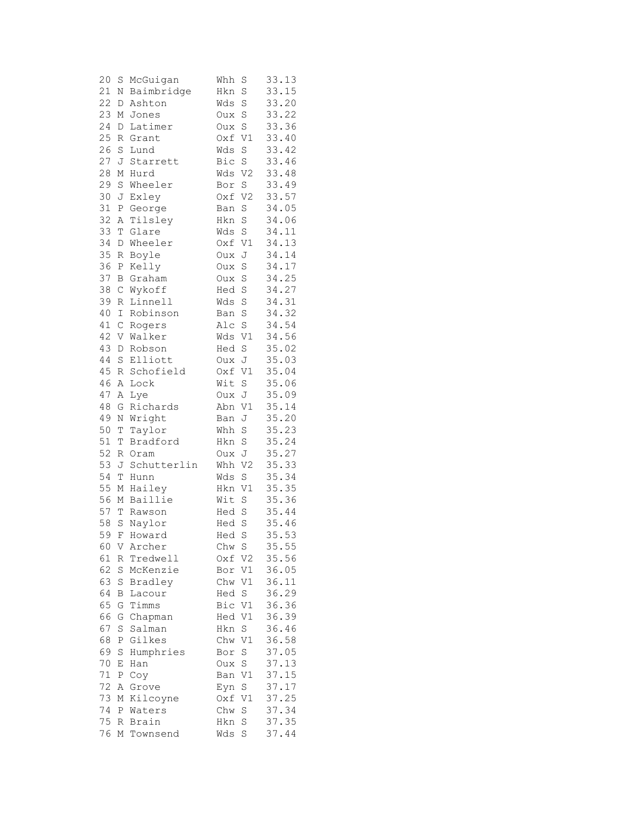| 20       | S           | McGuigan          | Whh    | S              | 33.13          |
|----------|-------------|-------------------|--------|----------------|----------------|
| 21       | Ν           | Baimbridge        | Hkn    | S              | 33.15          |
| 22       | D           | Ashton            | Wds    | $\rm S$        | 33.20          |
| 23       | М           | Jones             | Oux    | S              | 33.22          |
| 24       | D           | Latimer           | Oux    | S              | 33.36          |
| 25       | R           | Grant             | Oxf    | V1             | 33.40          |
| 26       | S           | Lund              | Wds    | $\rm S$        | 33.42          |
| 27       | J           | Starrett          | Bic    | S              | 33.46          |
| 28       | М           | Hurd              | Wds    | V <sub>2</sub> | 33.48          |
| 29       | $\rm S$     | Wheeler           | Bor    | S              | 33.49          |
| 30       | J           | Exley             | Oxf    | V <sub>2</sub> | 33.57          |
| 31       | Ρ           | George            | Ban    | $\rm S$        | 34.05          |
| 32       | Α           | Tilsley           | Hkn    | S              | 34.06          |
| 33       | Τ           | Glare             | Wds    | S              | 34.11          |
| 34       | D           | Wheeler           | Oxf    | V1             | 34.13          |
| 35       | R           | Boyle             | Oux    | J              | 34.14          |
| 36       | Ρ           | Kelly             | Oux    | S              | 34.17          |
| 37       | B           | Graham            | Oux    | $\rm S$        | 34.25          |
| 38       | $\mathsf C$ | Wykoff            | Hed    | S              | 34.27          |
| 39       | $\mathbb R$ | Linnell           | Wds    | S              | 34.31          |
| 40       | Ι           | Robinson          | Ban    | S              | 34.32          |
| 41       | $\mathsf C$ | Rogers            | Alc    | $\rm S$        | 34.54          |
| 42       | V           | Walker            | Wds    | V1             | 34.56          |
| 43       | D           | Robson            | Hed    | S              | 35.02          |
| 44       | $\rm S$     | Elliott           | Oux    | J              | 35.03          |
| 45       | R           | Schofield         | Oxf    | $\mathtt{V1}$  | 35.04          |
| 46       | Α           | Lock              | Wit    | $\rm S$        | 35.06          |
| 47       | Α           | Lye               | Oux    | J              | 35.09          |
| $4\,8$   | G           | Richards          | Abn    | $\mathtt{V1}$  | 35.14          |
| 49       | Ν           | Wright            | Ban    | J              | 35.20          |
| 50       | Τ           | Taylor            | Whh    | S              | 35.23          |
| 51       | Τ           | Bradford          | Hkn    | S              | 35.24          |
| 52       | R           | Oram              | Oux    | J              | 35.27          |
| 53       | J           | Schutterlin       | Whh    | V <sub>2</sub> | 35.33          |
| 54       | T           | Hunn              | Wds    | S              | 35.34          |
| 55       | М           | Hailey            | Hkn    | $\mathtt{V1}$  | 35.35          |
| 56       | М           | Baillie           | Wit    | S              | 35.36          |
| 57       | Т           | Rawson            | Hed    | $\rm S$        | 35.44          |
| 58       | S           | Naylor            | Hed    | S              | 35.46          |
| 59       | F           | Howard            | Hed    | S              | 35.53          |
| 60       | V           | Archer            | Chw    | S              | 35.55          |
| 61       | R           | Tredwell          | Oxf V2 |                | 35.56          |
| 62       | S           | McKenzie          | Bor V1 |                | 36.05          |
| 63       | S           | Bradley           | Chw    | $\mathtt{V1}$  | 36.11          |
| 64       | В           | Lacour            | Hed S  |                | 36.29          |
| 65       | G           | Timms             | Bic V1 |                | 36.36          |
| 66       | G           |                   | Hed    | V1             | 36.39          |
| 67       | S           | Chapman<br>Salman | Hkn    | S              | 36.46          |
| 68       | Ρ           | Gilkes            | Chw    | V1             | 36.58          |
| 69       | S           | Humphries         | Bor    | S              | 37.05          |
|          |             |                   |        |                |                |
| 70<br>71 | Ε           | Han               | Oux    | S              | 37.13          |
|          | Ρ           | Coy               | Ban V1 |                | 37.15          |
| 72       | Α           | Grove             | Eyn    | S              | 37.17<br>37.25 |
| 73       | М           | Kilcoyne          | Oxf V1 |                | 37.34          |
| 74       | Ρ           | Waters            | Chw    | $\rm S$        |                |
| 75       | R           | Brain             | Hkn    | S              | 37.35          |
| 76       | М           | Townsend          | Wds    | S              | 37.44          |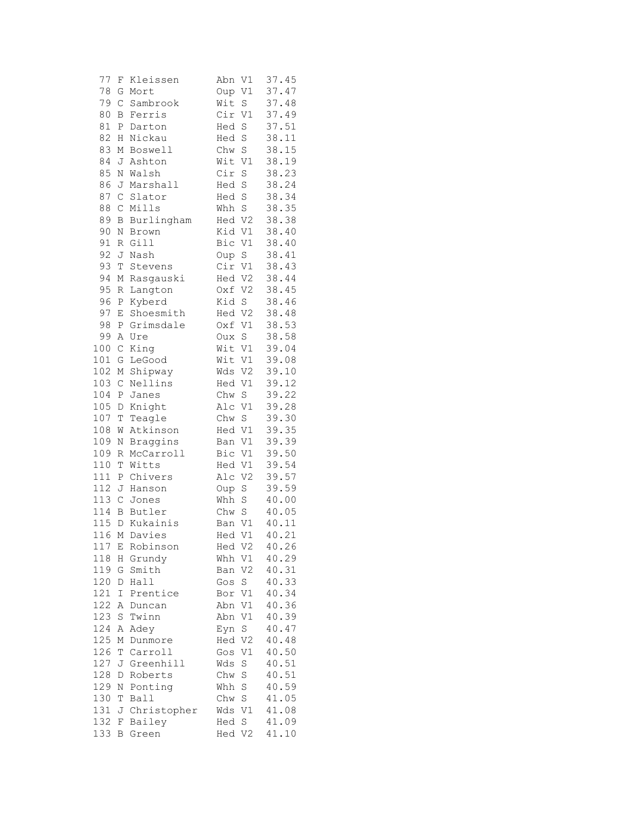| 77  | F             | Kleissen     | Abn<br>V1             | 37.45 |
|-----|---------------|--------------|-----------------------|-------|
| 78  | G             | Mort         | V1<br>Oup             | 37.47 |
| 79  | $\mathcal{C}$ | Sambrook     | Wit<br>S              | 37.48 |
| 80  | Β             | Ferris       | Cir<br>V1             | 37.49 |
| 81  | Ρ             | Darton       | S<br>Hed              | 37.51 |
| 82  | Η             | Nickau       | $\rm S$<br>Hed        | 38.11 |
| 83  | М             | Boswell      | S<br>Chw              | 38.15 |
| 84  | J             | Ashton       | Wit<br>V1             | 38.19 |
| 85  | $\rm N$       | Walsh        | Cir<br>S              | 38.23 |
| 86  | J             | Marshall     | Hed S                 | 38.24 |
| 87  | $\mathcal{C}$ | Slator       | Hed S                 | 38.34 |
| 88  | $\mathcal{C}$ | Mills        | $\rm S$<br>Whh        | 38.35 |
| 89  | В             | Burlingham   | Hed V2                | 38.38 |
| 90  | Ν             | Brown        | Kid<br>V1             | 38.40 |
| 91  | R             | Gill         | Bic<br>V1             | 38.40 |
| 92  | J             | Nash         | Oup S                 | 38.41 |
| 93  | T             | Stevens      | Cir V1                | 38.43 |
| 94  | М             | Rasgauski    | Hed<br>V <sub>2</sub> | 38.44 |
| 95  | R             | Langton      | V <sub>2</sub><br>Oxf | 38.45 |
| 96  | Ρ             | Kyberd       | Kid<br>S              | 38.46 |
| 97  | Ε             | Shoesmith    | V <sub>2</sub><br>Hed | 38.48 |
| 98  | Ρ             | Grimsdale    | V1<br>Oxf             | 38.53 |
| 99  | Α             | Ure          | S<br>Oux              | 38.58 |
| 100 | $\mathsf C$   | King         | Wit<br>V1             | 39.04 |
| 101 | G             | LeGood       | Wit<br>V1             | 39.08 |
| 102 | М             | Shipway      | V <sub>2</sub><br>Wds | 39.10 |
| 103 | $\mathsf{C}$  | Nellins      | $\mathtt{V1}$<br>Hed  | 39.12 |
| 104 | $\, {\bf P}$  | Janes        | S<br>Chw              | 39.22 |
| 105 | D             | Knight       | Alc<br>V1             | 39.28 |
| 107 | Τ             | Teagle       | S<br>Chw              | 39.30 |
| 108 | W             | Atkinson     | V1<br>Hed             | 39.35 |
| 109 | N             | Braggins     | V1<br>Ban             | 39.39 |
| 109 | R             | McCarroll    | Bic<br>V1             | 39.50 |
| 110 | Τ             | Witts        | Hed<br>V1             | 39.54 |
| 111 | Ρ             | Chivers      | V <sub>2</sub><br>Alc | 39.57 |
| 112 | J             | Hanson       | $\rm S$<br>Oup        | 39.59 |
| 113 | $\mathsf C$   | Jones        | $\rm S$<br>Whh        | 40.00 |
| 114 | В             | Butler       | S<br>Chw              | 40.05 |
| 115 | D             | Kukainis     | $\mathtt{V1}$<br>Ban  | 40.11 |
|     |               | 116 M Davies | Hed<br>V1             | 40.21 |
| 117 | Ε             | Robinson     | V <sub>2</sub><br>Hed | 40.26 |
| 118 | Η             | Grundy       | Whh<br>V1             | 40.29 |
| 119 | G             | Smith        | V <sub>2</sub><br>Ban | 40.31 |
| 120 | D             | Hall         | Gos<br>S              | 40.33 |
| 121 | Ι             | Prentice     | V1<br>Bor             | 40.34 |
| 122 | Α             | Duncan       | V1<br>Abn             | 40.36 |
| 123 | S             | Twinn        | V1<br>Abn             | 40.39 |
| 124 | Α             | Adey         | S<br>Eyn              | 40.47 |
| 125 | Μ             | Dunmore      | Hed<br>V2             | 40.48 |
| 126 | Τ             | Carroll      | V1<br>Gos             | 40.50 |
| 127 | J             | Greenhill    | $\rm S$<br>Wds        | 40.51 |
| 128 | D             | Roberts      | $\mathbb S$<br>Chw    | 40.51 |
| 129 | Ν             | Ponting      | $\mathbf S$<br>Whh    | 40.59 |
| 130 | Т             | Ball         | Chw S                 | 41.05 |
| 131 | J             | Christopher  | Wds V1                | 41.08 |
| 132 | F             | Bailey       | Hed<br>S              | 41.09 |
| 133 | В             | Green        | Hed V2                | 41.10 |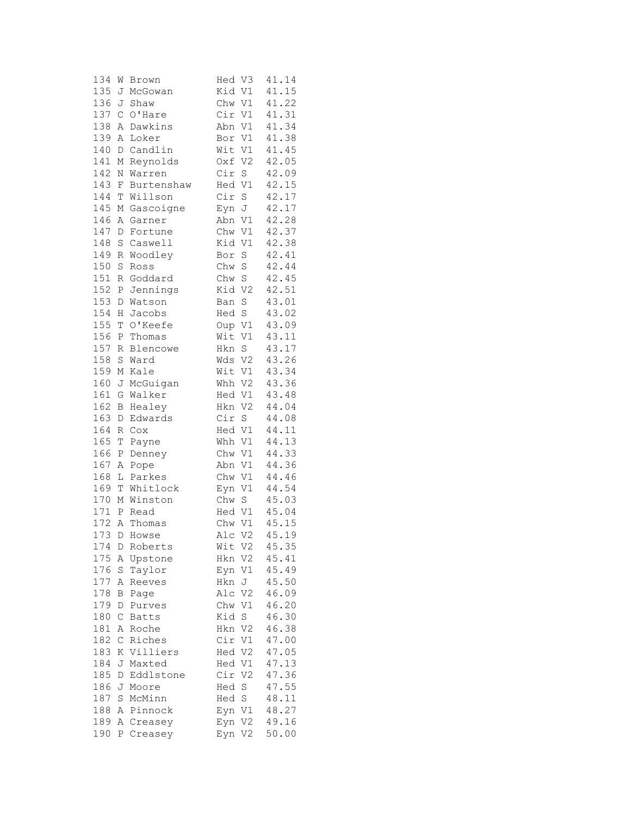| 134 | W           | Brown        | Hed V3                    | 41.14 |
|-----|-------------|--------------|---------------------------|-------|
| 135 | J           | McGowan      | Kid V1                    | 41.15 |
| 136 | J           | Shaw         | Chw V1                    | 41.22 |
| 137 | С           | O'Hare       | Cir V1                    | 41.31 |
| 138 | Α           | Dawkins      | Abn V1                    | 41.34 |
| 139 | Α           | Loker        | Bor V1                    | 41.38 |
| 140 | D           | Candlin      | Wit V1                    | 41.45 |
| 141 | М           | Reynolds     | Oxf V2                    | 42.05 |
| 142 | $\rm N$     | Warren       | Cir S                     | 42.09 |
|     |             |              |                           | 42.15 |
| 143 | F           | Burtenshaw   | Hed V1                    |       |
| 144 | $\mathbb T$ | Willson      | Cir<br>$\operatorname{S}$ | 42.17 |
| 145 | М           | Gascoigne    | Eyn J                     | 42.17 |
| 146 | Α           | Garner       | Abn V1                    | 42.28 |
| 147 | D           | Fortune      | Chw V1                    | 42.37 |
| 148 | $\rm S$     | Caswell      | Kid V1                    | 42.38 |
| 149 | R           | Woodley      | Bor<br>$\mathbb S$        | 42.41 |
| 150 | $\rm S$     | Ross         | Chw<br>$\mathbf S$        | 42.44 |
| 151 | R           | Goddard      | Chw S                     | 42.45 |
| 152 | Ρ           | Jennings     | Kid V2                    | 42.51 |
| 153 | D           | Watson       | $\rm S$<br>Ban            | 43.01 |
| 154 | Η           | Jacobs       | Hed S                     | 43.02 |
| 155 | T           | O'Keefe      | Oup V1                    | 43.09 |
| 156 | Ρ           | Thomas       | Wit<br>V1                 | 43.11 |
| 157 | R           | Blencowe     | Hkn S                     | 43.17 |
| 158 | $\mathbf S$ | Ward         | Wds V2                    | 43.26 |
| 159 | М           | Kale         | Wit V1                    | 43.34 |
| 160 | J           | McGuigan     | Whh V2                    | 43.36 |
| 161 | G           | Walker       | Hed V1                    | 43.48 |
| 162 | В           | Healey       | Hkn V2                    | 44.04 |
| 163 | D           | Edwards      | Cir S                     | 44.08 |
| 164 | R           | Cox          | Hed V1                    | 44.11 |
| 165 | $\mathbb T$ | Payne        | Whh V1                    | 44.13 |
| 166 |             | Denney       | Chw V1                    | 44.33 |
| 167 | Ρ           |              |                           |       |
| 168 | Α           | Pope         | Abn V1                    | 44.36 |
| 169 | L           | Parkes       | Chw V1                    | 44.46 |
|     | T           | Whitlock     | Eyn V1                    | 44.54 |
| 170 |             | M Winston    | Chw S                     | 45.03 |
| 171 | P           | Read         | Hed V1                    | 45.04 |
| 172 | A           | Thomas       | Chw V1                    | 45.15 |
|     |             | 173 D Howse  | Alc V2                    | 45.19 |
| 174 | D           | Roberts      | Wit<br>V2                 | 45.35 |
| 175 | Α           | Upstone      | Hkn<br>V2                 | 45.41 |
| 176 | S           | Taylor       | Eyn<br>V1                 | 45.49 |
| 177 | Α           | Reeves       | Hkn<br>J                  | 45.50 |
| 178 | Β           | Page         | Alc V2                    | 46.09 |
| 179 | D           | Purves       | Chw<br>V1                 | 46.20 |
| 180 | $\mathsf C$ | <b>Batts</b> | Kid<br>S                  | 46.30 |
| 181 | Α           | Roche        | V <sub>2</sub><br>Hkn     | 46.38 |
| 182 | C           | Riches       | Cir<br>V1                 | 47.00 |
| 183 | Κ           | Villiers     | Hed V2                    | 47.05 |
| 184 | J           | Maxted       | Hed V1                    | 47.13 |
| 185 | D           | Eddlstone    | V <sub>2</sub><br>Cir     | 47.36 |
| 186 | J           | Moore        | Hed<br>S                  | 47.55 |
| 187 | $\rm S$     | McMinn       | Hed S                     | 48.11 |
| 188 | Α           | Pinnock      | Eyn V1                    | 48.27 |
| 189 | Α           | Creasey      | Eyn V2                    | 49.16 |
| 190 | Ρ           | Creasey      | V2<br>Eyn                 | 50.00 |
|     |             |              |                           |       |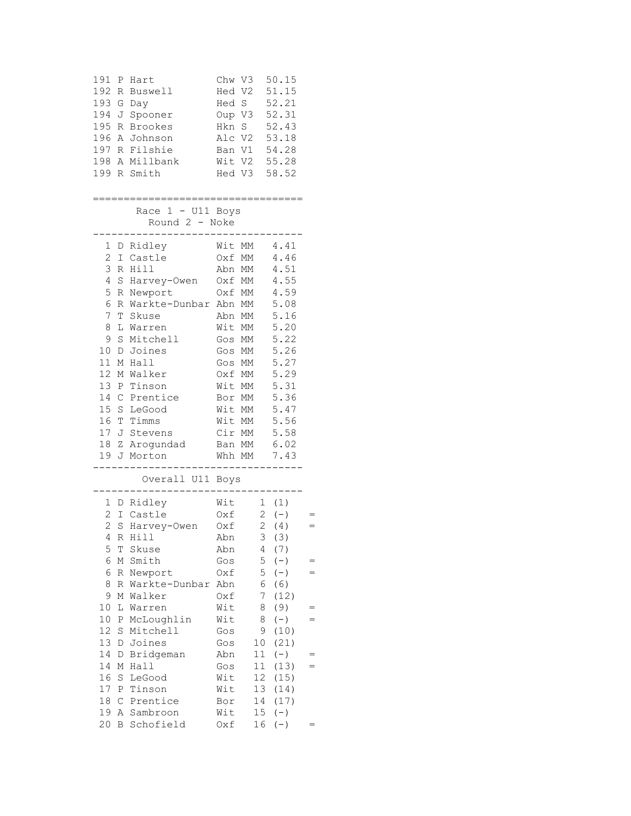| 191<br>192<br>193<br>194<br>195<br>196<br>197<br>198<br>199   | Ρ<br>R<br>G<br>J<br>R<br>Α<br>Α<br>R                                     | Hart<br><b>Buswell</b><br>Day<br>Spooner<br>Brookes<br>Johnson<br>R Filshie<br>Millbank<br>Smith                | Chw V3<br>Hed V2<br>Hed S<br>Oup V3<br>Hkn S<br>Alc V2<br>Ban V1<br>Wit V2<br>Hed V3 |                                                    | 50.15<br>51.15<br>52.21<br>52.31<br>52.43<br>53.18<br>54.28<br>55.28<br>58.52        |     |
|---------------------------------------------------------------|--------------------------------------------------------------------------|-----------------------------------------------------------------------------------------------------------------|--------------------------------------------------------------------------------------|----------------------------------------------------|--------------------------------------------------------------------------------------|-----|
|                                                               |                                                                          | Race $1 - U11$ Boys                                                                                             |                                                                                      |                                                    |                                                                                      |     |
|                                                               |                                                                          | Round 2 - Noke                                                                                                  |                                                                                      |                                                    |                                                                                      |     |
| 1<br>$\overline{c}$<br>3<br>4<br>5<br>6<br>7<br>8             | D<br>Ι<br>R<br>$\rm S$<br>R<br>R<br>T<br>L                               | Ridley<br>Castle<br>Hill<br>Harvey-Owen<br>Newport<br>Warkte-Dunbar<br>Skuse<br>Warren                          | Wit<br>Oxf<br>Abn<br>Oxf MM<br>Oxf MM<br>Abn MM<br>Abn<br>Wit                        | МM<br>МM<br>МM<br>МM<br>МM                         | 4.41<br>4.46<br>4.51<br>4.55<br>4.59<br>5.08<br>5.16<br>5.20                         |     |
| 9<br>10<br>11<br>12<br>13<br>14<br>15<br>16<br>17<br>18<br>19 | S<br>D<br>Μ<br>М<br>Ρ<br>$\mathbb{C}$<br>$\mathbf S$<br>Т<br>J<br>Ζ<br>J | Mitchell<br>Joines<br>Hall<br>Walker<br>Tinson<br>Prentice<br>LeGood<br>Timms<br>Stevens<br>Arogundad<br>Morton | Gos<br>Gos<br>Gos<br>0xf<br>Wit MM<br>Bor<br>Wit<br>Wit<br>Cir<br>Ban<br>Whh MM      | МM<br>МM<br>МM<br>MM<br>МM<br>МM<br>МM<br>МM<br>МM | 5.22<br>5.26<br>5.27<br>5.29<br>5.31<br>5.36<br>5.47<br>5.56<br>5.58<br>6.02<br>7.43 |     |
|                                                               |                                                                          | Overall U11 Boys                                                                                                |                                                                                      |                                                    |                                                                                      |     |
| 1<br>$\overline{2}$<br>$\overline{2}$<br>4                    | Ι<br>S<br>R                                                              | D Ridley<br>Castle<br>Harvey-Owen<br>Hill                                                                       | Wit<br>Oxf<br>Oxf<br>Abn                                                             | $\overline{2}$<br>$\overline{c}$<br>3              | 1(1)<br>$(-)$<br>(4)<br>(3)                                                          |     |
| 5<br>6<br>6<br>8<br>9                                         | Τ<br>М<br>R<br>R<br>Μ                                                    | Skuse<br>Smith<br>Newport<br>Warkte-Dunbar<br>Walker                                                            | Abn<br>Gos<br>Oxf<br>Abn<br>Oxf                                                      | 4<br>5<br>5<br>6<br>7                              | (7)<br>$(-)$<br>$(-)$<br>(6)<br>(12)                                                 |     |
| 10<br>10<br>12<br>13<br>14                                    | L<br>$\, {\bf P}$<br>S<br>D<br>D                                         | Warren<br>McLoughlin<br>Mitchell<br>Joines<br>Bridgeman                                                         | Wit<br>Wit<br>Gos<br>Gos<br>Abn                                                      | 8<br>8<br>9<br>10<br>11                            | (9)<br>$(\,-\,)$<br>(10)<br>(21)<br>$(-)$                                            | $=$ |
| 14<br>16<br>17<br>18                                          | Μ<br>$\rm S$<br>Ρ<br>$\mathcal{C}$                                       | Hall<br>LeGood<br>Tinson<br>Prentice                                                                            | Gos<br>Wit<br>Wit<br>Bor                                                             | 11<br>12<br>13<br>14                               | (13)<br>(15)<br>(14)<br>(17)                                                         |     |
| 19<br>20                                                      | Α<br>Β                                                                   | Sambroon<br>Schofield                                                                                           | Wit<br>0xf                                                                           | 15<br>16                                           | $(-)$<br>$(-)$                                                                       |     |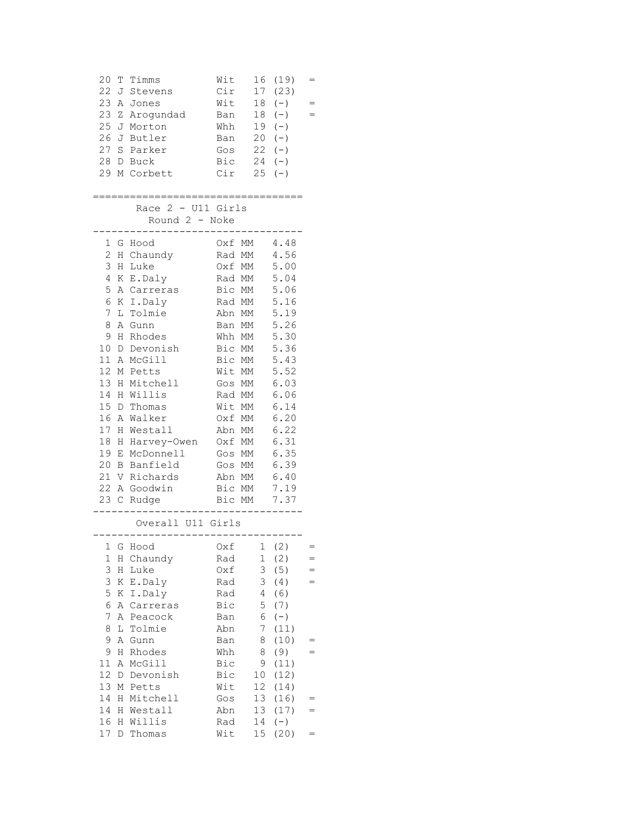| 20<br>22<br>23 A<br>23<br>26J<br>27 S<br>28 D                                                                                                      | Τ<br>Timms<br>J<br>Stevens<br>Jones<br>Ζ<br>Arogundad<br>25 J Morton<br>Butler<br>Parker<br>Buck<br>29 M Corbett                                                                                                                                                                                                                                   | Wit<br>16<br>Cir<br>17<br>18<br>Wit<br>18<br>Ban<br>19<br>Whh<br>20<br>Ban<br>22<br>Gos<br>Bic<br>Cir<br>---                                                                                                                       | (19)<br>(23)<br>$(-)$<br>$(-)$<br>$(-)$<br>$(-)$<br>$(-)$<br>$24 (-)$<br>$25( - )$                                                                                                   |     |
|----------------------------------------------------------------------------------------------------------------------------------------------------|----------------------------------------------------------------------------------------------------------------------------------------------------------------------------------------------------------------------------------------------------------------------------------------------------------------------------------------------------|------------------------------------------------------------------------------------------------------------------------------------------------------------------------------------------------------------------------------------|--------------------------------------------------------------------------------------------------------------------------------------------------------------------------------------|-----|
|                                                                                                                                                    | Race 2 - U11 Girls<br>Round $2 - Note$                                                                                                                                                                                                                                                                                                             |                                                                                                                                                                                                                                    |                                                                                                                                                                                      |     |
| $\mathbf{2}$<br>3<br>4<br>5<br>6<br>7<br>8<br>9<br>10<br>11<br>12 <sup>°</sup><br>13<br>14<br>15 D<br>16 A<br>17 H<br>18<br>19<br>20<br>21<br>23 C | 1 G Hood<br>Η<br>Chaundy<br>Η<br>Luke<br>Κ<br>E.Daly<br>Carreras<br>Α<br>Κ<br>I.Daly<br>L<br>Tolmie<br>A Gunn<br>Η<br>Rhodes<br>$\mathbb{D}$<br>Devonish<br>McGill<br>A<br>М<br>Petts<br>H<br>Mitchell<br>Willis<br>H<br>Thomas<br>Walker<br>Westall<br>H<br>Harvey-Owen<br>Е<br>McDonnell<br>Banfield<br>В<br>V Richards<br>22 A Goodwin<br>Rudge | Oxf MM<br>Rad MM<br>Oxf MM<br>Rad MM<br>Bic MM<br>Rad MM<br>Abn MM<br>Ban MM<br>Whh MM<br>Bic MM<br>Bic MM<br>Wit MM<br>Gos MM<br>Rad MM<br>Wit MM<br>Oxf MM<br>Abn MM<br>Oxf MM<br>Gos MM<br>Gos MM<br>Abn MM<br>Bic MM<br>Bic MM | 4.48<br>4.56<br>5.00<br>5.04<br>5.06<br>5.16<br>5.19<br>5.26<br>5.30<br>5.36<br>5.43<br>5.52<br>6.03<br>6.06<br>6.14<br>6.20<br>6.22<br>6.31<br>6.35<br>6.39<br>6.40<br>7.19<br>7.37 |     |
|                                                                                                                                                    | Overall U11 Girls                                                                                                                                                                                                                                                                                                                                  |                                                                                                                                                                                                                                    |                                                                                                                                                                                      |     |
| 1<br>$\mathbf 1$<br>3<br>3<br>5<br>6                                                                                                               | G<br>Hood<br>Η<br>Chaundy<br>Luke<br>Η<br>E.Daly<br>Κ<br>I.Daly<br>Κ<br>Α<br>Carreras                                                                                                                                                                                                                                                              | Oxf<br>1<br>$\mathbf 1$<br>Rad<br>3<br>Oxf<br>3<br>Rad<br>4<br>Rad<br>5<br>Bic                                                                                                                                                     | (2)<br>(2)<br>(5)<br>(4)<br>(6)<br>(7)                                                                                                                                               | $=$ |
| 7<br>8<br>9<br>9<br>11<br>12                                                                                                                       | Α<br>Peacock<br>L<br>Tolmie<br>Α<br>Gunn<br>Η<br>Rhodes<br>Α<br>McGill<br>Devonish<br>D                                                                                                                                                                                                                                                            | 6<br>Ban<br>7<br>Abn<br>8<br>Ban<br>8<br>Whh<br>9<br>Bic<br>Bic<br>10                                                                                                                                                              | $(-)$<br>(11)<br>(10)<br>(9)<br>(11)<br>(12)                                                                                                                                         |     |
| 13<br>14<br>14<br>16<br>17                                                                                                                         | Μ<br>Petts<br>Mitchell<br>Η<br>Westall<br>Η<br>Willis<br>Η<br>Thomas<br>D                                                                                                                                                                                                                                                                          | Wit<br>12<br>13<br>Gos<br>Abn<br>13<br>14<br>Rad<br>Wit<br>15                                                                                                                                                                      | (14)<br>(16)<br>(17)<br>$(-)$<br>(20)                                                                                                                                                |     |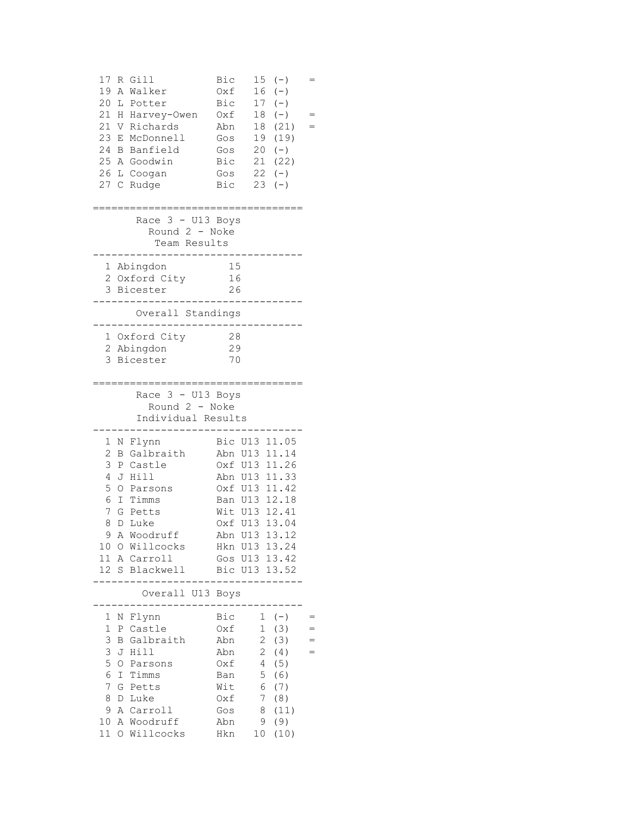| 17<br>19<br>20<br>21<br>21<br>23<br>24<br>25 A<br>27 C          | Gill<br>R<br>Α<br>Walker<br>Potter<br>L<br>Η<br>Harvey-Owen<br>Richards<br>V<br>Е<br>McDonnell<br>Banfield<br>Β<br>Goodwin<br>26 L Coogan<br>Rudge                                  | Bic<br>15<br>$(-)$<br>16<br>Oxf<br>$(-)$<br>17<br>$(-)$<br>Bic<br>$(-)$<br>18<br>Oxf<br>(21)<br>Abn<br>18<br>19<br>(19)<br>Gos<br>20<br>$(-)$<br>Gos<br>Bic<br>21<br>(22)<br>22<br>Gos<br>$(-)$<br>Bic<br>23<br>$(-)$                                                   |  |
|-----------------------------------------------------------------|-------------------------------------------------------------------------------------------------------------------------------------------------------------------------------------|-------------------------------------------------------------------------------------------------------------------------------------------------------------------------------------------------------------------------------------------------------------------------|--|
|                                                                 | $3 - U13$<br>Race<br>Round 2 - Noke<br>Team Results                                                                                                                                 | Boys                                                                                                                                                                                                                                                                    |  |
| 1                                                               | Abingdon<br>2 Oxford City<br>3 Bicester                                                                                                                                             | 15<br>16<br>26                                                                                                                                                                                                                                                          |  |
|                                                                 | Overall Standings                                                                                                                                                                   |                                                                                                                                                                                                                                                                         |  |
| 3                                                               | 1 Oxford City<br>2 Abingdon<br>Bicester                                                                                                                                             | 28<br>29<br>70                                                                                                                                                                                                                                                          |  |
|                                                                 | Race 3 - U13 Boys<br>Round 2 - Noke<br>Individual Results                                                                                                                           |                                                                                                                                                                                                                                                                         |  |
| 1<br>2<br>3<br>4<br>5<br>6<br>7<br>8<br>9<br>10<br>11<br>12     | Ν<br>Flynn<br>Galbraith<br>Β<br>Ρ<br>Castle<br>Hill<br>J<br>O<br>Parsons<br>I<br>Timms<br>G<br>Petts<br>D<br>Luke<br>Woodruff<br>Α<br>Willcocks<br>0<br>A Carroll<br>S<br>Blackwell | Bic<br>U13 11.05<br>U13 11.14<br>Abn<br>U13 11.26<br>Oxf<br>Abn U13 11.33<br>Oxf U13 11.42<br>Ban U13 12.18<br>U13 12.41<br>Wit<br>Oxf<br>U13 13.04<br>Abn U13<br>13.12<br>Hkn U13 13.24<br>U13 13.42<br>Gos<br>U13 13.52<br>Bic                                        |  |
|                                                                 | Overall U13 Boys                                                                                                                                                                    |                                                                                                                                                                                                                                                                         |  |
| 1<br>$\mathbf 1$<br>3<br>3<br>5<br>6<br>7<br>8<br>9<br>10<br>11 | Ν<br>Flynn<br>Ρ<br>Castle<br>B<br>Galbraith<br>J<br>Hill<br>O<br>Parsons<br>Timms<br>Ι<br>G<br>Petts<br>Luke<br>D<br>Α<br>Carroll<br>A Woodruff<br>O Willcocks                      | Bic<br>$1 (-)$<br>$1 -$<br>(3)<br>Oxf<br>$\overline{2}$<br>Abn<br>(3)<br>$\overline{2}$<br>Abn<br>(4)<br>$\overline{4}$<br>Oxf<br>(5)<br>5<br>(6)<br>Ban<br>6<br>Wit<br>(7)<br>$\overline{7}$<br>Oxf<br>(8)<br>8<br>(11)<br>Gos<br>9<br>Abn<br>(9)<br>Hkn<br>10<br>(10) |  |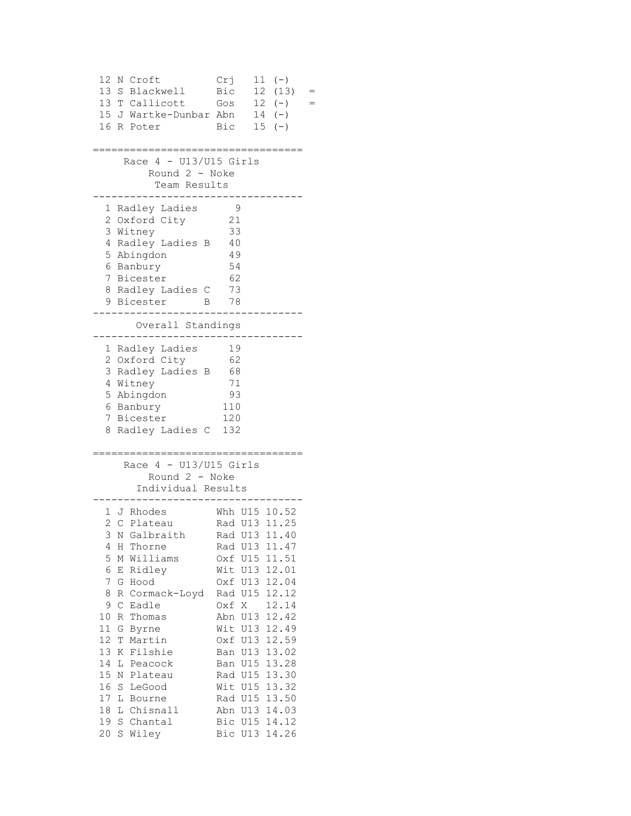12 N Croft Crj 11 (-) 13 S Blackwell Bic 12 (13) =  $13$  S Blackwell bic iz  $(13)$  =  $13$  T Callicott Gos  $12$  (-) = 15 J Wartke-Dunbar Abn 14 (-) 16 R Poter Bic 15 (-) ================================== Race 4 - U13/U15 Girls Round 2 - Noke Team Results ---------------------------------- 1 Radley Ladies 9 2 Oxford City 21 3 Witney 33 4 Radley Ladies B 40 5 Abingdon 49 6 Banbury 54 7 Bicester 62 8 Radley Ladies C 73 9 Bicester B 78 ---------------------------------- Overall Standings ---------------------------------- 1 Radley Ladies 19 2 Oxford City 62 3 Radley Ladies B 68 4 Witney 71 5 Abingdon 93 6 Banbury 110 7 Bicester 120 8 Radley Ladies C 132 ================================== Race 4 - U13/U15 Girls Round 2 - Noke Individual Results ---------------------------------- 1 J Rhodes Whh U15 10.52 2 C Plateau Rad U13 11.25 3 N Galbraith Rad U13 11.40 4 H Thorne Rad U13 11.47 5 M Williams Oxf U15 11.51 6 E Ridley Wit U13 12.01 7 G Hood Oxf U13 12.04 8 R Cormack-Loyd Rad U15 12.12 9 C Eadle Oxf X 12.14 10 R Thomas Abn U13 12.42 11 G Byrne Wit U13 12.49 12 T Martin Oxf U13 12.59 13 K Filshie Ban U13 13.02 14 L Peacock Ban U15 13.28 15 N Plateau Rad U15 13.30 16 S LeGood Wit U15 13.32 17 L Bourne Rad U15 13.50 18 L Chisnall Abn U13 14.03 19 S Chantal Bic U15 14.12 20 S Wiley Bic U13 14.26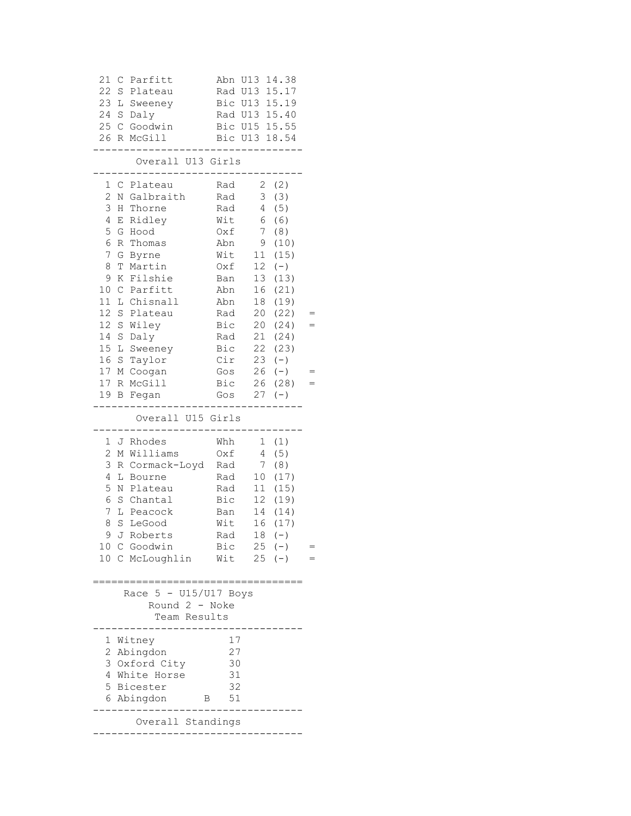| 22                                          | 21 C Parfitt<br>S Plateau<br>23 L Sweeney<br>24 S Daly<br>25 C Goodwin<br>26 R McGill                                                                                  |                                                             | Abn U13 14.38<br>Rad U13 15.17<br>Bic U13 15.19<br>Rad U13 15.40<br>Bic U15 15.55<br>Bic U13 18.54                                 |            |
|---------------------------------------------|------------------------------------------------------------------------------------------------------------------------------------------------------------------------|-------------------------------------------------------------|------------------------------------------------------------------------------------------------------------------------------------|------------|
|                                             | Overall U13 Girls                                                                                                                                                      |                                                             |                                                                                                                                    |            |
| 3<br>4<br>5<br>6<br>7                       | 1 C Plateau<br>2 N Galbraith<br>H Thorne<br>E Ridley<br>G Hood<br>R Thomas<br>G Byrne                                                                                  | Rad<br>Rad<br>Wit<br>0xf<br>Abn 9                           | Rad 2 (2)<br>3(3)<br>4 (5)<br>6<br>(6)<br>$7\overline{ }$<br>(8)<br>(10)<br>Wit 11 (15)                                            |            |
| 8<br>9<br>10<br>11<br>12 <sup>°</sup><br>12 | T Martin<br>K Filshie<br>C Parfitt<br>L Chisnall<br>S Plateau<br>S Wiley                                                                                               | Oxf<br>Ban<br>Abn<br>Abn<br>Rad<br>Bic<br>Rad               | $12 (-)$<br>13 (13)<br>16 (21)<br>18 (19)<br>20 (22)<br>20(24)                                                                     | $=$<br>$=$ |
| 14<br>17                                    | S Daly<br>15 L Sweeney<br>16 S Taylor<br>17 M Coogan<br>R McGill<br>19 B Fegan                                                                                         | Bic                                                         | 21 (24)<br>22(23)<br>$Cir$ 23 (-)<br>Gos $26 (-)$<br>Bic 26 (28)<br>Gos $27 (-)$                                                   | $=$<br>$=$ |
|                                             | Overall U15 Girls                                                                                                                                                      |                                                             |                                                                                                                                    |            |
| 3<br>4<br>5<br>6<br>7<br>8                  | 1 J Rhodes<br>2 M Williams<br>R Cormack-Loyd Rad 7<br>L Bourne<br>N Plateau<br>S Chantal<br>L Peacock<br>S<br>LeGood<br>9 J Roberts<br>10 C Goodwin<br>10 C McLoughlin | Whh<br>Oxf<br>Rad<br>Bic<br>Ban<br>Wit<br>Rad<br>Bic<br>Wit | 1(1)<br>4<br>(5)<br>(8)<br>Rad 10 (17)<br>11 (15)<br>12 (19)<br>14<br>(14)<br>16<br>(17)<br>$18 (-)$<br>25<br>$(-)$<br>25<br>$(-)$ | $=$        |
|                                             | Race $5 - U15/U17$ Boys<br>Round 2 - Noke<br>Team Results                                                                                                              |                                                             |                                                                                                                                    |            |
|                                             | 1 Witney<br>2 Abingdon<br>3 Oxford City<br>4 White Horse<br>5 Bicester<br>6 Abingdon                                                                                   | 17<br>27<br>30<br>31<br>32<br>51<br>В                       |                                                                                                                                    |            |
|                                             | Overall Standings                                                                                                                                                      |                                                             |                                                                                                                                    |            |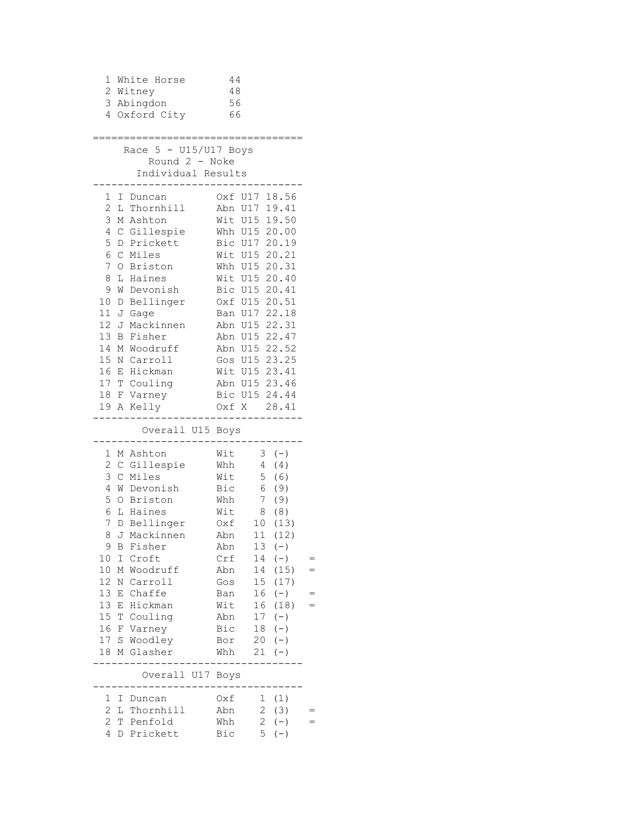| 1<br>White Horse                                                   | 44                                                         |     |
|--------------------------------------------------------------------|------------------------------------------------------------|-----|
| 2 Witney                                                           | 48                                                         |     |
| 3<br>Abingdon                                                      | 56                                                         |     |
| 4<br>Oxford City                                                   | 66                                                         |     |
|                                                                    |                                                            |     |
|                                                                    |                                                            |     |
| Race 5 - U15/U17 Boys                                              |                                                            |     |
|                                                                    | Round $2 - Note$<br>Individual Results                     |     |
|                                                                    |                                                            |     |
| 1<br>I<br>Duncan                                                   | Oxf U17 18.56                                              |     |
| 2<br>L Thornhill                                                   | Abn U17 19.41                                              |     |
| 3<br>M Ashton                                                      | Wit U15 19.50                                              |     |
| 4<br>C<br>Gillespie                                                | Whh U15 20.00                                              |     |
| 5<br>D Prickett                                                    | Bic U17 20.19                                              |     |
| 6<br>$\mathsf C$<br>Miles                                          | Wit U15 20.21                                              |     |
| 7<br>Briston<br>0                                                  | Whh U15 20.31                                              |     |
| 8<br>L<br>Haines                                                   | Wit U15 20.40                                              |     |
| 9<br>W Devonish                                                    | Bic U15 20.41                                              |     |
| 10<br>Bellinger<br>D                                               | Oxf U15 20.51                                              |     |
| 11<br>J<br>Gage                                                    | Ban U17 22.18                                              |     |
| 12<br>Mackinnen<br>J                                               | Abn U15 22.31                                              |     |
| 13 B<br>Fisher                                                     | Abn U15 22.47                                              |     |
| 14<br>Woodruff<br>М                                                | Abn U15 22.52                                              |     |
| 15<br>N Carroll                                                    | Gos U15 23.25                                              |     |
| 16<br>Hickman<br>Е                                                 | Wit U15 23.41                                              |     |
| 17 T Couling                                                       | Abn U15 23.46                                              |     |
| F Varney<br>18                                                     | Bic U15 24.44                                              |     |
| 19 A<br>Kelly                                                      | Oxf X 28.41                                                |     |
| Overall U15                                                        | Boys                                                       |     |
|                                                                    |                                                            |     |
| 1<br>M Ashton                                                      | Wit<br>3<br>$(-)$                                          |     |
| $\mathbf{2}$<br>$\mathsf{C}$<br>Gillespie                          | Whh<br>$4 -$<br>(4)                                        |     |
| 3<br>$\mathsf C$<br>Miles                                          | Wit<br>5<br>(6)                                            |     |
| 4<br>W Devonish                                                    | Bic<br>6<br>(9)                                            |     |
| 5<br>O Briston                                                     | 7<br>(9)<br>Whh                                            |     |
| 6<br>L Haines                                                      |                                                            |     |
|                                                                    | Wit<br>8<br>(8)                                            |     |
| 7<br>D Bellinger                                                   | 10<br>(13)<br>Oxf                                          |     |
| 8 J Mackinnen                                                      | 11 (12)<br>Abn                                             |     |
| 9<br>Fisher<br>Β                                                   | Abn<br>13<br>$(-)$                                         |     |
| 10<br>Ι<br>Croft                                                   | Crf<br>14<br>$(-)$                                         |     |
| 10<br>Woodruff<br>Μ                                                | 14<br>(15)<br>Abn                                          |     |
| 12<br>Carroll<br>Ν                                                 | 15<br>(17)<br>Gos                                          |     |
| 13<br>Chaffe<br>Ε                                                  | $(-)$<br>16<br>Ban                                         | =   |
| 13<br>Hickman<br>Ε                                                 | Wit<br>(18)<br>16                                          |     |
| 15<br>Couling<br>Τ                                                 | $(-)$<br>17<br>Abn                                         |     |
| 16<br>Varney<br>F                                                  | Bic<br>$(-)$<br>18                                         |     |
| 17<br>Woodley<br>S                                                 | 20<br>$(-)$<br>Bor                                         |     |
| 18<br>Glasher<br>Μ                                                 | Whh<br>21<br>$(-)$                                         |     |
| Overall U17                                                        | Boys                                                       |     |
|                                                                    |                                                            |     |
| 1<br>Ι<br>Duncan                                                   | Oxf<br>1<br>(1)                                            |     |
| $\overline{2}$<br>L<br>Thornhill<br>$\overline{c}$<br>Т<br>Penfold | $\mathbf{2}$<br>(3)<br>Abn<br>$\mathbf{2}$<br>Whh<br>$(-)$ | $=$ |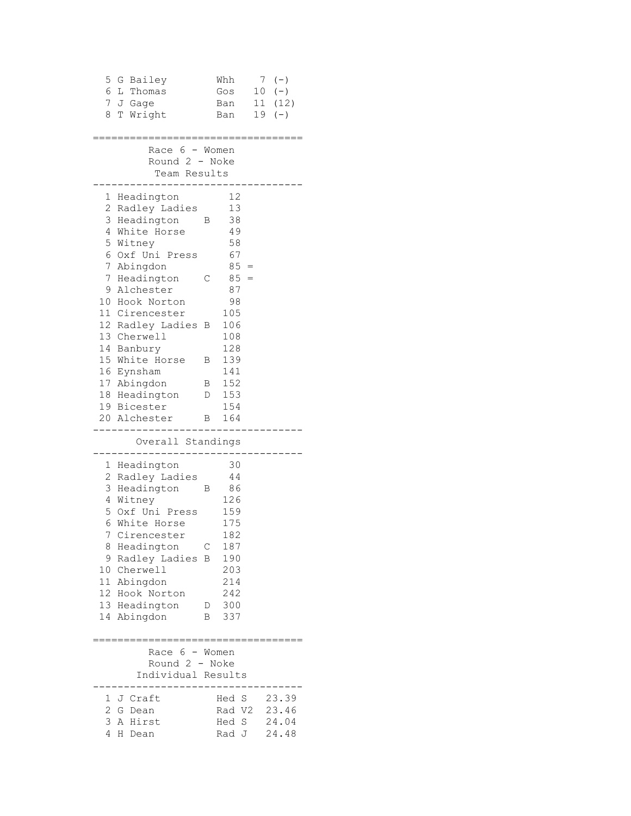| 5<br>G Bailey                  |   | Whh            | 7  | $(-)$          |
|--------------------------------|---|----------------|----|----------------|
| 6<br>L Thomas                  |   | Gos            | 10 | $(-)$          |
| 7 <sup>7</sup><br>J Gage       |   | Ban            | 11 | (12)           |
| T Wright<br>8                  |   | Ban            | 19 | $(-)$          |
|                                |   |                |    |                |
|                                |   |                |    |                |
| Race 6 - Women                 |   |                |    |                |
| Round 2 - Noke                 |   |                |    |                |
| Team Results                   |   |                |    |                |
|                                |   |                |    |                |
| Headington<br>$\mathbf{1}$     |   | 12             |    |                |
| Radley Ladies<br>2             |   | 13             |    |                |
| 3<br>Headington                | Β | 38             |    |                |
| 4 White Horse                  |   | 49             |    |                |
| 5 Witney                       |   | 58             |    |                |
| 6 Oxf Uni Press                |   | 67             |    |                |
| 7<br>Abingdon                  |   | $85 =$         |    |                |
| 7<br>Headington                | С | $85 =$         |    |                |
| Alchester<br>9                 |   | 87             |    |                |
| 10 Hook Norton                 |   | 98             |    |                |
| 11 Cirencester                 |   | 105            |    |                |
| 12<br>Radley Ladies            | Β | 106            |    |                |
| 13 Cherwell                    |   | 108            |    |                |
| 14<br>Banbury                  |   | 128            |    |                |
| 15 White Horse                 | В | 139            |    |                |
| 16 Eynsham                     |   | 141            |    |                |
| 17 Abingdon                    | В | 152            |    |                |
| 18 Headington                  | D | 153            |    |                |
| 19 Bicester                    |   | 154            |    |                |
| 20 Alchester                   | В | 164            |    |                |
|                                |   |                |    |                |
| Overall Standings              |   |                |    |                |
|                                |   |                |    |                |
| 1 Headington                   |   | 30             |    |                |
| 2 Radley Ladies                |   | 44             |    |                |
| 3<br>Headington                | Β | 86             |    |                |
| 4 Witney                       |   | 126            |    |                |
| 5<br>Oxf Uni Press             |   | 159            |    |                |
| 6 White Horse                  |   | 175            |    |                |
| 7.<br>Cirencester              |   | 182            |    |                |
| 8<br>Headington                | С | 187            |    |                |
| Radley Ladies<br>9             |   |                |    |                |
|                                | B | 190            |    |                |
| 10 Cherwell                    |   | 203            |    |                |
| 11<br>Abingdon                 |   | 214            |    |                |
| 12 <sup>7</sup><br>Hook Norton |   | 242            |    |                |
| 13 Headington                  | D | 300            |    |                |
| 14 Abingdon                    | B | 337            |    |                |
|                                |   |                |    |                |
|                                |   |                |    |                |
| Race 6 - Women                 |   |                |    |                |
| Round 2 - Noke                 |   |                |    |                |
| Individual Results             |   |                |    |                |
|                                |   |                |    |                |
| 1 J Craft                      |   | Hed S          |    | 23.39          |
| 2 G Dean                       |   | Rad V2         |    | 23.46          |
| 3<br>A Hirst<br>4<br>H<br>Dean |   | Hed S<br>Rad J |    | 24.04<br>24.48 |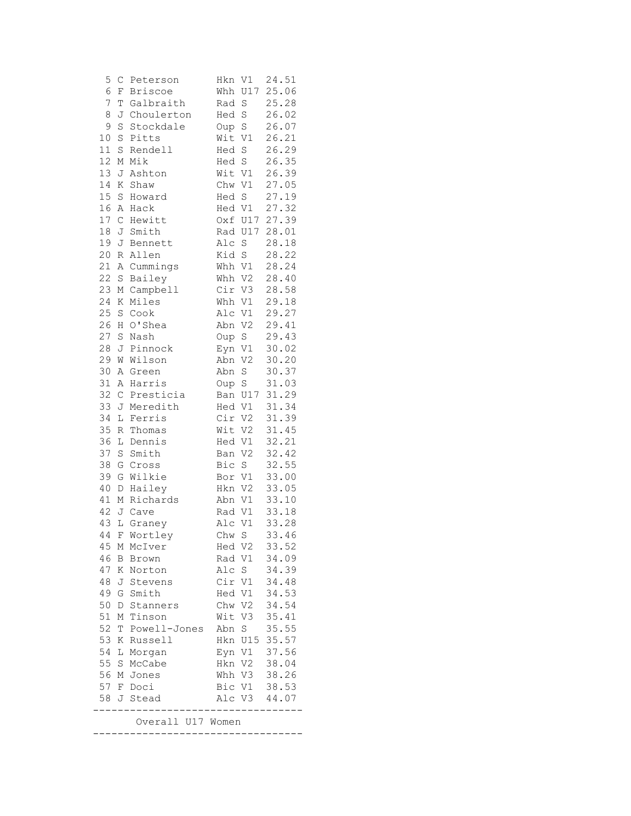|          |              | 58 J Stead<br>------<br>Overall U17 Women |              |                        | Alc V3 44.07                 |
|----------|--------------|-------------------------------------------|--------------|------------------------|------------------------------|
|          |              | 57 F Doci                                 |              |                        | Whh V3 38.26<br>Bic V1 38.53 |
| 55 S     |              | McCabe<br>56 M Jones                      |              |                        | Hkn V2 38.04                 |
|          |              | 54 L Morgan                               |              |                        | Eyn V1 37.56                 |
| 53 K     |              | Russell                                   |              |                        | Hkn U15 35.57                |
|          |              | 52 T Powell-Jones Abn S 35.55             |              |                        |                              |
| 51       | M            | Tinson                                    |              |                        | Wit V3 35.41                 |
|          |              | 50 D Stanners                             | Chw V2       |                        | 34.54                        |
| 49 G     |              | Smith                                     | Hed V1       |                        | 34.53                        |
|          |              | 48 J Stevens                              | Cir V1       |                        | 34.48                        |
|          |              | 47 K Norton                               | Alc S        |                        | 34.39                        |
| 46 B     |              | Brown                                     |              |                        | Rad V1 34.09                 |
|          |              | 45 M McIver                               |              |                        | Hed V2 33.52                 |
| 44 F     |              | Wortley                                   | Chw S        |                        | 33.46                        |
| 43       | L            | Graney                                    | Alc          | $\mathtt{V1}$          | 33.28                        |
| 42       | J            | Cave                                      | Rad          | V1                     | 33.18                        |
| 41       | Μ            | Richards                                  | Abn          | V1                     | 33.10                        |
| 40       | D            | Hailey                                    | Hkn          | V <sub>2</sub>         | 33.05                        |
| 39       | G            | Wilkie                                    | Bor V1       |                        | 33.00                        |
| 38       | G            | Cross                                     | Bic          | $\mathbf S$            | 32.55                        |
| 37       | S            | Smith                                     | Ban          | V2                     | 32.42                        |
| 36       | L            | Dennis                                    | Hed V1       |                        | 32.21                        |
| 35       | R            | Thomas                                    | Wit V2       |                        | 31.45                        |
| 34       | L            | Ferris                                    | Cir V2       |                        | 31.39                        |
| 33       | J            | Meredith                                  | Hed V1       |                        | 31.34                        |
| 32       | $\mathsf C$  | Presticia                                 |              | Ban U17                | 31.29                        |
| 31       | Α            | Harris                                    | Abn<br>Oup S |                        | 31.03                        |
| 29<br>30 | W<br>Α       | Wilson<br>Green                           | Abn          | V2<br>$\mathbf S$      | 30.20<br>30.37               |
| 28       | J            | Pinnock                                   | Eyn          | V1                     | 30.02                        |
| 27       | S            | Nash                                      | Oup          | $\mathbf S$            | 29.43                        |
| 26       | Η            | O'Shea                                    | Abn          | V2                     | 29.41                        |
| 25       | S            | Cook                                      | Alc          | V1                     | 29.27                        |
| 24       | Κ            | Miles                                     | Whh          | V1                     | 29.18                        |
| 23       | М            | Campbell                                  | Cir          | V3                     | 28.58                        |
| 22       | S            | Bailey                                    | Whh          | V2                     | 28.40                        |
| 21       | Α            | Cummings                                  | Whh V1       |                        | 28.24                        |
| 20       | R            | Allen                                     | Kid S        |                        | 28.22                        |
| 19       | J            | Bennett                                   | Alc S        |                        | 28.18                        |
| 18       | J            | Smith                                     | Rad          |                        | U17 28.01                    |
| 17       | $\mathsf{C}$ | Hewitt                                    | Oxf          |                        | U17 27.39                    |
| 16       | Α            | Hack                                      | Hed V1       |                        | 27.32                        |
| 15       | $\mathbf S$  | Howard                                    | Hed          | $\rm S$                | 27.19                        |
| 14       | Κ            | Shaw                                      | Chw          | V1                     | 27.05                        |
| 13       | J            | Ashton                                    | Wit V1       |                        | 26.39                        |
| 12       | Μ            | Mik                                       | Hed          | $\rm S$                | 26.35                        |
| 11       | S            | Rendell                                   | Hed          | $\rm S$                | 26.29                        |
| 10       | S            | Pitts                                     | Wit          | V1                     | 26.21                        |
| 9        | S            | Stockdale                                 | Oup          | $\rm S$                | 26.07                        |
| 8        | J            | Galbraith<br>Choulerton                   | Rad<br>Hed   | $\rm S$<br>$\mathbf S$ | 26.02                        |
| 6<br>7   | F<br>T       | Briscoe                                   | Whh          | U17                    | 25.06<br>25.28               |
| 5        | $\mathsf{C}$ | Peterson                                  | Hkn          | V1                     | 24.51                        |
|          |              |                                           |              |                        |                              |

----------------------------------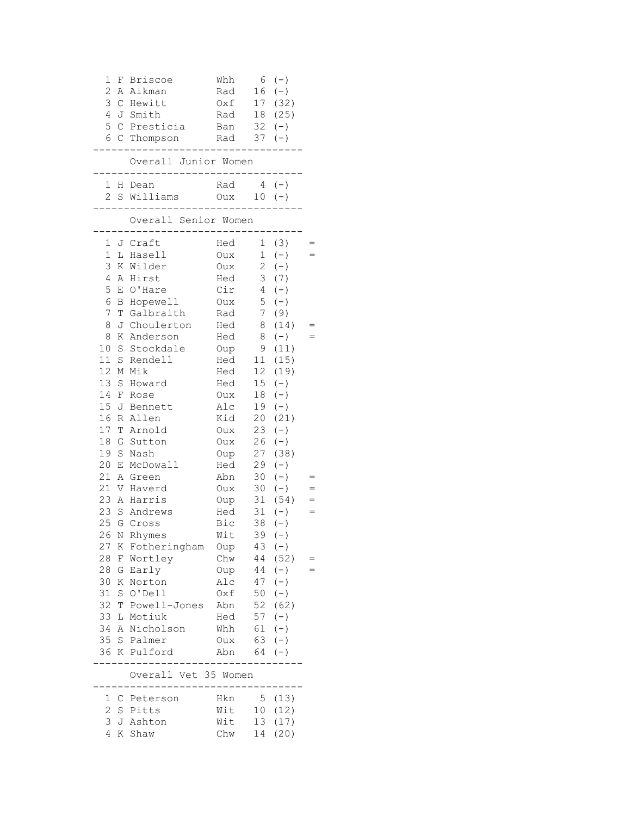| 1               | F | <b>Briscoe</b>            | Whh             | 6               | $(-)$                    |     |
|-----------------|---|---------------------------|-----------------|-----------------|--------------------------|-----|
| $\overline{c}$  |   | A Aikman                  | Rad             | 16              | $\left( \, - \, \right)$ |     |
| 3               |   | C Hewitt                  | Oxf             |                 | 17 (32)                  |     |
| 4               |   | J Smith                   |                 | Rad 18 (25)     |                          |     |
| 5               |   | C Presticia               |                 | Ban $32 (-)$    |                          |     |
| 6               |   | C Thompson                |                 | Rad $37 (-)$    |                          |     |
|                 |   | Overall Junior Women      |                 |                 |                          |     |
|                 |   |                           |                 |                 |                          |     |
|                 |   | 1 H Dean                  | Rad $4$ $(-)$   |                 |                          |     |
|                 |   | 2 S Williams $0ux$ 10 (-) | . _ _ _ _ _ _ _ |                 |                          |     |
|                 |   | Overall Senior Women      |                 |                 |                          |     |
|                 |   |                           |                 |                 |                          |     |
|                 |   | 1 J Craft                 | Hed             |                 | 1(3)                     |     |
| $\mathbf 1$     |   | L Hasell                  | Oux             |                 | $1\quad(-)$              |     |
| 3               |   | K Wilder                  | Oux             | $\overline{a}$  | $(-)$                    |     |
| 4               |   | A Hirst                   | Hed             | 3               | (7)                      |     |
| 5               |   | E O'Hare                  | Cir             | 4               | $(-)$                    |     |
| 6               |   | <b>B</b> Hopewell         | Oux             | 5               | $(-)$                    |     |
| 7               |   | T Galbraith               | Rad             | 7 <sup>7</sup>  | (9)                      |     |
| 8               |   | J Choulerton              | Hed             | 8               | (14)                     |     |
| 8               |   | K Anderson                | Hed             | 8               | $(-)$                    |     |
| $10$            |   | S Stockdale               | Oup             | 9               | (11)                     |     |
| 11              |   | S Rendell                 | Hed             | 11              | (15)                     |     |
| 12 <sup>7</sup> |   | M Mik                     | Hed             | 12 <sup>°</sup> | (19)                     |     |
| 13              |   | S Howard                  | Hed             | 15              | $(\,-\,)$                |     |
|                 |   | 14 F Rose                 | Oux             | 18              | $(-)$                    |     |
| 15 <sub>2</sub> |   | J Bennett                 | Alc             | 19              | $(-)$                    |     |
| 16              |   | R Allen                   | Kid             |                 | 20 (21)                  |     |
| 17              | Т | Arnold                    | Oux             | 23              | $(-)$                    |     |
| 18              |   | G Sutton                  | Oux             | 26              | $(-)$                    |     |
| 19              |   | S Nash                    | Oup             |                 | 27 (38)                  |     |
| 20              | Е | McDowall                  | Hed             | 29              | $(\,-\,)$                |     |
| 21              |   | A Green                   | Abn             | 30              | $(-)$                    |     |
|                 |   | 21 V Haverd               | Oux             | 30              | $(-)$                    |     |
| 23              |   | A Harris                  | Oup             |                 | 31 (54)                  | $=$ |
| 23              |   | S Andrews                 | Hed             |                 | $31 (-)$                 |     |
| 25              |   |                           |                 | 38              | $(-)$                    |     |
|                 |   | G Cross                   | Bic             |                 |                          |     |
|                 |   | 26 N Rhymes               | Wit             |                 | $39 (-)$                 |     |
| 27              | Κ | Fotheringham              | Oup             |                 | $43 (-)$                 |     |
| 28              |   | F Wortley                 | Chw             |                 | 44 (52)                  |     |
| 28              | G | Early                     | Oup             | 44              | $(-)$                    |     |
| 30              | Κ | Norton                    | Alc             | 47              | $(-)$                    |     |
| 31              | S | O'Dell                    | Oxf             | 50              | $(-)$                    |     |
| 32              |   | T Powell-Jones            | Abn             | 52              | (62)                     |     |
| 33              |   | L Motiuk                  | Hed             | 57              | $(-)$                    |     |
| 34              |   | A Nicholson               | Whh             | 61              | $(-)$                    |     |
|                 |   | 35 S Palmer               | Oux             |                 | $63 (-)$                 |     |
| 36              |   | K Pulford                 | Abn             | 64              | $(-)$                    |     |
|                 |   | Overall Vet 35 Women      |                 |                 |                          |     |
| 1               |   | C Peterson                | Hkn             |                 | 5(13)                    |     |
| $\overline{c}$  |   | S Pitts                   | Wit             |                 | 10 (12)                  |     |
| 3               |   | J Ashton                  | Wit             |                 | 13 (17)                  |     |
| 4               |   | K Shaw                    | Chw             |                 | 14 (20)                  |     |
|                 |   |                           |                 |                 |                          |     |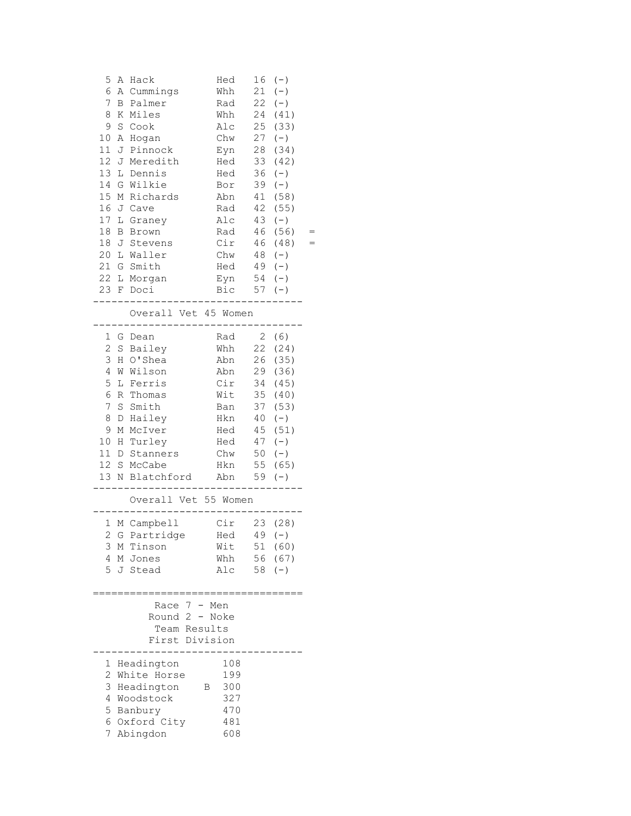| 5<br>6<br>7<br>8<br>9<br>10<br>11<br>12<br>13                                               | Α<br>Α<br>B<br>К<br>$\rm S$<br>Α<br>J<br>J<br>L                | Hack<br>Cummings<br>Palmer<br>Miles<br>Cook<br>Hogan<br>Pinnock<br>Meredith<br>Dennis                                                 | Hed<br>Whh<br>Rad<br>Whh<br>Alc<br>Chw<br>Eyn<br>Hed<br>Hed                             | 16<br>21<br>22<br>24<br>25<br>27<br>28<br>33<br>36                                   | $(-)$<br>$(-)$<br>$(-)$<br>(41)<br>(33)<br>$(\,-\,)$<br>(34)<br>(42)<br>$(-)$                           |  |
|---------------------------------------------------------------------------------------------|----------------------------------------------------------------|---------------------------------------------------------------------------------------------------------------------------------------|-----------------------------------------------------------------------------------------|--------------------------------------------------------------------------------------|---------------------------------------------------------------------------------------------------------|--|
| 14 G<br>15<br>16<br>17<br>18<br>18<br>20<br>21<br>23                                        | М<br>J<br>L<br>В<br>J<br>L<br>G                                | Wilkie<br>Richards<br>Cave<br>Graney<br>Brown<br>Stevens<br>Waller<br>Smith<br>22 L Morgan<br>F Doci                                  | Bor<br>Abn<br>Rad<br>Alc<br>Rad<br>Cir<br>Chw<br>Hed<br>Eyn<br>Bic                      | 39<br>41<br>42<br>43<br>46<br>48<br>49<br>54<br>57                                   | $(-)$<br>(58)<br>(55)<br>$(-)$<br>46 (56)<br>(48)<br>$(\,-\,)$<br>$(-)$<br>$(-)$<br>$(-)$               |  |
|                                                                                             |                                                                | Overall Vet 45 Women                                                                                                                  | --------                                                                                |                                                                                      |                                                                                                         |  |
| 1<br>$\overline{c}$<br>3<br>4<br>5<br>6<br>7<br>8<br>9<br>10<br>11<br>12 <sup>7</sup><br>13 | G<br>S.<br>Η<br>W<br>L<br>$\mathbf S$<br>D<br>Μ<br>Η<br>D<br>S | Dean<br>Bailey<br>O'Shea<br>Wilson<br>Ferris<br>R Thomas<br>Smith<br>Hailey<br>McIver<br>Turley<br>Stanners<br>McCabe<br>N Blatchford | Rad<br>Whh<br>Abn<br>Abn<br>Cir<br>Wit<br>Ban<br>Hkn<br>Hed<br>Hed<br>Chw<br>Hkn<br>Abn | $\mathbf{2}$<br>22<br>26<br>29<br>34<br>35<br>37<br>40<br>45<br>47<br>50<br>55<br>59 | (6)<br>(24)<br>(35)<br>(36)<br>(45)<br>(40)<br>(53)<br>$(-)$<br>(51)<br>$(-)$<br>$(-)$<br>(65)<br>$(-)$ |  |
|                                                                                             |                                                                | Overall Vet 55 Women                                                                                                                  |                                                                                         |                                                                                      |                                                                                                         |  |
| 3<br>4<br>5                                                                                 | Μ                                                              | 1 M Campbell<br>2 G Partridge Hed<br>Tinson<br>M Jones<br>J Stead                                                                     | Cir 23 (28)<br>Wit<br>Whh<br>Alc                                                        | 58                                                                                   | $49 (-)$<br>51 (60)<br>56 (67)<br>$(-)$                                                                 |  |
|                                                                                             |                                                                | Race $7 - Men$<br>Round 2 - Noke<br>Team Results<br>First Division                                                                    |                                                                                         |                                                                                      |                                                                                                         |  |
| 1<br>2<br>3<br>4<br>5<br>6<br>7                                                             |                                                                | Headington<br>White Horse<br>Headington<br>Β<br>Woodstock<br>Banbury<br>Oxford City<br>Abingdon                                       | 108<br>199<br>300<br>327<br>470<br>481<br>608                                           |                                                                                      |                                                                                                         |  |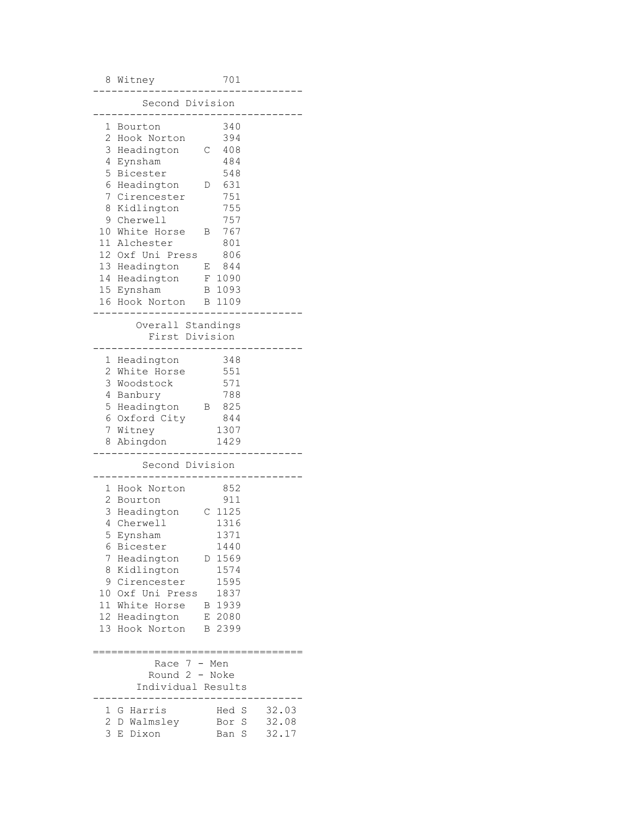| Witney<br>8                                                                                                                                                                                                                              | 701                                                                                                                          |                         |
|------------------------------------------------------------------------------------------------------------------------------------------------------------------------------------------------------------------------------------------|------------------------------------------------------------------------------------------------------------------------------|-------------------------|
| Second Division                                                                                                                                                                                                                          |                                                                                                                              |                         |
| 1<br>Bourton<br>2<br>Hook Norton<br>3<br>Headington<br>4<br>Eynsham<br>5<br>Bicester<br>6<br>Headington<br>7<br>Cirencester<br>8<br>Kidlington<br>9<br>Cherwell<br>10<br>White Horse                                                     | 340<br>394<br>408<br>С<br>484<br>548<br>631<br>D<br>751<br>755<br>757<br>767<br>В                                            |                         |
| 11 Alchester<br>12 Oxf Uni Press<br>13 Headington<br>14 Headington<br>15 Eynsham<br>16 Hook Norton                                                                                                                                       | 801<br>806<br>844<br>Е<br>1090<br>F<br>1093<br>В<br>1109<br>В                                                                |                         |
| Overall Standings<br>First Division                                                                                                                                                                                                      |                                                                                                                              |                         |
| Headington<br>1<br>2<br>White Horse<br>3<br>Woodstock<br>4<br>Banbury<br>5 Headington<br>6<br>Oxford City<br>7<br>Witney<br>8<br>Abingdon                                                                                                | 348<br>551<br>571<br>788<br>825<br>В<br>844<br>1307<br>1429                                                                  |                         |
| Second Division                                                                                                                                                                                                                          |                                                                                                                              |                         |
| 1<br>Hook Norton<br>2<br>Bourton<br>3<br>Headington<br>4<br>Cherwell<br>5<br>Eynsham<br>6<br>Bicester<br>7<br>Headington<br>8<br>Kidlington<br>9<br>Cirencester<br>10 Oxf Uni Press<br>11 White Horse<br>12 Headington<br>13 Hook Norton | 852<br>911<br>1125<br>С<br>1316<br>1371<br>1440<br>D 1569<br>1574<br>1595<br>1837<br>B 1939<br>E 2080<br>B 2399<br>:======== |                         |
| Race $7 - Men$<br>Round 2 - Noke<br>Individual Results                                                                                                                                                                                   |                                                                                                                              |                         |
| 1<br>Harris<br>G<br>2<br>D Walmsley<br>3<br>E<br>Dixon                                                                                                                                                                                   | Hed S<br>S<br>Bor<br>S<br>Ban                                                                                                | 32.03<br>32.08<br>32.17 |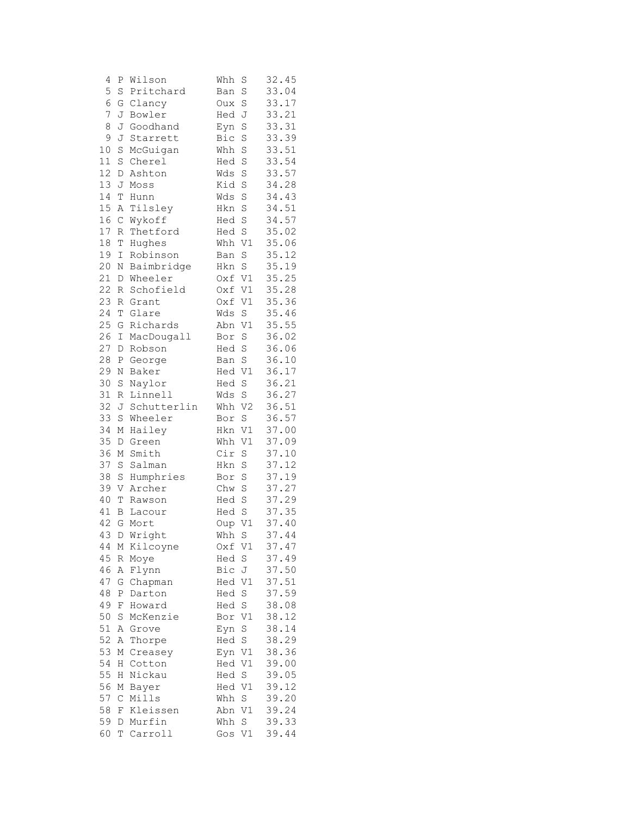| 4        | Ρ           | Wilson      | Whh<br>S              | 32.45 |
|----------|-------------|-------------|-----------------------|-------|
| 5        | $\rm S$     | Pritchard   | S<br>Ban              | 33.04 |
| 6        | G           | Clancy      | S<br><b>Oux</b>       | 33.17 |
| 7        | J           | Bowler      | J<br>Hed              | 33.21 |
| 8        | J           | Goodhand    | S<br>Eyn              | 33.31 |
| 9        | J           | Starrett    | S<br>Bic              | 33.39 |
| 10       | S           | McGuigan    | S<br>Whh              | 33.51 |
| 11       | S           | Cherel      | S<br>Hed              | 33.54 |
| 12       | D           | Ashton      | S<br>Wds              | 33.57 |
| 13       | J           | Moss        | S<br>Kid              | 34.28 |
| 14       | T           | Hunn        | S<br>Wds              | 34.43 |
| 15       | Α           | Tilsley     | S<br>Hkn              | 34.51 |
| 16       | $\mathsf C$ | Wykoff      | S<br>Hed              | 34.57 |
| 17       | $\mathbb R$ | Thetford    | S<br>Hed              | 35.02 |
| 18       | T           | Hughes      | V1<br>Whh             | 35.06 |
| 19       | Ι           | Robinson    | S<br>Ban              | 35.12 |
| 20       | Ν           | Baimbridge  | S<br>Hkn              | 35.19 |
| 21       | D           | Wheeler     | $\mathtt{V1}$<br>Oxf  | 35.25 |
| 22       | R           | Schofield   | V1<br>Oxf             | 35.28 |
| 23       | $\mathbb R$ | Grant       | V1<br>Oxf             | 35.36 |
| 24       | T           | Glare       | S<br>Wds              | 35.46 |
| 25       | G           | Richards    | Abn<br>V1             | 35.55 |
| 26       | I           | MacDougall  | S<br>Bor              | 36.02 |
| 27       | D           | Robson      | $\rm S$<br>Hed        | 36.06 |
| 28       |             |             |                       |       |
| 29       | Ρ           | George      | S<br>Ban              | 36.10 |
|          | Ν           | Baker       | V1<br>Hed             | 36.17 |
| 30       | $\rm S$     | Naylor      | S<br>Hed              | 36.21 |
| 31       | $\mathbb R$ | Linnell     | S<br>Wds              | 36.27 |
| 32       | J           | Schutterlin | V <sub>2</sub><br>Whh | 36.51 |
| 33<br>34 | S           | Wheeler     | S<br>Bor              | 36.57 |
|          | М           | Hailey      | Hkn<br>V1             | 37.00 |
| 35       | D           | Green       | Whh<br>V1             | 37.09 |
| 36       | Μ           | Smith       | Cir<br>S              | 37.10 |
| 37       | $\rm S$     | Salman      | Hkn<br>$\rm S$        | 37.12 |
| 38       | $\rm S$     | Humphries   | S<br>Bor              | 37.19 |
| 39       | V           | Archer      | S<br>Chw              | 37.27 |
| 40       | Τ           | Rawson      | S<br>Hed              | 37.29 |
| 41       | В           | Lacour      | S<br>Hed              | 37.35 |
| 42       | G           | Mort        | V1<br>Oup             | 37.40 |
| 43 D     |             | Wright      | S<br>Whh              | 37.44 |
| 44       | Μ           | Kilcoyne    | Oxf V1                | 37.47 |
| 45       | R           | Moye        | Hed<br>$\rm S$        | 37.49 |
| 46       | Α           | Flynn       | Bic<br>J              | 37.50 |
| 47       | G           | Chapman     | Hed V1                | 37.51 |
| 48       | Ρ           | Darton      | S<br>Hed              | 37.59 |
| 49       | F           | Howard      | S<br>Hed              | 38.08 |
| 50       | S           | McKenzie    | V1<br>Bor             | 38.12 |
| 51       | Α           | Grove       | S<br>Eyn              | 38.14 |
| 52       | Α           | Thorpe      | S<br>Hed              | 38.29 |
| 53       | Μ           | Creasey     | V1<br>Eyn             | 38.36 |
| 54       | Η           | Cotton      | Hed<br>V1             | 39.00 |
| 55       | Η           | Nickau      | Hed S                 | 39.05 |
| 56       | М           | Bayer       | Hed V1                | 39.12 |
| 57       | $\mathsf C$ | Mills       | $\rm S$<br>Whh        | 39.20 |
| 58       | F           | Kleissen    | Abn<br>V1             | 39.24 |
| 59       | D           | Murfin      | S<br>Whh              | 39.33 |
| 60       | Т           | Carroll     | Gos<br>V1             | 39.44 |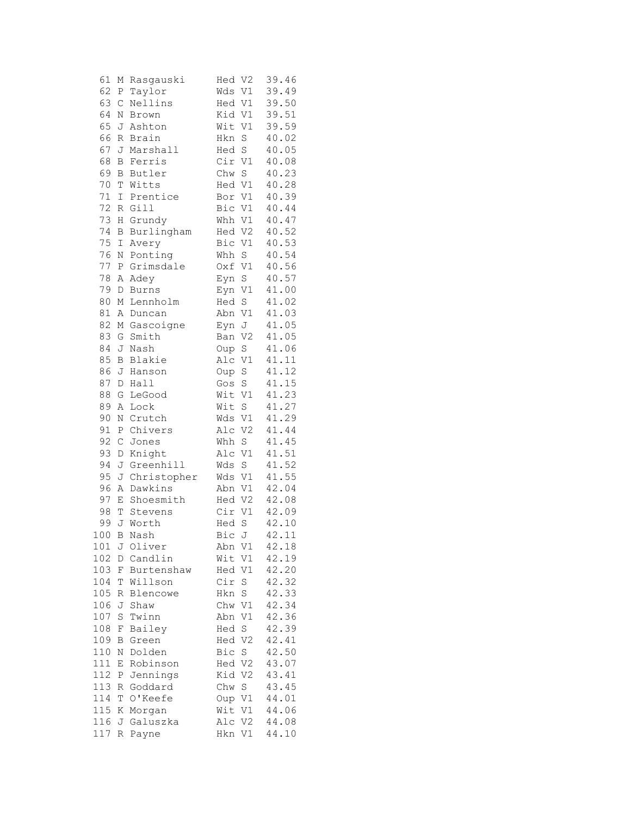| 61    | $\mathop{\rm M}\nolimits$ | Rasgauski    | V <sub>2</sub><br>Hed  | 39.46 |
|-------|---------------------------|--------------|------------------------|-------|
| 62    | $\, {\bf P}$              | Taylor       | Wds<br>V1              | 39.49 |
| 63    | $\mathsf C$               | Nellins      | Hed<br>V1              | 39.50 |
| 64    | Ν                         | Brown        | Kid<br>V1              | 39.51 |
| 65    | J                         | Ashton       | V1<br>Wit              | 39.59 |
| 66    | R                         | Brain        | S<br>Hkn               | 40.02 |
| 67    | J                         | Marshall     | Hed S                  | 40.05 |
| 68    | B                         | Ferris       | Cir V1                 | 40.08 |
| 69    | B                         | Butler       | S<br>Chw               | 40.23 |
| 70    | T                         | Witts        | Hed V1                 | 40.28 |
| 71    | $\mathbbm{I}$             | Prentice     | Bor V1                 | 40.39 |
| 72    | R                         | Gill         | Bic<br>V1              | 40.44 |
| 73    | Η                         | Grundy       | V1<br>Whh              | 40.47 |
| 74    | B                         | Burlingham   | V2<br>Hed              | 40.52 |
| 75    | I                         | Avery        | Bic<br>V1              | 40.53 |
| 76    | N                         | Ponting      | S<br>Whh               | 40.54 |
| 77    | Ρ                         | Grimsdale    | Oxf V1                 | 40.56 |
| 78    | Α                         | Adey         | $\rm S$<br>Eyn         | 40.57 |
| 79    | $\mathbb D$               | <b>Burns</b> | Eyn V1                 | 41.00 |
| 80    | Μ                         | Lennholm     | S<br>Hed               | 41.02 |
| 81    | Α                         | Duncan       | V1<br>Abn              | 41.03 |
| 82    | Μ                         | Gascoigne    | J<br>Eyn               | 41.05 |
| 83    | G                         | Smith        | V2<br>Ban              | 41.05 |
| 84    | J                         | Nash         | $\rm S$<br>Oup         | 41.06 |
| 85    | B                         | Blakie       | Alc<br>V1              | 41.11 |
| 86    | J                         | Hanson       | $\rm S$<br>Oup         | 41.12 |
| 87    | $\mathbb D$               | Hall         | $\rm S$<br>Gos         | 41.15 |
| 88    | G                         | LeGood       | Wit V1                 | 41.23 |
| 89    | Α                         | Lock         | S<br>Wit               | 41.27 |
| 90    | N                         | Crutch       | Wds<br>V1              | 41.29 |
| 91    | Ρ                         | Chivers      | Alc<br>V2              | 41.44 |
| 92    | $\mathsf C$               | Jones        | Whh<br>S               | 41.45 |
| 93    | D                         | Knight       | Alc<br>V1              | 41.51 |
| 94    | J                         | Greenhill    | S<br>Wds               | 41.52 |
| 95    | J                         | Christopher  | $\mathtt{V1}$<br>Wds   | 41.55 |
| 96    | Α                         | Dawkins      | V1<br>Abn              | 42.04 |
| 97    | E                         | Shoesmith    | V2<br>Hed              | 42.08 |
| 98    | T                         | Stevens      | Cir<br>V1              | 42.09 |
| 99    | J                         | Worth        | S<br>Hed               | 42.10 |
| 100 B |                           | Nash         | Bic J                  | 42.11 |
| 101   | J                         | Oliver       | Abn<br>V1              | 42.18 |
| 102   | D                         | Candlin      | Wit<br>V1              | 42.19 |
| 103   | F                         | Burtenshaw   | Hed V1                 | 42.20 |
| 104   | Т                         | Willson      | Cir<br>S               | 42.32 |
| 105   | R                         | Blencowe     | $\mathbf S$<br>Hkn     | 42.33 |
| 106   | J                         | Shaw         | $\mathtt{V1}$<br>Chw   | 42.34 |
| 107   | S                         | Twinn        | V1<br>Abn              | 42.36 |
| 108   | F                         | Bailey       | S<br>Hed               | 42.39 |
| 109   | В                         | Green        | Hed<br>V2              | 42.41 |
| 110   | N                         | Dolden       | $S_{\parallel}$<br>Bic | 42.50 |
| 111   | Ε                         | Robinson     | Hed V2                 | 43.07 |
| 112   | Ρ                         | Jennings     | Kid<br>V <sub>2</sub>  | 43.41 |
| 113   | R                         | Goddard      | $\mathbf S$<br>Chw     | 43.45 |
| 114   | T                         | O'Keefe      | Oup V1                 | 44.01 |
| 115   | Κ                         | Morgan       | Wit<br>V1              | 44.06 |
| 116   | J                         | Galuszka     | Alc<br>V2              | 44.08 |
| 117   | R                         | Payne        | Hkn<br>V1              | 44.10 |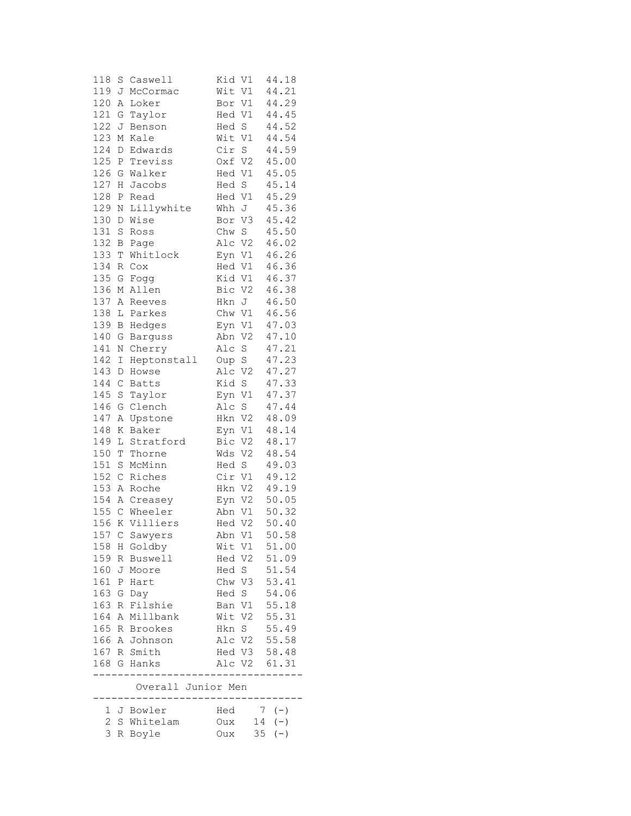| 118        | S                 | Caswell            | Kid             | V1             | 44.18          |
|------------|-------------------|--------------------|-----------------|----------------|----------------|
| 119        | J                 | McCormac           | Wit             | V1             | 44.21          |
| 120        | Α                 | Loker              | Bor V1          |                | 44.29          |
| 121        | G                 | Taylor             | Hed V1          |                | 44.45          |
| 122        | J                 | Benson             | Hed S           |                | 44.52          |
| 123        | М                 | Kale               | Wit             | V1             | 44.54          |
| 124        | D                 | Edwards            | Cir             | S              | 44.59          |
| 125        | $\, {\bf P}$      | Treviss            | Oxf V2          |                | 45.00          |
| 126        | G                 | Walker             | Hed V1          |                | 45.05          |
| 127        | $\rm H$           | Jacobs             | Hed S           |                | 45.14          |
| 128        | Ρ                 | Read               | Hed V1          |                | 45.29          |
| 129        | Ν                 | Lillywhite         | Whh             | J              | 45.36          |
| 130        | D                 | Wise               | Bor             | V3             | 45.42          |
| 131        | S                 | Ross               | Chw S           |                | 45.50          |
| 132        | B                 | Page               | Alc             | V <sub>2</sub> | 46.02          |
| 133        | Т                 | Whitlock           | Eyn V1          |                | 46.26          |
| 134        | R                 | Cox                | Hed V1          |                | 46.36          |
| 135        | G                 | Fogg               | Kid V1          |                | 46.37          |
| 136        | М                 | Allen              | Bic V2          |                | 46.38          |
| 137        | Α                 | Reeves             | Hkn             | J              | 46.50          |
| 138        | L                 | Parkes             | Chw V1          |                | 46.56          |
| 139        | В                 | Hedges             | Eyn V1          |                | 47.03          |
| 140        | G                 | Barguss            | Abn             | V <sub>2</sub> | 47.10          |
| 141        | Ν                 | Cherry             | Alc             | S              | 47.21          |
| 142        | I                 | Heptonstall        | Oup S           |                | 47.23          |
| 143        | D                 | Howse              | Alc             | V <sub>2</sub> | 47.27          |
| 144        | $\mathsf C$       | <b>Batts</b>       | Kid S           |                | 47.33          |
| 145        | $\rm S$           | Taylor             | Eyn V1          |                | 47.37          |
| 146        | G                 | Clench             | Alc             | $\mathbf S$    | 47.44          |
| 147        | Α                 | Upstone            | Hkn V2          |                | 48.09          |
| 148        | Κ                 | Baker              | Eyn V1          |                | 48.14          |
| 149        | L                 | Stratford          | Bic             | V2             | 48.17          |
| 150        | T                 | Thorne             | Wds             | V <sub>2</sub> | 48.54          |
| 151        | S                 | McMinn             | Hed S           |                | 49.03          |
| 152        | $\mathsf C$       | Riches             | Cir V1          |                | 49.12          |
| 153        | Α                 | Roche              | Hkn             | V2             | 49.19          |
| 154        | А                 | Creasey            | Eyn V2          |                | 50.05          |
| 155        | $\mathsf C$       | Wheeler            | Abn V1          |                | 50.32          |
| 156        | Κ                 | Villiers           | Hed V2          |                | 50.40          |
|            |                   | 157 C Sawyers      | Abn V1          |                | 50.58          |
| 158        |                   | H Goldby           |                 |                | Wit V1 51.00   |
| 159<br>160 |                   | R Buswell          | Hed V2          |                | 51.09<br>51.54 |
| 161        | J<br>$\mathbf{P}$ | Moore<br>Hart      | Hed S<br>Chw V3 |                | 53.41          |
| 163        | G                 | Day                | Hed S           |                | 54.06          |
| 163        |                   | R Filshie          | Ban V1          |                | 55.18          |
| 164        | Α                 | Millbank           |                 | Wit V2         | 55.31          |
| 165        |                   | R Brookes          | Hkn S           |                | 55.49          |
| 166        |                   | A Johnson          |                 |                | Alc V2 55.58   |
|            |                   | 167 R Smith        |                 | Hed V3         | 58.48          |
|            |                   | 168 G Hanks        |                 |                | Alc V2 61.31   |
|            |                   |                    |                 |                |                |
|            |                   | Overall Junior Men |                 |                |                |
|            |                   | 1 J Bowler         | Hed             |                | $7(-)$         |
|            |                   | 2 S Whitelam       | Oux             |                | $14 (-)$       |
| 3          |                   | R Boyle            | Oux             |                | $35 (-)$       |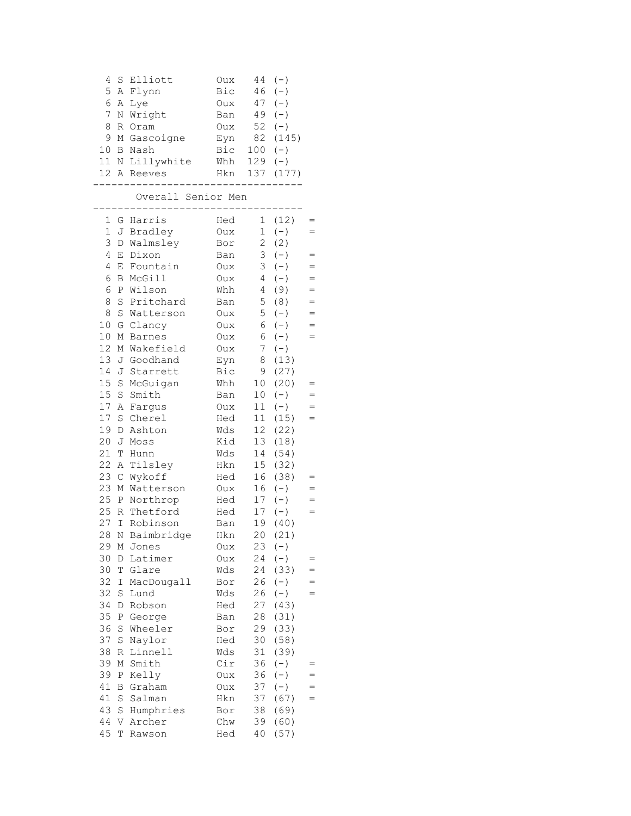| 4<br>5<br>6<br>7<br>8<br>9<br>10 <sub>o</sub><br>11 N                                                | S<br>Α<br>R<br>М<br>В                                                          | Elliott<br>A Flynn<br>Lye<br>N Wright<br>Oram<br>Gascoigne<br>Nash<br>Lillywhite<br>12 A Reeves                                                    | Oux<br>Bic<br>Oux<br>Ban<br>Oux<br>Eyn<br>Bic<br>Whh<br>Hkn                             | 46<br>$100 (-)$<br>$129 (-)$                                 | $44 (-)$<br>$(-)$<br>47 (-)<br>49 (-)<br>$52 (-)$<br>82 (145)<br>137 (177)                                              |                                                                  |
|------------------------------------------------------------------------------------------------------|--------------------------------------------------------------------------------|----------------------------------------------------------------------------------------------------------------------------------------------------|-----------------------------------------------------------------------------------------|--------------------------------------------------------------|-------------------------------------------------------------------------------------------------------------------------|------------------------------------------------------------------|
|                                                                                                      |                                                                                | Overall Senior Men                                                                                                                                 |                                                                                         |                                                              |                                                                                                                         |                                                                  |
| 1<br>3<br>4<br>4<br>6<br>6<br>8<br>8<br>10<br>10<br>12 <sup>°</sup>                                  | D<br>E<br>Е<br>S<br>S<br>G<br>М<br>М                                           | 1 G Harris<br>J Bradley<br>Walmsley<br>Dixon<br>Fountain<br>B McGill<br>P Wilson<br>Pritchard<br>Watterson<br>Clancy<br><b>Barnes</b><br>Wakefield | Hed<br>Oux<br>Bor<br>Ban<br>Oux<br>Oux<br>Whh<br>Ban<br>Oux<br><b>Oux</b><br>Oux<br>Oux | $\mathbf{1}$<br>$\overline{4}$<br>4<br>5<br>5<br>6<br>6<br>7 | 1(12)<br>$(-)$<br>2(2)<br>$3 (-)$<br>$3 (-)$<br>$(\,-\,)$<br>(9)<br>(8)<br>$(-)$<br>$(-)$<br>$(-)$<br>$(-)$             | =<br>$=$<br>$=$<br>$=$<br>$=$<br>$=$<br>$=$<br>$=$<br>$=$<br>$=$ |
| 13<br>14<br>15 <sub>1</sub><br>15 <sub>1</sub><br>17<br>17<br>19<br>20<br>21<br>22<br>23<br>23<br>25 | J<br>S<br>$\rm S$<br>S<br>D<br>J<br>Т<br>Α<br>$\mathsf C$<br>М<br>$\mathbf{P}$ | J Goodhand<br>Starrett<br>McGuigan<br>Smith<br>A Fargus<br>Cherel<br>Ashton<br>Moss<br>Hunn<br>Tilsley<br>Wykoff<br>Watterson<br>Northrop          | Eyn<br>Bic<br>Whh<br>Ban<br>Oux<br>Hed<br>Wds<br>Kid<br>Wds<br>Hkn<br>Hed<br>Oux<br>Hed | 8<br>9<br>10<br>10 <sub>1</sub><br>11<br>11<br>13<br>16      | (13)<br>(27)<br>(20)<br>$(-)$<br>$(-)$<br>(15)<br>12 (22)<br>(18)<br>14 (54)<br>15 (32)<br>16 (38)<br>$(-)$<br>$17 (-)$ | $=$<br>$=$<br>$=$<br>$=$<br>=<br>=<br>$=$                        |
| 25<br>27<br>29<br>30<br>30<br>32<br>32<br>34<br>35<br>36<br>37                                       | $\mathbbm{I}$<br>Μ<br>D<br>Τ<br>Ι<br>S<br>D<br>Ρ<br>$\rm S$<br>S               | R Thetford<br>Robinson<br>28 N Baimbridge<br>Jones<br>Latimer<br>Glare<br>MacDougall<br>Lund<br>Robson<br>George<br>Wheeler<br>Naylor              | Hed<br>Ban<br>Hkn<br>Oux<br>Oux<br>Wds<br>Bor<br>Wds<br>Hed<br>Ban<br>Bor<br>Hed        | 19<br>23<br>24<br>24<br>26<br>26<br>27<br>28<br>29<br>30     | $17 (-)$<br>(40)<br>20 (21)<br>$(-)$<br>$(-)$<br>(33)<br>$(-)$<br>$(-)$<br>(43)<br>(31)<br>(33)<br>(58)                 | $=$<br>$=$<br>=<br>=<br>$=$                                      |
| 38<br>39<br>39<br>41<br>41<br>43<br>44<br>45                                                         | R<br>М<br>Ρ<br>В<br>S<br>S<br>V<br>Т                                           | Linnell<br>Smith<br>Kelly<br>Graham<br>Salman<br>Humphries<br>Archer<br>Rawson                                                                     | Wds<br>Cir<br>Oux<br>Oux<br>Hkn<br>Bor<br>Chw<br>Hed                                    | 31<br>36<br>36<br>37<br>37<br>38<br>39<br>40                 | (39)<br>$(-)$<br>$(-)$<br>$(-)$<br>(67)<br>(69)<br>(60)<br>(57)                                                         | =<br>$=$                                                         |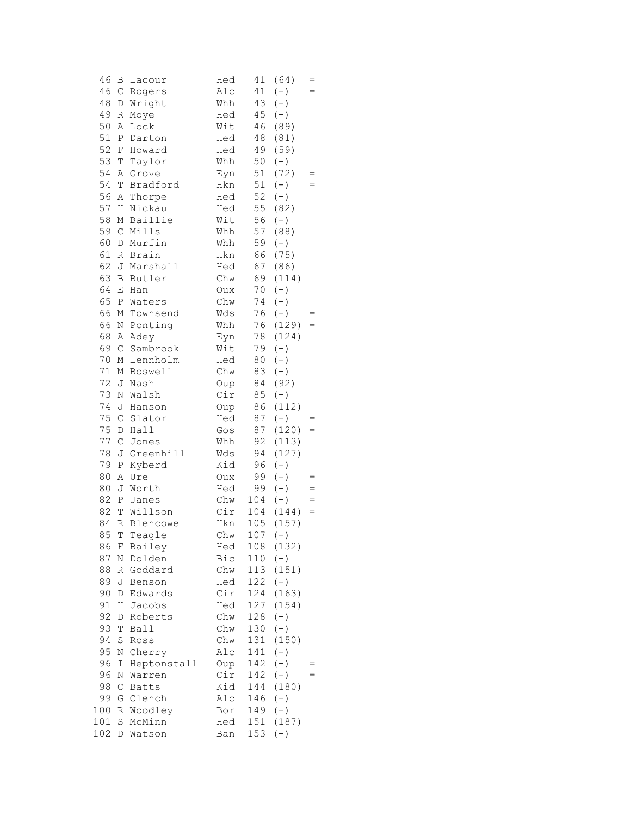| 46     | В            | Lacour       | Hed         | 41        | (64)      | $=$ |
|--------|--------------|--------------|-------------|-----------|-----------|-----|
| 46     | C            | Rogers       | Alc         | 41        | $(-)$     |     |
| 48     | D            | Wright       | Whh         | 43        | $(-)$     |     |
| 49     | R            | Moye         | Hed         | 45        | $(\,-\,)$ |     |
| 50     | Α            | Lock         | Wit         | 46        | (89)      |     |
| 51     | Ρ            | Darton       | Hed         | 48        | (81)      |     |
| 52     | F            | Howard       | Hed         | 49        | (59)      |     |
| 53     | $\mathbb T$  | Taylor       | Whh         | 50        | $(-)$     |     |
| 54     | A            | Grove        | Eyn         | 51        | (72)      | $=$ |
| 54     | $\mathbb T$  | Bradford     | Hkn         | 51        | $(-)$     | $=$ |
| 56     | А            | Thorpe       | Hed         | 52        | $(-)$     |     |
| 57     | Η            | Nickau       | Hed         | 55        | (82)      |     |
| 58     | М            | Baillie      | Wit         | 56        | $(-)$     |     |
| 59     | $\mathsf C$  | Mills        | Whh         | 57        | (88)      |     |
| 60     | D            | Murfin       | Whh         | 59        | $(-)$     |     |
| 61     | R            | Brain        | Hkn         | 66        | (75)      |     |
| 62     | J            | Marshall     | Hed         | 67        | (86)      |     |
| 63     | В            | Butler       | Chw         | 69        | (114)     |     |
| 64     |              |              |             |           |           |     |
|        | Е            | Han          | Oux         | 70        | $(-)$     |     |
| 65     | $\mathbf P$  | Waters       | Chw         | 74        | $(-)$     |     |
| 66     | М            | Townsend     | Wds         | 76        | $(-)$     |     |
| 66     | Ν            | Ponting      | Whh         | 76        | (129)     | $=$ |
| 68     | А            | Adey         | Eyn         | 78        | (124)     |     |
| 69     | $\mathsf C$  | Sambrook     | Wit         | 79        | $(-)$     |     |
| 70     | М            | Lennholm     | Hed         | 80        | $(-)$     |     |
| $7\,1$ | М            | Boswell      | ${\rm Chw}$ | 83        | $(-)$     |     |
| 72     |              | J Nash       | Oup         | 84        | (92)      |     |
| 73     | N            | Walsh        | Cir         | 85        | $(-)$     |     |
| 74     | J            | Hanson       | Oup         | 86        | (112)     |     |
| 75     | $\mathsf C$  | Slator       | Hed         | 87        | $(-)$     |     |
| 75     | D            | Hall         | Gos         | 87        | (120)     | $=$ |
| 77     | $\mathsf C$  | Jones        | Whh         | 92        | (113)     |     |
| 78     | J            | Greenhill    | Wds         | 94        | (127)     |     |
| 79     | Ρ            | Kyberd       | Kid         | 96        | $(-)$     |     |
| 80     | Α            | Ure          | Oux         | 99        | $(-)$     | $=$ |
| 80     | J            | Worth        | Hed         | 99        | $(-)$     | $=$ |
| 82     | Ρ            | Janes        | Chw         | 104       | $(-)$     | $=$ |
| 82     | T            | Willson      | Cir         | 104       | (144)     | $=$ |
| 84     | $\mathbb{R}$ | Blencowe     | Hkn         | 105       | (157)     |     |
| 85     | T.           | Teagle       | Chw         | $107$ (-) |           |     |
| 86     | F            | Bailey       | Hed         | 108       | (132)     |     |
| 87     | Ν            | Dolden       | Bic         | 110       | $(-)$     |     |
| 88     | R            | Goddard      | Chw         | 113       | (151)     |     |
| 89     | J            | Benson       | Hed         | 122       | $(-)$     |     |
| 90     | D            | Edwards      | Cir         | 124       | (163)     |     |
| 91     | Η            | Jacobs       | Hed         | 127       | (154)     |     |
| 92     | D            | Roberts      | Chw         | 128       | $(-)$     |     |
| 93     | Т            | Ball         | Chw         | 130       | $(-)$     |     |
| 94     | S            | Ross         | Chw         | 131       | (150)     |     |
| 95     | Ν            | Cherry       | Alc         | 141       | $(-)$     |     |
| 96     | I            | Heptonstall  | Oup         | 142       | $(-)$     |     |
| 96     | Ν            | Warren       | Cir         | 142       | $(-)$     |     |
| 98     | C            | <b>Batts</b> | Kid         | 144       | (180)     |     |
| 99     | G            | Clench       | Alc         | 146       | $(-)$     |     |
| 100    | R            | Woodley      | Bor         | 149       | $(-)$     |     |
| 101    | S            | McMinn       | Hed         | 151       | (187)     |     |
| 102    | D            | Watson       |             | 153       |           |     |
|        |              |              | Ban         |           | $(-)$     |     |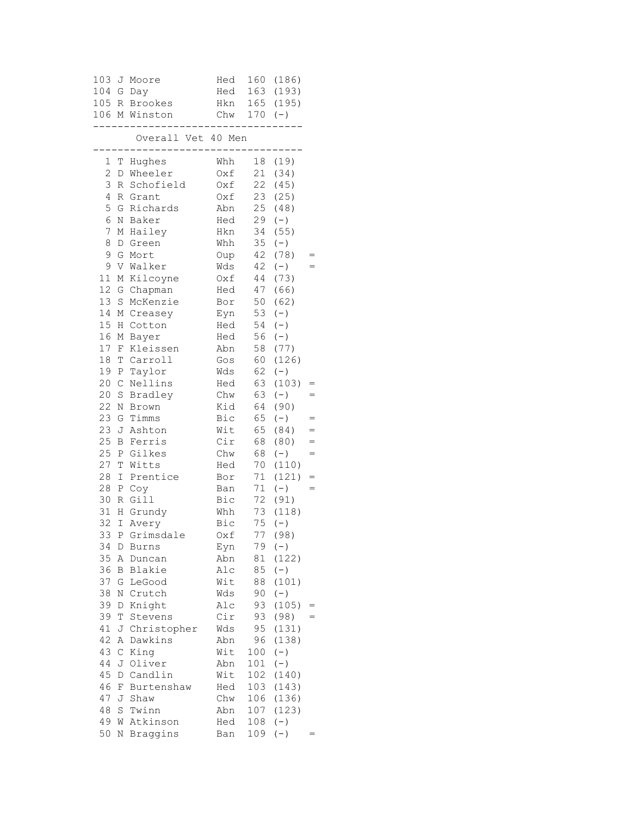| 103         |               | J Moore            | Hed | 160 | (186) |     |
|-------------|---------------|--------------------|-----|-----|-------|-----|
| 104 G       |               | Day                | Hed | 163 | (193) |     |
| 105 R       |               | Brookes            | Hkn | 165 | (195) |     |
|             |               | 106 M Winston      | Chw | 170 | $(-)$ |     |
|             |               | Overall Vet 40 Men |     |     |       |     |
| $\mathbf 1$ | Τ             | Hughes             | Whh | 18  | (19)  |     |
| 2           | D             | Wheeler            | Oxf | 21  | (34)  |     |
| 3           | R             | Schofield          | Oxf | 22  | (45)  |     |
| 4           |               | R Grant            | Oxf | 23  | (25)  |     |
| 5           | G             | Richards           | Abn | 25  | (48)  |     |
| 6           | Ν             | Baker              | Hed | 29  | $(-)$ |     |
| 7           | М             | Hailey             | Hkn | 34  | (55)  |     |
| 8           | D             | Green              | Whh | 35  | $(-)$ |     |
| 9           | G             | Mort               | Oup | 42  | (78)  |     |
| 9           | V             | Walker             | Wds | 42  | $(-)$ |     |
| 11          | М             | Kilcoyne           | Oxf | 44  | (73)  |     |
| 12          | G             | Chapman            | Hed | 47  | (66)  |     |
| 13          | $\rm S$       | McKenzie           | Bor | 50  | (62)  |     |
| 14          | М             | Creasey            | Eyn | 53  | $(-)$ |     |
| 15          | Η             | Cotton             | Hed | 54  | $(-)$ |     |
| 16          | М             | Bayer              | Hed | 56  | $(-)$ |     |
| 17          | F             | Kleissen           | Abn | 58  | (77)  |     |
| 18          | Т             | Carroll            | Gos | 60  | (126) |     |
| 19          | Ρ             | Taylor             | Wds | 62  | $(-)$ |     |
| 20          | $\mathsf C$   | Nellins            | Hed | 63  | (103) |     |
| 20          | $\rm S$       | Bradley            | Chw | 63  | $(-)$ | $=$ |
| 22          | N             | Brown              | Kid | 64  | (90)  |     |
| 23          | G             | Timms              | Bic | 65  | $(-)$ | $=$ |
| 23          | J             | Ashton             | Wit | 65  | (84)  | $=$ |
| 25          | В             | Ferris             | Cir | 68  | (80)  | $=$ |
| 25          | Ρ             | Gilkes             | Chw | 68  | $(-)$ | $=$ |
| 27          | Τ             | Witts              | Hed | 70  | (110) |     |
| 28          | Ι             | Prentice           | Bor | 71  | (121) | $=$ |
| 28          | Ρ             | Coy                | Ban | 71  | $(-)$ |     |
| 30          | R             | Gill               | Bic | 72  | (91)  |     |
| 31          | $\rm H$       | Grundy             | Whh | 73  | (118) |     |
| 32          | $\mathbbm{I}$ | Avery              | Bic | 75  | $(-)$ |     |
| 33          |               | P Grimsdale        | Oxf | 77  | (98)  |     |
| 34          | D             | <b>Burns</b>       | Eyn | 79  | $(-)$ |     |
| 35          | Α             | Duncan             | Abn | 81  | (122) |     |
| 36          | B             | Blakie             | Alc | 85  | $(-)$ |     |
| 37          | G             | LeGood             | Wit | 88  | (101) |     |
| 38          | Ν             | Crutch             | Wds | 90  | $(-)$ |     |
| 39          | D             | Knight             | Alc | 93  | (105) |     |
| 39          | $\mathbb T$   | Stevens            | Cir | 93  | (98)  |     |
| 41          | J             | Christopher        | Wds | 95  | (131) |     |
| 42          | Α             | Dawkins            | Abn | 96  | (138) |     |
| 43          | $\mathsf{C}$  | King               | Wit | 100 | $(-)$ |     |
| 44          | J             | Oliver             | Abn | 101 | $(-)$ |     |
| 45          | D             | Candlin            | Wit | 102 | (140) |     |
| 46          | F             | Burtenshaw         | Hed | 103 | (143) |     |
| 47          | J             | Shaw               | Chw | 106 | (136) |     |
| 48          | $\mathbf S$   | Twinn              | Abn | 107 | (123) |     |
| 49          | W             | Atkinson           | Hed | 108 | $(-)$ |     |
| 50          | Ν             | Braggins           | Ban | 109 | $(-)$ |     |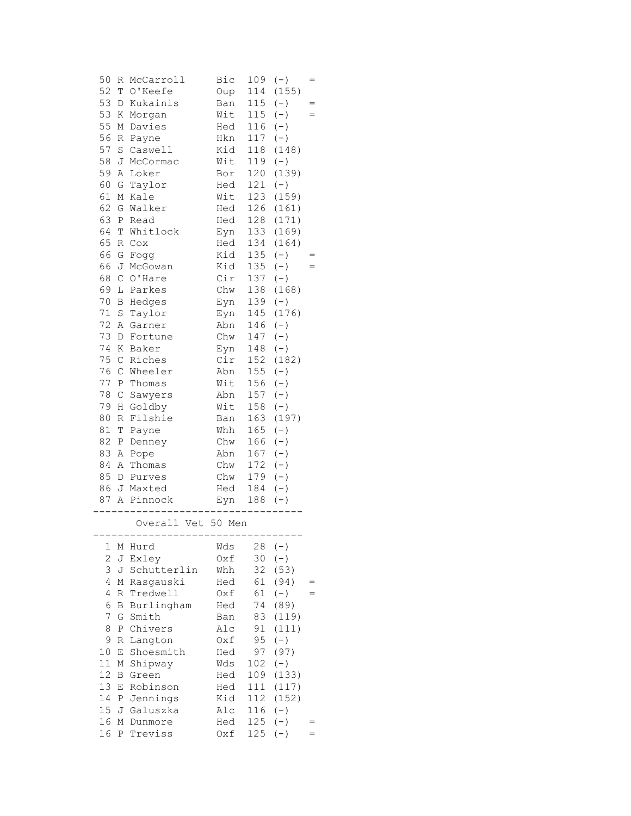| 50             | R                           | McCarroll                            | Bic        | 109        | $(-)$          | $=$      |
|----------------|-----------------------------|--------------------------------------|------------|------------|----------------|----------|
| 52             | T                           | O'Keefe                              | Oup        | 114        | (155)          |          |
| 53             | D                           | Kukainis                             | Ban        | 115        | $(-)$          | $=$      |
| 53             | Κ                           | Morgan                               | Wit        | 115        | $(-)$          | $=$      |
| 55             | М                           | Davies                               | Hed        | 116        | $(-)$          |          |
| 56             | R                           | Payne                                | Hkn        | 117        | $(-)$          |          |
| 57             | S                           | Caswell                              | Kid        | 118        | (148)          |          |
| 58             | J                           | McCormac                             | Wit        | 119        | $(-)$          |          |
| 59             | Α                           | Loker                                | Bor        | 120        | (139)          |          |
| 60             | G                           | Taylor                               | Hed        | 121        | $(-)$          |          |
| 61             | М                           | Kale                                 | Wit        | 123        | (159)          |          |
| 62             | G                           | Walker                               | Hed        | 126        | (161)          |          |
| 63             | Ρ                           | Read                                 | Hed        | 128        | (171)          |          |
| 64             | T                           | Whitlock                             | Eyn        | 133        | (169)          |          |
| 65             | R                           | Cox                                  | Hed        | 134        | (164)          |          |
| 66             | G                           | Fogg                                 | Kid        | 135        | $(-)$          | =        |
| 66             | J                           | McGowan                              | Kid        | 135        | $(-)$          | $=$      |
| 68             | $\mathsf C$                 | O'Hare                               | Cir        | 137        | $(-)$          |          |
| 69             | L                           | Parkes                               | Chw        | 138        | (168)          |          |
| 70             | В                           | Hedges                               | Eyn        | 139        | $(-)$          |          |
| 71             | $\rm S$                     | Taylor                               | Eyn        | 145        | (176)          |          |
| 72             | Α                           | Garner                               | Abn        | 146        | $(-)$          |          |
| 73             | D                           | Fortune                              | Chw        | 147        | $(-)$          |          |
| 74             | Κ                           | Baker                                | Eyn        | 148        | $(-)$          |          |
| 75             | $\mathsf C$                 | Riches                               | Cir        | 152        | (182)          |          |
| 76             | $\mathsf C$                 | Wheeler                              | Abn        | 155        |                |          |
| 77             |                             |                                      | Wit        | 156        | $(-)$          |          |
|                | $\, {\bf P}$<br>$\mathsf C$ | Thomas                               |            |            | $(-)$          |          |
| 78<br>79       |                             | Sawyers                              | Abn<br>Wit | 157        | $(-)$          |          |
| 80             | H                           | Goldby                               |            | 158<br>163 | $(-)$<br>(197) |          |
| 81             | R                           | Filshie                              | Ban        |            |                |          |
| 82             | Т<br>Ρ                      | Payne                                | Whh<br>Chw | 165<br>166 | $(-)$<br>$(-)$ |          |
| 83             |                             | Denney                               |            |            |                |          |
| 84             | Α                           | Pope                                 | Abn        | 167        | $(-)$<br>$(-)$ |          |
| 85             | Α<br>$\mathbb D$            | Thomas                               | Chw<br>Chw | 172<br>179 |                |          |
| 86             |                             | Purves<br>J Maxted                   |            | 184        | $(-)$          |          |
| 87             |                             |                                      | Hed        |            | $(\,-\,)$      |          |
|                |                             | A Pinnock                            | Eyn        | 188        | $(\, - \,)$    |          |
|                |                             | Overall Vet 50 Men                   |            |            |                |          |
| 1              | Μ                           | ----------------------------<br>Hurd | Wds        | 28         | $(-)$          |          |
| $\overline{c}$ | J                           | Exley                                | Oxf        | 30         | $(-)$          |          |
| 3              | J                           | Schutterlin                          | Whh        | 32         | (53)           |          |
| 4              | М                           | Rasgauski                            | Hed        | 61         | (94)           | $=$      |
| 4              | R                           | Tredwell                             | Oxf        | 61         | $(-)$          |          |
| 6              | В                           | Burlingham                           | Hed        | 74         | (89)           |          |
| 7              | G                           | Smith                                | Ban        | 83         | (119)          |          |
| 8              | Ρ                           | Chivers                              | Alc        | 91         | (111)          |          |
| 9              | R                           | Langton                              | Oxf        | 95         | $(-)$          |          |
| 10             | Ε                           | Shoesmith                            | Hed        | 97         | (97)           |          |
| 11             | М                           | Shipway                              | Wds        | 102        | $(-)$          |          |
| 12             | В                           | Green                                | Hed        | 109        | (133)          |          |
| 13             | Ε                           | Robinson                             | Hed        | 111        | (117)          |          |
| 14             | Ρ                           | Jennings                             | Kid        | 112        | (152)          |          |
| 15             | J                           | Galuszka                             |            | 116        | $(-)$          |          |
| 16             |                             |                                      | Alc        | 125        |                |          |
| 16             | Μ                           | Dunmore                              | Hed        |            | $(-)$          | =<br>$=$ |
|                | Ρ                           | Treviss                              | Oxf        | 125        | $(-)$          |          |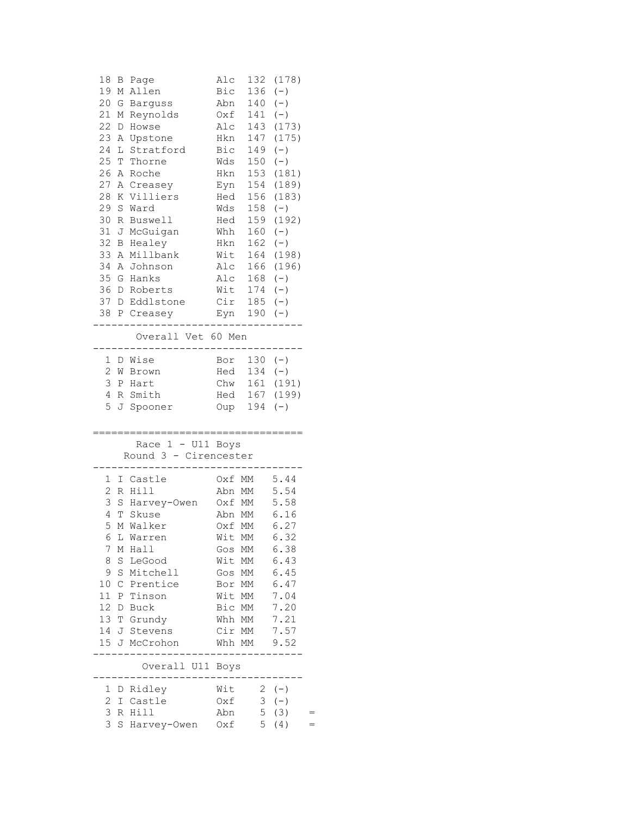| 18<br>В<br>Page                                            | 132<br>Alc                        | (178)                  |
|------------------------------------------------------------|-----------------------------------|------------------------|
| 19<br>Allen<br>Μ<br>20<br>G<br><b>Barquss</b>              | Bic<br>136<br>Abn<br>140          | $(-)$<br>$(-)$         |
| 21<br>Reynolds<br>Μ                                        | Oxf<br>141                        | $(-)$                  |
| 22<br>Howse<br>D<br>23<br>Α<br>Upstone                     | 143<br>Alc<br>Hkn<br>147          | (173)<br>(175)         |
| 24<br>Stratford<br>L                                       | Bic<br>149                        | $(-)$                  |
| 25<br>Т<br>Thorne<br>26<br>Roche<br>Α                      | 150<br>Wds<br>Hkn<br>153          | $(-)$<br>(181)         |
| 27<br>Creasey<br>Α                                         | 154<br>Eyn                        | (189)                  |
| 28<br>Villiers<br>Κ<br>29                                  | 156<br>Hed                        | (183)                  |
| -S<br>Ward<br>30<br>R<br>Buswell                           | Wds<br>158<br>159<br>Hed          | $(-)$<br>(192)         |
| 31<br>McGuigan<br>J                                        | 160<br>Whh                        | $(-)$                  |
| 32<br>В<br>Healey<br>33<br>Α<br>Millbank                   | 162<br>Hkn<br>Wit<br>164          | $(-)$<br>(198)         |
| 34<br>Α<br>Johnson                                         | Alc<br>166                        | (196)                  |
| 35<br>G<br>Hanks                                           | Alc<br>168                        | $(-)$                  |
| 36<br>D<br>Roberts<br>37<br>Eddlstone<br>D                 | Wit<br>174<br>Cir<br>185          | $(-)$<br>$(-)$         |
| 38<br>P Creasey                                            | Eyn<br>190                        | $(-)$                  |
| Overall Vet 60 Men                                         |                                   |                        |
| 1<br>D Wise                                                | Bor                               | $130 (-)$              |
| 2<br>W<br>Brown                                            | 134<br>Hed                        | $(-)$                  |
| 3<br>$\mathbb{P}$<br>Hart<br>4<br>Smith<br>R               | 161<br>Chw<br>167<br>Hed          | (191)<br>(199)         |
| 5<br>J<br>Spooner                                          | 194<br>Oup                        | $(-)$                  |
|                                                            |                                   |                        |
| $1 - U11$ Boys<br>Race<br>Round 3 - Cirencester            |                                   |                        |
|                                                            |                                   |                        |
| Castle<br>1<br>I.<br>2<br>Hill<br>R                        | Oxf<br>МM<br>Abn<br>МM            | 5.44<br>5.54           |
| 3<br>S<br>Harvey-Owen                                      | Oxf MM                            | 5.58                   |
| 4<br>T<br>Skuse<br>5                                       | Abn MM                            | 6.16                   |
| Walker<br>М<br>6<br>L<br>Warren                            | 0xf<br>МM<br>Wit<br>МM            | 6.27<br>6.32           |
| 7<br>Hall<br>М                                             | $\mathop{\rm MM}\nolimits$<br>Gos | 6.38                   |
| 8<br>$\mathbf S$<br>LeGood<br>9<br>$\mathbf S$<br>Mitchell | MM<br>Wit<br>МM<br>Gos            | 6.43<br>6.45           |
| 10<br>$\mathsf C$<br>Prentice                              | МM<br>Bor                         | 6.47                   |
| 11<br>$\, {\bf P}$<br>Tinson                               | Wit<br>МM                         | 7.04                   |
| 12<br>$\mathbb D$<br>Buck<br>13 T<br>Grundy                | Bic MM<br>Whh MM                  | 7.20<br>7.21           |
| 14 J Stevens                                               | Cir MM                            | 7.57                   |
| 15 J McCrohon                                              | Whh MM                            | 9.52                   |
| Overall U11                                                | Boys                              |                        |
| Ridley<br>$\mathbf 1$<br>D                                 |                                   |                        |
|                                                            | Wit                               | $(-)$<br>$\mathbf{2}$  |
| $\mathbf 2$<br>Castle<br>Ι<br>3<br>Hill<br>R               | 0xf<br>Abn                        | 3<br>$(-)$<br>5<br>(3) |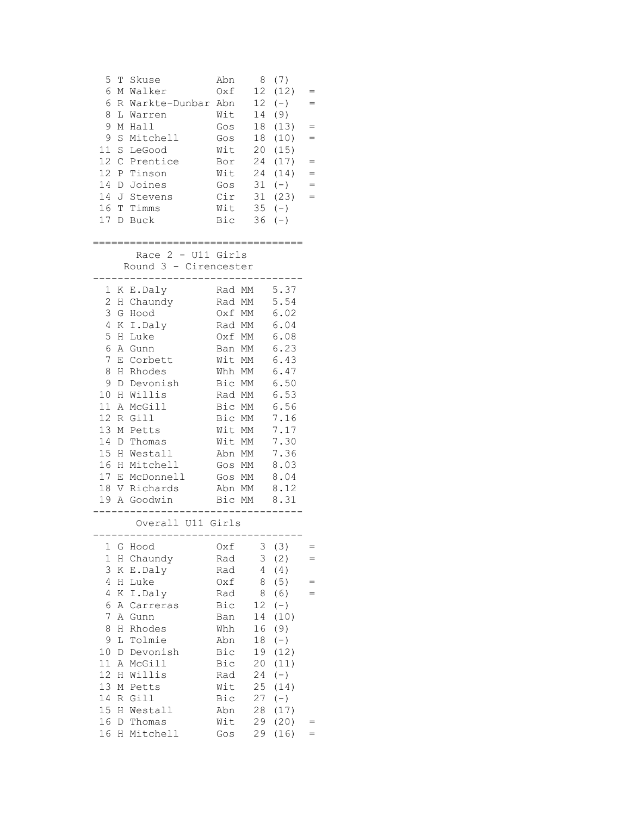| 5<br>6<br>6<br>8<br>9<br>9<br>11<br>12<br>12<br>14<br>14<br>16<br>17                                                                       | R<br>L<br>М<br>S<br>$\rm S$<br>$\mathsf C$<br>Ρ<br>D     | T Skuse<br>M Walker<br>Warkte-Dunbar<br>Warren<br>Hall<br>Mitchell<br>LeGood<br>Prentice<br>Tinson<br>Joines<br>J Stevens<br>T Timms<br>D Buck                                                                                    | Abn<br>0xf<br>Abn<br>Wit<br>Gos<br>Gos<br>Wit<br>Bor<br>Wit<br>Gos<br>Cir<br>Wit<br>Bic                                                                                                 | 8<br>12 <sup>°</sup><br>12 <sup>°</sup><br>14<br>18<br>18<br>20<br>24<br>24<br>31<br>31<br>35<br>36 | (7)<br>(12)<br>$(-)$<br>(9)<br>(13)<br>(10)<br>(15)<br>(17)<br>(14)<br>$(-)$<br>(23)<br>$(-)$<br>$(-)$                                               | $=$<br>$=$<br>$=$<br>$=$<br>=<br>$=$<br>$=$ |
|--------------------------------------------------------------------------------------------------------------------------------------------|----------------------------------------------------------|-----------------------------------------------------------------------------------------------------------------------------------------------------------------------------------------------------------------------------------|-----------------------------------------------------------------------------------------------------------------------------------------------------------------------------------------|-----------------------------------------------------------------------------------------------------|------------------------------------------------------------------------------------------------------------------------------------------------------|---------------------------------------------|
|                                                                                                                                            |                                                          | Race $2 - U11$ Girls<br>Round 3 - Cirencester                                                                                                                                                                                     |                                                                                                                                                                                         |                                                                                                     |                                                                                                                                                      |                                             |
| 1<br>$\mathbf{2}$<br>3<br>4<br>5<br>6<br>7<br>8<br>9<br>10<br>11<br>12 <sup>2</sup><br>13<br>14<br>15 <sub>1</sub><br>16<br>17<br>18<br>19 | Н<br>G<br>Κ<br>H<br>Α<br>Ε<br>D<br>Α<br>D<br>Н<br>Н<br>Е | K E.Daly<br>Chaundy<br>Hood<br>I.Daly<br>Luke<br>Gunn<br>Corbett<br>H Rhodes<br>Devonish<br>H Willis<br>McGill<br>R Gill<br>M Petts<br>Thomas<br>Westall<br>Mitchell<br>McDonnell<br>V Richards<br>A Goodwin<br>Overall U11 Girls | Rad MM<br>Rad MM<br>Oxf MM<br>Rad MM<br>Oxf MM<br>Ban MM<br>Wit MM<br>Whh MM<br>Bic MM<br>Rad MM<br>Bic MM<br>Bic MM<br>Wit MM<br>Wit MM<br>Abn MM<br>Gos MM<br>Gos MM<br>Abn MM<br>Bic | MM                                                                                                  | 5.37<br>5.54<br>6.02<br>6.04<br>6.08<br>6.23<br>6.43<br>6.47<br>6.50<br>6.53<br>6.56<br>7.16<br>7.17<br>7.30<br>7.36<br>8.03<br>8.04<br>8.12<br>8.31 |                                             |
| 1<br>1                                                                                                                                     | G<br>Η                                                   | -------<br>Hood<br>Chaundy                                                                                                                                                                                                        | .<br>Oxf<br>Rad                                                                                                                                                                         | 3<br>3                                                                                              | (3)<br>(2)                                                                                                                                           | $=$<br>$=$                                  |
| 3<br>4                                                                                                                                     | Κ<br>Н                                                   | E.Daly<br>Luke                                                                                                                                                                                                                    | Rad<br>Oxf                                                                                                                                                                              | 4<br>8                                                                                              | (4)<br>(5)                                                                                                                                           |                                             |
| 4                                                                                                                                          | Κ                                                        | I.Daly                                                                                                                                                                                                                            | Rad                                                                                                                                                                                     | 8                                                                                                   | (6)                                                                                                                                                  |                                             |
| 6                                                                                                                                          | Α                                                        | Carreras                                                                                                                                                                                                                          | Bic                                                                                                                                                                                     | 12                                                                                                  | $(-)$                                                                                                                                                |                                             |
| 7                                                                                                                                          | Α                                                        | Gunn                                                                                                                                                                                                                              | Ban                                                                                                                                                                                     | 14                                                                                                  | (10)                                                                                                                                                 |                                             |
| 8                                                                                                                                          | Η                                                        | Rhodes                                                                                                                                                                                                                            | Whh                                                                                                                                                                                     | 16                                                                                                  | (9)                                                                                                                                                  |                                             |
| 9<br>10                                                                                                                                    | L<br>D                                                   | Tolmie<br>Devonish                                                                                                                                                                                                                | Abn<br>Bic                                                                                                                                                                              | 18<br>19                                                                                            | $(-)$<br>(12)                                                                                                                                        |                                             |
| 11                                                                                                                                         | Α                                                        | McGill                                                                                                                                                                                                                            | Bic                                                                                                                                                                                     | 20                                                                                                  | (11)                                                                                                                                                 |                                             |
| 12                                                                                                                                         | Η                                                        | Willis                                                                                                                                                                                                                            | Rad                                                                                                                                                                                     | 24                                                                                                  | $(-)$                                                                                                                                                |                                             |
| 13                                                                                                                                         | Μ                                                        | Petts                                                                                                                                                                                                                             | Wit                                                                                                                                                                                     | 25                                                                                                  | (14)                                                                                                                                                 |                                             |
| 14                                                                                                                                         | R                                                        | Gill                                                                                                                                                                                                                              | Bic                                                                                                                                                                                     | 27                                                                                                  | $(-)$                                                                                                                                                |                                             |
| 15                                                                                                                                         | Η                                                        | Westall                                                                                                                                                                                                                           | Abn                                                                                                                                                                                     | 28                                                                                                  | (17)                                                                                                                                                 |                                             |
| 16                                                                                                                                         | D                                                        | Thomas                                                                                                                                                                                                                            | Wit                                                                                                                                                                                     | 29                                                                                                  | (20)                                                                                                                                                 |                                             |
| 16                                                                                                                                         | Η                                                        | Mitchell                                                                                                                                                                                                                          | Gos                                                                                                                                                                                     | 29                                                                                                  | (16)                                                                                                                                                 |                                             |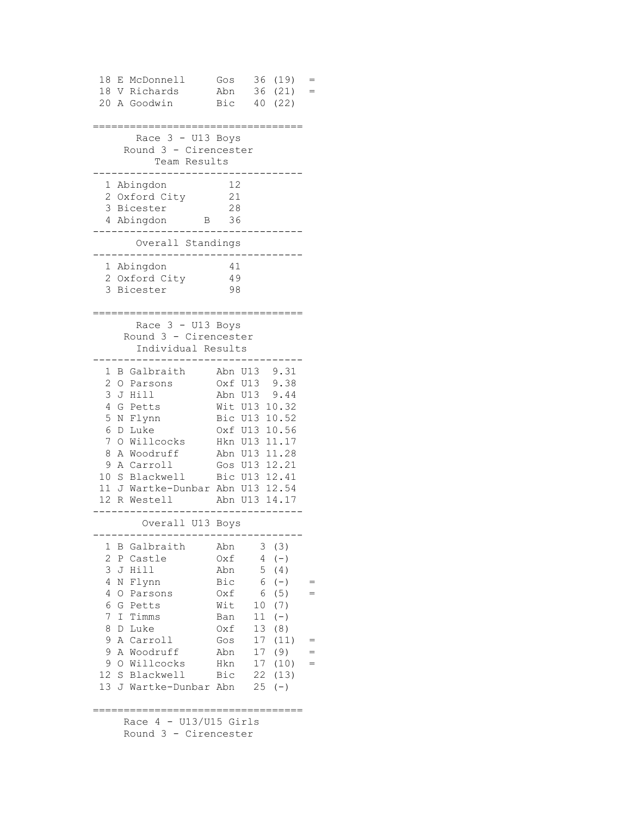```
18 E McDonnell Gos 36 (19) =
 18 V Richards Abn 36 (21) =
20 A Goodwin Bic 40 (22) 
==================================
     Race 3 - U13 Boys
    Round 3 - Cirencester
       Team Results
----------------------------------
 1 Abingdon 12
 2 Oxford City 21
 3 Bicester 28
  4 Abingdon B 36
----------------------------------
     Overall Standings
----------------------------------
  1 Abingdon 41
  2 Oxford City 49
  3 Bicester 98
==================================
     Race 3 - U13 Boys
    Round 3 - Cirencester
      Individual Results
----------------------------------
 1 B Galbraith Abn U13 9.31
 2 O Parsons Oxf U13 9.38
 3 J Hill Abn U13 9.44
 4 G Petts Wit U13 10.32
 5 N Flynn Bic U13 10.52
 6 D Luke Oxf U13 10.56
 7 O Willcocks Hkn U13 11.17
 8 A Woodruff Abn U13 11.28
 9 A Carroll Gos U13 12.21
 10 S Blackwell Bic U13 12.41
11 J Wartke-Dunbar Abn U13 12.54
12 R Westell Abn U13 14.17
----------------------------------
       Overall U13 Boys
----------------------------------
  1 B Galbraith Abn 3 (3) 
 2 P Castle Oxf 4 (-) 
 3 J Hill Abn 5 (4) 
 4 N Flynn Bic 6 (-) =
 4 O Parsons Oxf 6 (5) =
 4 N Flynn<br>
4 O Parsons bxf 6 (5)<br>
6 G Petts Wit 10 (7)
  7 I Timms Ban 11 (-) 
 8 D Luke 0xf 13 (8)<br>9 A Carroll Gos 17 (11
               Gos 17 (11) = 9 A Woodruff Abn 17 (9) =
 9 O Willcocks Hkn 17 (10) =
 12 S Blackwell Bic 22 (13) 
13 J Wartke-Dunbar Abn 25 (-) 
==================================
```
 Race 4 - U13/U15 Girls Round 3 - Cirencester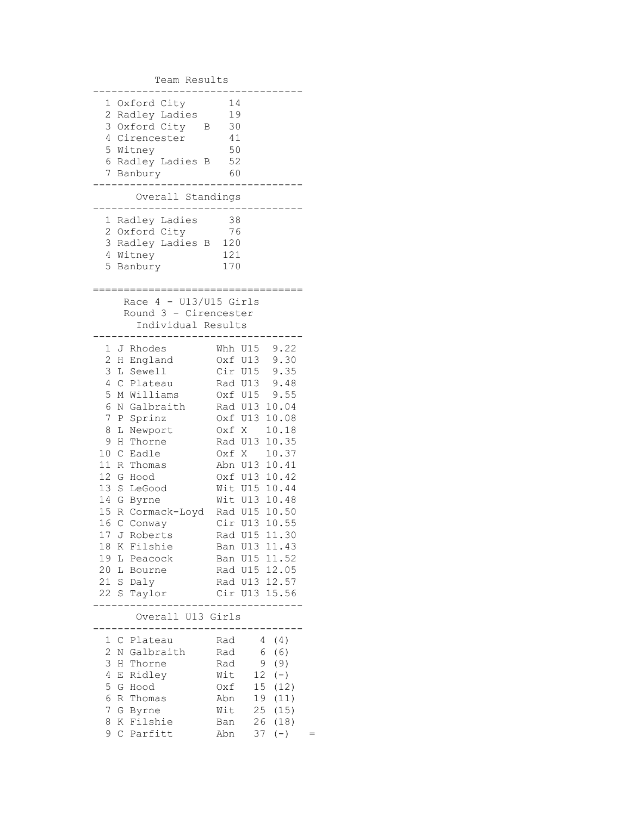Team Results ---------------------------------- 1 Oxford City 14 2 Radley Ladies 19 3 Oxford City B 30 4 Cirencester 41 5 Witney 50 6 Radley Ladies B 52 7 Banbury 60 ---------------------------------- Overall Standings ---------------------------------- 1 Radley Ladies 38 2 Oxford City 76 3 Radley Ladies B 120 4 Witney 121 5 Banbury 170 ================================== Race  $4 - U13/U15$  Girls Round 3 - Cirencester Individual Results ---------------------------------- 1 J Rhodes Whh U15 9.22 2 H England Oxf U13 9.30 3 L Sewell Cir U15 9.35 4 C Plateau Rad U13 9.48 5 M Williams Oxf U15 9.55 6 N Galbraith Rad U13 10.04 7 P Sprinz Oxf U13 10.08 8 L Newport Oxf X 10.18 9 H Thorne Rad U13 10.35 10 C Eadle Oxf X 10.37 11 R Thomas Abn U13 10.41 12 G Hood Oxf U13 10.42 13 S LeGood Wit U15 10.44 14 G Byrne Wit U13 10.48 15 R Cormack-Loyd Rad U15 10.50 16 C Conway Cir U13 10.55 17 J Roberts Rad U15 11.30 18 K Filshie Ban U13 11.43 19 L Peacock Ban U15 11.52 20 L Bourne Rad U15 12.05 21 S Daly Rad U13 12.57 22 S Taylor Cir U13 15.56 ---------------------------------- Overall U13 Girls ---------------------------------- 1 C Plateau Rad 4 (4) 2 N Galbraith Rad 6 (6) 3 H Thorne Rad 9 (9) 4 E Ridley Wit 12 (-) 5 G Hood Oxf 15 (12) 6 R Thomas Abn 19 (11) 7 G Byrne Wit 25 (15) 8 K Filshie Ban 26 (18) 9 C Parfitt Abn 37 (-) =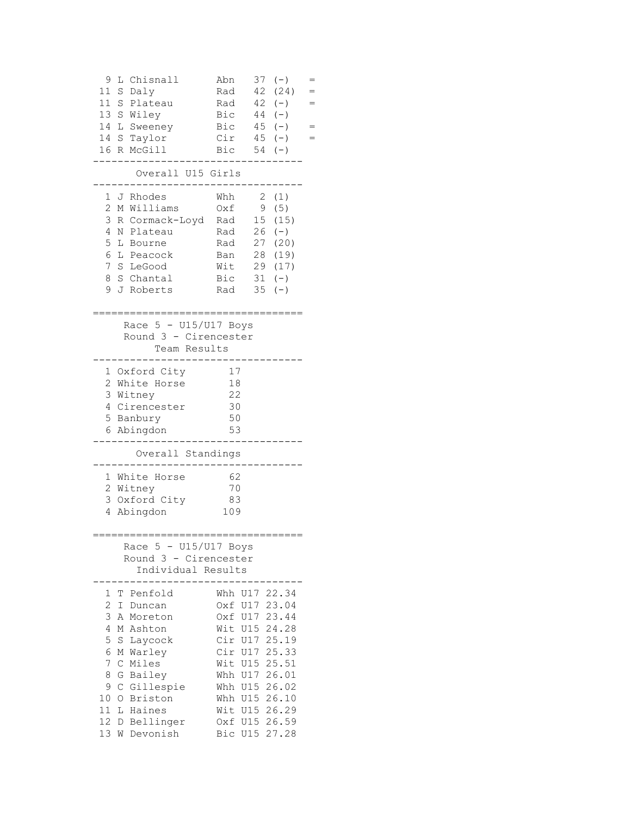| Chisnall<br>9<br>L<br>11<br>$\rm S$<br>Daly                 | Abn<br>37<br>$(-)$<br>42<br>(24)<br>Rad           |  |
|-------------------------------------------------------------|---------------------------------------------------|--|
| 11<br>S Plateau                                             | 42<br>$(-)$<br>Rad                                |  |
| 13 S Wiley<br>14 L Sweeney                                  | $(-)$<br>Bic<br>44<br>Bic<br>$45 (-)$             |  |
| 14<br>S Taylor                                              | Cir<br>$45 (-)$                                   |  |
| 16<br>R McGill                                              | Bic<br>$54 (-)$                                   |  |
| Overall U15 Girls                                           |                                                   |  |
| J Rhodes<br>1                                               | Whh<br>2(1)                                       |  |
| $\mathbf{2}$<br>M Williams<br>3<br>R Cormack-Loyd           | 9<br>(5)<br>Oxf<br>15 <sub>1</sub><br>(15)<br>Rad |  |
| 4<br>N Plateau                                              | 26<br>Rad<br>$(-)$                                |  |
| 5<br>L Bourne                                               | Rad<br>27<br>(20)                                 |  |
| 6<br>L Peacock<br>7<br>S LeGood                             | 28<br>(19)<br>Ban<br>Wit<br>29<br>(17)            |  |
| 8<br>S Chantal                                              | Bic<br>31<br>$(-)$                                |  |
| 9<br>J Roberts                                              | 35<br>Rad<br>$(-)$                                |  |
|                                                             |                                                   |  |
| Race $5 - U15/U17$ Boys<br>Round 3 - Cirencester            |                                                   |  |
| Team Results                                                |                                                   |  |
| 1 Oxford City                                               | 17                                                |  |
| $\overline{2}$<br>White Horse                               | 18                                                |  |
| 3 Witney<br>4 Cirencester                                   | 22<br>30                                          |  |
| 5 Banbury                                                   | 50                                                |  |
| 6 Abingdon                                                  | 53                                                |  |
| Overall Standings                                           |                                                   |  |
| 1 White Horse                                               | 62                                                |  |
| 2 Witney<br>3<br>Oxford City                                | 70<br>83                                          |  |
| 4<br>Abingdon                                               | 109                                               |  |
|                                                             |                                                   |  |
| Race $5 - U15/U17$ Boys                                     |                                                   |  |
| Round 3 - Cirencester<br>Individual Results                 |                                                   |  |
|                                                             |                                                   |  |
| T Penfold<br>1<br>$\overline{c}$<br>$\mathbbm{I}$<br>Duncan | Whh U17 22.34<br>23.04<br>Oxf U17                 |  |
| 3<br>Α<br>Moreton                                           | 23.44<br>U17<br>Oxf                               |  |
| 4<br>M Ashton                                               | U15 24.28<br>Wit                                  |  |
| 5<br>S<br>Laycock<br>6<br>M Warley                          | U17 25.19<br>Cir<br>U17 25.33<br>Cir              |  |
| 7<br>$\mathsf C$<br>Miles                                   | Wit<br>U15 25.51                                  |  |
| 8<br>G<br>Bailey                                            | U17<br>26.01<br>Whh                               |  |
| 9<br>$\mathcal{C}$<br>Gillespie                             | 26.02<br>Whh U15                                  |  |
| 0 Briston<br>10                                             | 26.10<br>Whh U15                                  |  |
| 11<br>L Haines<br>12 <sup>°</sup><br>D Bellinger            | Wit U15 26.29<br>U15 26.59<br>Oxf                 |  |
| 13 W Devonish                                               | Bic U15 27.28                                     |  |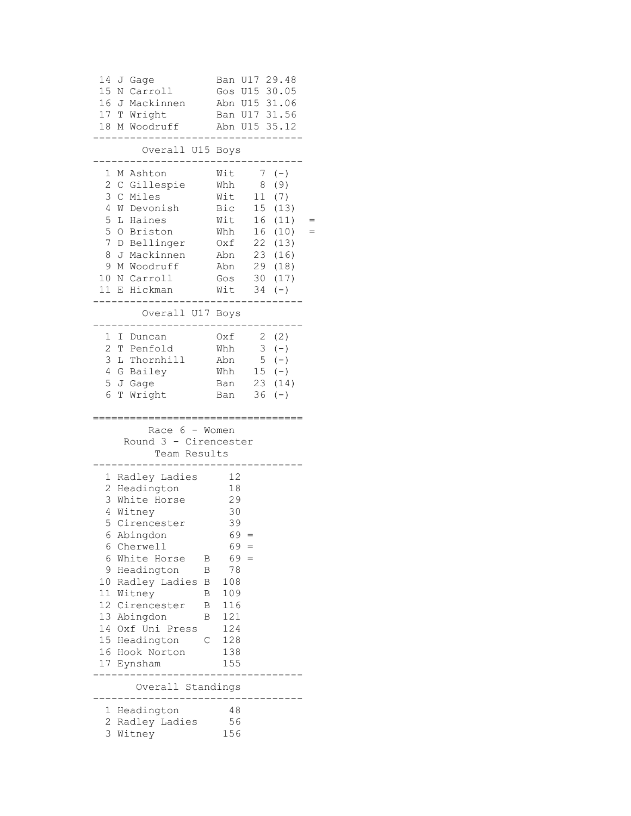| 15<br>Ν<br>Carroll<br>16<br>Mackinnen<br>J<br>17 T<br>Wright<br>$1\,8$<br>M Woodruff                                                                                                                                                                                                                                                               | 29.48<br>U17<br>Ban<br>U15 30.05<br>Gos<br>U15 31.06<br>Abn<br>Ban U17 31.56<br>Abn U15 35.12                                                                                                                                                                |
|----------------------------------------------------------------------------------------------------------------------------------------------------------------------------------------------------------------------------------------------------------------------------------------------------------------------------------------------------|--------------------------------------------------------------------------------------------------------------------------------------------------------------------------------------------------------------------------------------------------------------|
| Overall U15                                                                                                                                                                                                                                                                                                                                        | Boys                                                                                                                                                                                                                                                         |
| 1<br>M Ashton<br>2<br>$\mathsf C$<br>Gillespie<br>3<br>$\mathsf{C}$<br>Miles<br>4<br>W<br>Devonish<br>5<br>L<br>Haines<br>5<br>O Briston<br>7<br>D Bellinger<br>8<br>J Mackinnen<br>9<br>M Woodruff<br>10<br>N Carroll<br>11<br>E Hickman                                                                                                          | Wit<br>$7\overline{ }$<br>$(-)$<br>8<br>(9)<br>Whh<br>Wit<br>11<br>(7)<br>15 <sub>1</sub><br>Bic<br>(13)<br>16<br>(11)<br>Wit<br>16<br>Whh<br>(10)<br>22<br>Oxf<br>(13)<br>23<br>Abn<br>(16)<br>29<br>Abn<br>(18)<br>30<br>(17)<br>Gos<br>Wit<br>34<br>$(-)$ |
| Overall U17 Boys                                                                                                                                                                                                                                                                                                                                   |                                                                                                                                                                                                                                                              |
| 1<br>I<br>Duncan<br>$\mathbf{2}$<br>$\mathbb{T}$<br>Penfold<br>3<br>Thornhill<br>L<br>4<br>G Bailey<br>5<br>J Gage<br>6<br>T<br>Wright                                                                                                                                                                                                             | Oxf<br>(2)<br>2<br>3<br>Whh<br>$(-)$<br>5<br>Abn<br>$(-)$<br>15 <sub>1</sub><br>Whh<br>$(-)$<br>23<br>(14)<br>Ban<br>36<br>$(-)$<br>Ban                                                                                                                      |
| Race 6 - Women<br>Round 3 - Cirencester<br>Team Results                                                                                                                                                                                                                                                                                            |                                                                                                                                                                                                                                                              |
|                                                                                                                                                                                                                                                                                                                                                    |                                                                                                                                                                                                                                                              |
| Radley Ladies<br>1<br>2<br>Headington<br>3<br>White Horse<br>4<br>Witney<br>5<br>Cirencester<br>6 Abingdon<br>6<br>Cherwell<br>6<br>White Horse<br>Β<br>9<br>Headington<br>В<br>10<br>Radley Ladies<br>В<br>11 Witney<br>В<br>12 Cirencester<br>Β<br>13 Abingdon<br>В<br>14 Oxf Uni Press<br>15 Headington<br>С<br>16 Hook Norton<br>17<br>Eynsham | 12<br>18<br>29<br>30<br>39<br>69<br>$69 =$<br>$69 =$<br>78<br>108<br>109<br>116<br>121<br>124<br>128<br>138<br>155                                                                                                                                           |
| Overall Standings                                                                                                                                                                                                                                                                                                                                  |                                                                                                                                                                                                                                                              |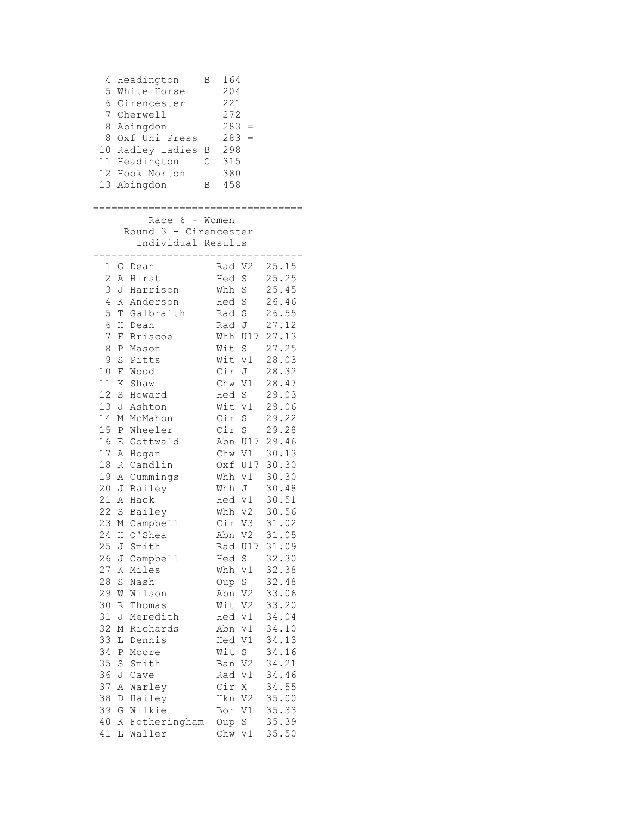| 13 Abingdon<br>458<br>Β<br>Race 6 - Women<br>Round 3 - Cirencester<br>Individual Results<br>25.15<br>1<br>Rad V2<br>G Dean<br>$\overline{c}$<br>25.25<br>A Hirst<br>Hed<br>S<br>25.45<br>3<br>J Harrison<br>Whh S<br>26.46<br>4<br>K Anderson<br>Hed S<br>5<br>26.55<br>T Galbraith<br>Rad S<br>6<br>27.12<br>Dean<br>Rad J<br>Η<br>7<br>Briscoe<br>Whh U17<br>27.13<br>F<br>8<br>Wit S<br>27.25<br>P Mason<br>9<br>S<br>Pitts<br>Wit V1<br>28.03<br>Cir J<br>28.32<br>10<br>F Wood<br>11<br>28.47<br>Shaw<br>Chw V1<br>Κ<br>12<br>S<br>Hed S<br>29.03<br>Howard<br>13<br>Wit V1<br>29.06<br>J Ashton<br>14<br>29.22<br>Cir S<br>McMahon<br>М<br>15<br>Cir S<br>29.28<br>Wheeler<br>Ρ<br>16<br>Abn U17<br>29.46<br>Gottwald<br>Ε<br>17<br>Chw V1<br>30.13<br>Α<br>Hogan<br>18<br>30.30<br>Candlin<br>Oxf U17<br>R<br>19<br>30.30<br>A Cummings<br>Whh V1<br>20<br>30.48<br>J Bailey<br>J<br>Whh<br>30.51<br>21<br>Hack<br>Hed V1<br>Α<br>22<br>30.56<br>Bailey<br>$\rm S$<br>Whh V2 |  |
|-------------------------------------------------------------------------------------------------------------------------------------------------------------------------------------------------------------------------------------------------------------------------------------------------------------------------------------------------------------------------------------------------------------------------------------------------------------------------------------------------------------------------------------------------------------------------------------------------------------------------------------------------------------------------------------------------------------------------------------------------------------------------------------------------------------------------------------------------------------------------------------------------------------------------------------------------------------------------------------|--|
|                                                                                                                                                                                                                                                                                                                                                                                                                                                                                                                                                                                                                                                                                                                                                                                                                                                                                                                                                                                     |  |
|                                                                                                                                                                                                                                                                                                                                                                                                                                                                                                                                                                                                                                                                                                                                                                                                                                                                                                                                                                                     |  |
| 23<br>31.02<br>M Campbell<br>Cir V3<br>24 H O'Shea<br>31.05<br>Abn V2<br>25<br>Smith<br>J<br>Rad<br>U17<br>31.09<br>26<br>$\rm S$<br>32.30<br>J<br>Campbell<br>Hed<br>27<br>Κ<br>Miles<br>V1<br>32.38<br>Whh<br>28<br>32.48<br>S<br>Nash<br>S<br>Oup<br>29<br>V <sub>2</sub><br>33.06<br>Wilson<br>Abn<br>W<br>33.20<br>30<br>Thomas<br>Wit<br>V2<br>R<br>31<br>34.04<br>Meredith<br>Hed<br>V1<br>J<br>32<br>V1<br>34.10<br>Μ<br>Richards<br>Abn<br>33<br>V1<br>34.13<br>L<br>Dennis<br>Hed<br>34<br>$\rm S$<br>34.16<br>Moore<br>Wit<br>Ρ<br>35<br>S<br>Smith<br>34.21<br>V2<br>Ban<br>36<br>J<br>34.46<br>Cave<br>Rad<br>V1<br>37<br>Cir<br>34.55<br>Warley<br>Α<br>Χ<br>38<br>35.00<br>Hailey<br>V <sub>2</sub><br>D<br>Hkn<br>35.33<br>39<br>Wilkie<br>G<br>V1<br>Bor<br>40<br>35.39<br>Fotheringham<br>Oup<br>S<br>Κ                                                                                                                                                           |  |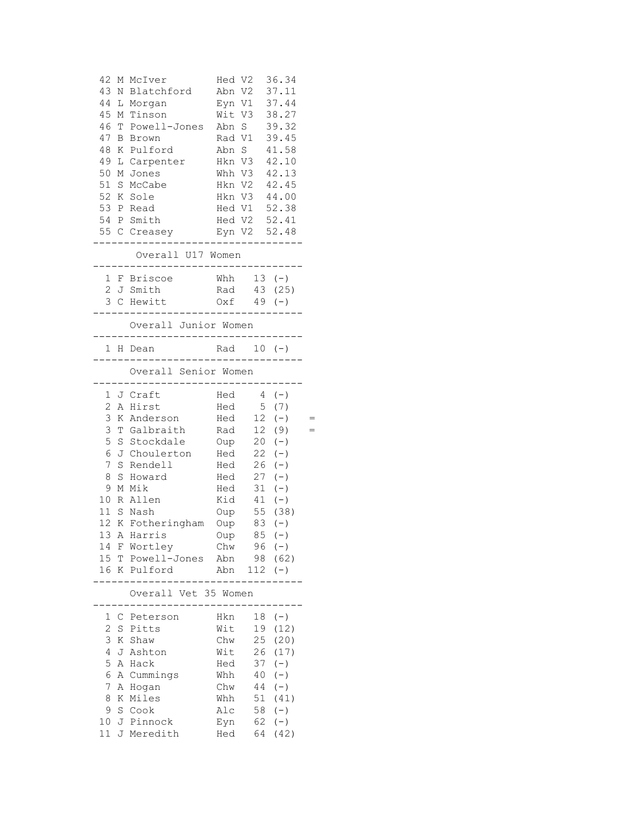| 42<br>43<br>44<br>45<br>46<br>47<br>48<br>49<br>50<br>51<br>52 K<br>53 P<br>54 P<br>1 | Μ<br>Ν<br>L<br>M<br>Т<br>Β<br>Κ<br>L<br>М<br>$\mathbf S$ | McIver<br>Blatchford<br>Morgan<br>Tinson<br>Powell-Jones<br>Brown<br>Pulford<br>Carpenter<br>Jones<br>McCabe<br>Sole<br>Read<br>Smith<br>55 C Creasey<br>Overall U17 Women<br>F Briscoe                  | Hed V2<br>Abn V2<br>Abn S<br>Rad V1<br>Abn S<br>Hkn V3<br>Whh V3<br>Hkn V2<br>Whh                            | Eyn V1<br>Wit V3<br>Hkn V3<br>Hed V1 52.38<br>Hed V2 52.41<br>Eyn V2 52.48   | 36.34<br>37.11<br>37.44<br>38.27<br>39.32<br>39.45<br>41.58<br>42.10<br>42.13<br>42.45<br>44.00<br>$13 (-)$                                        |  |
|---------------------------------------------------------------------------------------|----------------------------------------------------------|----------------------------------------------------------------------------------------------------------------------------------------------------------------------------------------------------------|--------------------------------------------------------------------------------------------------------------|------------------------------------------------------------------------------|----------------------------------------------------------------------------------------------------------------------------------------------------|--|
| $\overline{2}$                                                                        |                                                          | J Smith                                                                                                                                                                                                  | Rad                                                                                                          |                                                                              | 43 (25)                                                                                                                                            |  |
| $\mathcal{S}$                                                                         |                                                          | C Hewitt                                                                                                                                                                                                 |                                                                                                              | $0xf$ 49 (-)                                                                 |                                                                                                                                                    |  |
|                                                                                       |                                                          | Overall Junior Women                                                                                                                                                                                     |                                                                                                              |                                                                              |                                                                                                                                                    |  |
| $\mathbf{1}$                                                                          |                                                          | H Dean                                                                                                                                                                                                   |                                                                                                              | Rad $10 (-)$                                                                 |                                                                                                                                                    |  |
|                                                                                       |                                                          | Overall Senior Women                                                                                                                                                                                     | $---$                                                                                                        |                                                                              |                                                                                                                                                    |  |
| 2<br>3<br>3<br>5<br>6<br>7<br>8<br>9<br>10<br>11<br>12 <sup>7</sup><br>16 K           | Т<br>$\mathbf S$<br>J<br>S<br>S<br>М<br>R<br>S           | 1 J Craft<br>A Hirst<br>K Anderson<br>Galbraith<br>Stockdale<br>Choulerton<br>Rendell<br>Howard<br>Mik<br>Allen<br>Nash<br>K Fotheringham<br>13 A Harris<br>14 F Wortley<br>15 T Powell-Jones<br>Pulford | Hed<br>Hed<br>Hed<br>Rad<br>Oup<br>Hed<br>Hed<br>Hed<br>Hed<br>Kid<br>Oup<br>Oup<br>Oup<br>Chw<br>Abn<br>Abn | $5\overline{)}$<br>12<br>26<br>27<br>31<br>41<br>83<br>$96 (-)$<br>98<br>112 | $4 (-)$<br>(7)<br>$(\,-\,)$<br>12 (9)<br>$20 (-)$<br>$22 (-)$<br>$(-)$<br>$(-)$<br>$(-)$<br>$(-)$<br>55 (38)<br>$(-)$<br>$85 (-)$<br>(62)<br>$(-)$ |  |
|                                                                                       |                                                          | Overall Vet 35 Women                                                                                                                                                                                     |                                                                                                              |                                                                              |                                                                                                                                                    |  |
| $\mathbf{1}$<br>2<br>3<br>4<br>5<br>6<br>7<br>8<br>9<br>11 <sub>1</sub>               | J<br>Α<br>Α<br>Α<br>Κ<br>$\rm S$                         | C Peterson<br>S Pitts<br>K Shaw<br>Ashton<br>Hack<br>Cummings<br>Hogan<br>Miles<br>Cook<br>10 J Pinnock<br>J Meredith                                                                                    | Hkn<br>Wit<br>Chw<br>Wit<br>Hed<br>Whh<br>Chw<br>Whh<br>Alc<br>Eyn<br>Hed                                    | 19<br>37<br>40<br>44<br>51<br>58<br>62<br>64                                 | $18 (-)$<br>(12)<br>25 (20)<br>26 (17)<br>$(-)$<br>$(-)$<br>$(-)$<br>(41)<br>$(-)$<br>$(-)$<br>(42)                                                |  |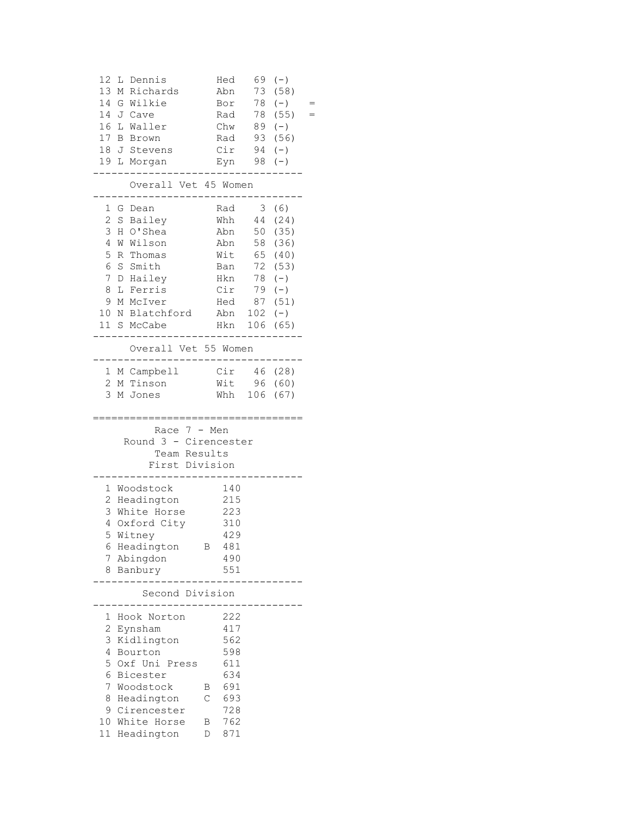| 12<br>L<br>Dennis<br>13<br>M Richards | Hed<br>Abn           | 69<br>73       | $(-)$<br>(58) |  |
|---------------------------------------|----------------------|----------------|---------------|--|
| 14<br>Wilkie<br>G                     | Bor                  | 78             | $(-)$         |  |
| 14 J<br>Cave                          | Rad                  | 78             | (55)          |  |
| 16<br>Waller<br>L                     | Chw                  | 89             | $(-)$         |  |
| 17 B Brown                            | Rad                  | 93             | (56)          |  |
| 18<br>J Stevens                       | Cir                  | 94             | $(-)$         |  |
| 19<br>L Morgan                        | Eyn                  | 98             | $(-)$         |  |
|                                       |                      |                |               |  |
| Overall Vet 45 Women                  |                      |                |               |  |
| 1<br>Dean<br>G                        | Rad                  | 3 <sup>7</sup> | (6)           |  |
| 2<br>S<br>Bailey                      | Whh                  | 44             | (24)          |  |
| 3<br>H O'Shea                         | Abn                  | 50             | (35)          |  |
| 4<br>W Wilson                         | Abn                  | 58             | (36)          |  |
| 5<br>R Thomas<br>6<br>S Smith         | Wit<br>Ban           | 65<br>72       | (40)<br>(53)  |  |
| 7<br>D Hailey                         | Hkn                  | 78             | $(-)$         |  |
| 8<br>L Ferris                         | Cir                  | 79             | $(-)$         |  |
| 9<br>M McIver                         | Hed                  | 87             | (51)          |  |
| 10<br>N Blatchford                    | Abn                  | 102            | $(-)$         |  |
| 11<br>S McCabe                        | Hkn 106              |                | (65)          |  |
|                                       |                      |                |               |  |
| Overall Vet 55 Women                  |                      |                |               |  |
| M Campbell<br>1                       | Cir                  |                | 46 (28)       |  |
| $\overline{2}$<br>M Tinson            | Wit                  |                | 96 (60)       |  |
| 3<br>M Jones                          | Whh                  | 106            | (67)          |  |
|                                       |                      |                |               |  |
| Race<br>Round 3 - Cirencester         | 7 - Men              |                |               |  |
| Team Results                          |                      |                |               |  |
| First Division                        |                      |                |               |  |
| 1 Woodstock                           | 140                  |                |               |  |
| 2<br>Headington                       | 215                  |                |               |  |
| 3<br>White Horse                      | 223                  |                |               |  |
| 4<br>Oxford City                      | 310                  |                |               |  |
| 5<br>Witney                           | 429                  |                |               |  |
| 6<br>Headington                       | 481<br>Β             |                |               |  |
| 7<br>Abingdon                         | 490                  |                |               |  |
| 8<br>Banbury                          | 551                  |                |               |  |
| Second Division                       |                      |                |               |  |
| 1<br>Hook Norton                      | 222                  |                |               |  |
| 2<br>Eynsham                          | 417                  |                |               |  |
| 3<br>Kidlington                       | 562                  |                |               |  |
| 4<br>Bourton                          | 598                  |                |               |  |
| 5<br>Oxf Uni Press                    | 611                  |                |               |  |
| 6<br>Bicester                         | 634                  |                |               |  |
| 7<br>Woodstock                        | 691<br>Β             |                |               |  |
| 8<br>Headington                       | 693<br>С             |                |               |  |
| 9<br>Cirencester                      | 728                  |                |               |  |
| White Horse<br>10<br>11<br>Headington | 762<br>В<br>871<br>D |                |               |  |
|                                       |                      |                |               |  |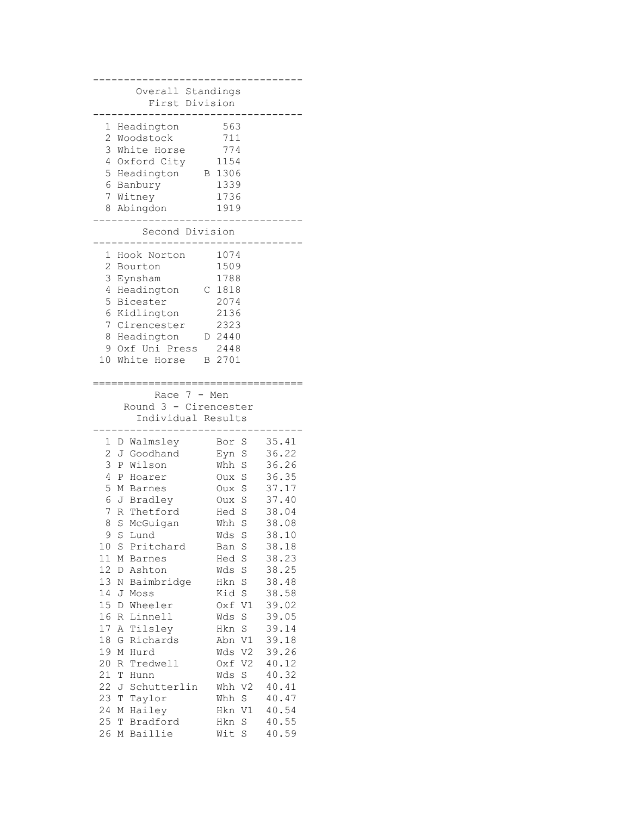|          | Overall Standings                    |   |                       |                |
|----------|--------------------------------------|---|-----------------------|----------------|
|          | First Division                       |   |                       |                |
|          |                                      |   |                       |                |
| 1<br>2   | Headington<br>Woodstock              |   | 563<br>711            |                |
| 3        |                                      |   | 774                   |                |
| 4        | White Horse                          |   | 1154                  |                |
| 5        | Oxford City                          |   |                       |                |
| 6        | Headington                           |   | B 1306<br>1339        |                |
| 7        | Banbury<br>Witney                    |   |                       |                |
|          |                                      |   | 1736                  |                |
| 8        | Abingdon                             |   | 1919                  |                |
|          | Second Division                      |   |                       |                |
| 1        | Hook Norton                          |   | 1074                  |                |
| 2        | Bourton                              |   | 1509                  |                |
| 3        | Eynsham                              |   | 1788                  |                |
| 4        | Headington                           | С | 1818                  |                |
| 5        | Bicester                             |   | 2074                  |                |
| 6        | Kidlington                           |   | 2136                  |                |
| 7        | Cirencester                          |   | 2323                  |                |
| 8        | Headington                           |   | D 2440                |                |
| 9        | Oxf Uni Press                        |   | 2448                  |                |
| 10       | White Horse                          |   | B 2701                |                |
|          |                                      |   |                       |                |
|          |                                      |   |                       |                |
|          | Race 7 - Men                         |   |                       |                |
|          | Round 3 - Cirencester                |   |                       |                |
|          |                                      |   |                       |                |
|          | Individual Results                   |   |                       |                |
|          |                                      |   |                       |                |
| 1        | Walmsley<br>D                        |   | S<br>Bor              | 35.41          |
| 2<br>3   | J<br>Goodhand<br>$\mathbf P$         |   | Eyn<br>S              | 36.22          |
| 4        | Wilson<br>Ρ                          |   | Whh<br>S              | 36.26          |
|          | Hoarer                               |   | S<br>Oux              | 36.35          |
| 5        | M Barnes                             |   | S<br>Oux              | 37.17          |
| 6<br>7   | J Bradley                            |   | S<br>Oux              | 37.40          |
|          | R Thetford                           |   | S<br>Hed              | 38.04          |
| 8        | S<br>McGuigan<br>S<br>Lund           |   | S<br>Whh<br>S<br>Wds  | 38.08<br>38.10 |
| 9        |                                      |   |                       |                |
| 10       | S<br>Pritchard<br>Μ<br><b>Barnes</b> |   | Ban<br>S              | 38.18          |
| 11       | Ashton<br>D                          |   | Hed<br>S<br>Wds       | 38.23          |
| 12       | Ν                                    |   | $\rm S$<br>$\rm S$    | 38.25          |
| 13       | Baimbridge<br>J                      |   | Hkn                   | 38.48          |
| 14       | Moss<br>D                            |   | S<br>Kid              | 38.58          |
| 15<br>16 | Wheeler<br>Linnell<br>R              |   | V1<br>Oxf             | 39.02          |
| 17       | Tilsley<br>Α                         |   | S<br>Wds<br>S<br>Hkn  | 39.05<br>39.14 |
| 18       | Richards<br>G                        |   | V1<br>Abn             | 39.18          |
| 19       | Μ<br>Hurd                            |   | V2<br>Wds             | 39.26          |
| 20       | Tredwell<br>R                        |   | V <sub>2</sub><br>Oxf |                |
| 21       | Т<br>Hunn                            |   | Wds<br>$\rm S$        | 40.12<br>40.32 |
| 22       | J<br>Schutterlin                     |   | V <sub>2</sub><br>Whh | 40.41          |
| 23       | Taylor<br>Τ                          |   | S<br>Whh              | 40.47          |
| 24       | Hailey<br>Μ                          |   | V1<br>Hkn             | 40.54          |
| 25       | Т<br>Bradford                        |   | S<br>Hkn              | 40.55          |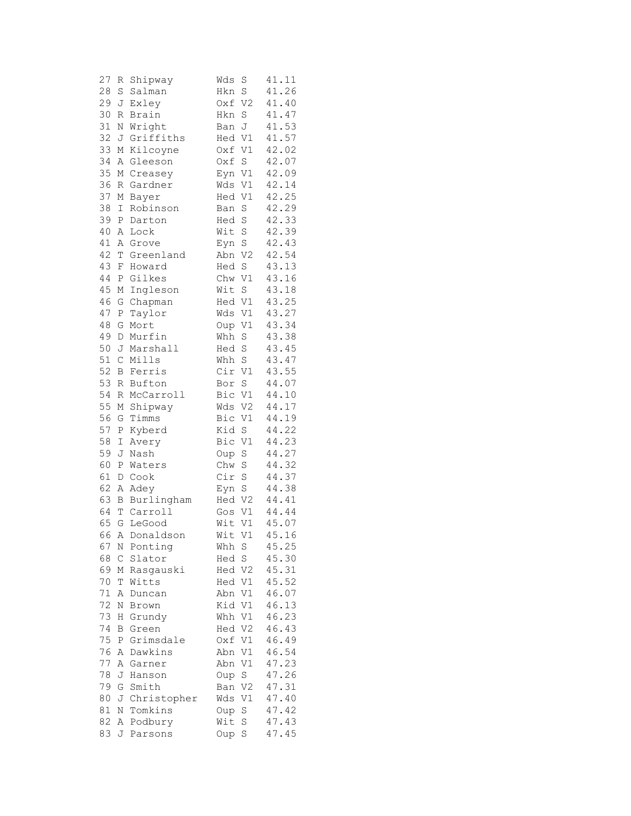| 27       | R           | Shipway              | Wds        | S              | 41.11           |
|----------|-------------|----------------------|------------|----------------|-----------------|
| 28       | S           | Salman               | Hkn        | $\rm S$        | 41.26           |
| 29       | J           | Exley                | Oxf        | V <sub>2</sub> | 41.40           |
| 30       | R           | Brain                | Hkn        | S              | 41.47           |
| 31       | Ν           | Wright               | Ban        | J              | 41.53           |
| 32       | J           | Griffiths            | Hed        | V1             | 41.57           |
| 33       | $\mathbb M$ | Kilcoyne             | Oxf        | V1             | 42.02           |
| 34       | Α           | Gleeson              | Oxf        | $\rm S$        | 42.07           |
| 35       | $\mathbb M$ | Creasey              | Eyn        | V1             | 42.09           |
| 36       | R           | Gardner              | Wds        | V1             | 42.14           |
| 37       | М           | Bayer                | Hed        | V1             | 42.25           |
| 38       | I           | Robinson             | Ban        | $\rm S$        | 42.29           |
| 39       | Ρ           | Darton               | Hed        | S              | 42.33           |
| 40       | Α           | Lock                 | Wit        | S              | 42.39           |
| 41       | Α           | Grove                | Eyn        | $\rm S$        | 42.43           |
| 42       | Т           | Greenland            | Abn        | V <sub>2</sub> | 42.54           |
| 43       | F           | Howard               | Hed        | $\rm S$        | 43.13           |
| 44       | Ρ           | Gilkes               | Chw V1     |                | 43.16           |
| 45       | М           | Ingleson             | Wit        | $\rm S$        | 43.18           |
| 46       | G           | Chapman              | Hed        | V1             | 43.25           |
| 47       | Ρ           | Taylor               | Wds        | V1             | 43.27           |
| 48       | G           | Mort                 | Oup        | V1             | 43.34           |
| 49       | D           | Murfin               | Whh        | $\rm S$        | 43.38           |
| 50       | J           | Marshall             | Hed        | S              | 43.45           |
| 51       | $\mathsf C$ | Mills                | Whh        | $\rm S$        | 43.47           |
| 52       | В           | Ferris               | Cir V1     |                | 43.55           |
| 53       | R           | Bufton               | Bor        | $\rm S$        | 44.07           |
| 54       | R           | McCarroll            | Bic V1     |                | 44.10           |
| 55       | М           | Shipway              | Wds        | V2             | 44.17           |
| 56       | G           | Timms                | Bic        | V1             | 44.19           |
| 57       | Ρ           | Kyberd               | Kid        | $\rm S$        | 44.22           |
| 58       | Ι           | Avery                | Bic        | V1             | 44.23           |
| 59       | J           | Nash                 | Oup        | $\rm S$        | 44.27           |
| 60       | Ρ           | Waters               | Chw        | $\rm S$        | 44.32           |
| 61       | D           | Cook                 | Cir        | $\rm S$        | 44.37           |
| 62       | Α           | Adey                 | Eyn        | $\rm S$        | 44.38           |
| 63       | В           | Burlingham           | Hed V2     |                | 44.41           |
| 64       |             | T Carroll            | Gos        | V1             | $4\,4$ . $4\,4$ |
| 65       | G           | LeGood               | Wit        | V1             | 45.07           |
|          |             | 66 A Donaldson       | Wit        | V1             | 45.16           |
| 67       | N           | Ponting              | Whh        | S              | 45.25           |
| 68       | C           | Slator               | Hed S      |                | 45.30           |
| 69       | М           |                      | Hed V2     |                | 45.31           |
| $70$     | Т           | Rasgauski<br>Witts   | Hed V1     |                | 45.52           |
| 71       | Α           |                      | Abn V1     |                | 46.07           |
| 72       | Ν           | Duncan               | Kid        | V1             | 46.13           |
| 73       |             | Brown                |            |                | 46.23           |
| 74       | Η           | Grundy<br>Green      | Whh<br>Hed | V1<br>V2       | 46.43           |
|          | В           |                      | Oxf        |                |                 |
| 75<br>76 | Ρ           | Grimsdale<br>Dawkins | Abn        | V1             | 46.49<br>46.54  |
| 77       | Α           |                      | Abn        | V1<br>V1       | 47.23           |
| 78       | Α           | Garner               |            |                |                 |
|          | J           | Hanson               | Oup        | S              | 47.26           |
| 79       | G           | Smith                | Ban V2     |                | 47.31<br>47.40  |
| 80       | J           | Christopher          | Wds        | V1             | 47.42           |
| 81       | Ν           | Tomkins              | Oup        | S              | 47.43           |
| 82       | Α           | Podbury              | Wit        | S              |                 |
| 83       | J           | Parsons              | Oup        | S              | 47.45           |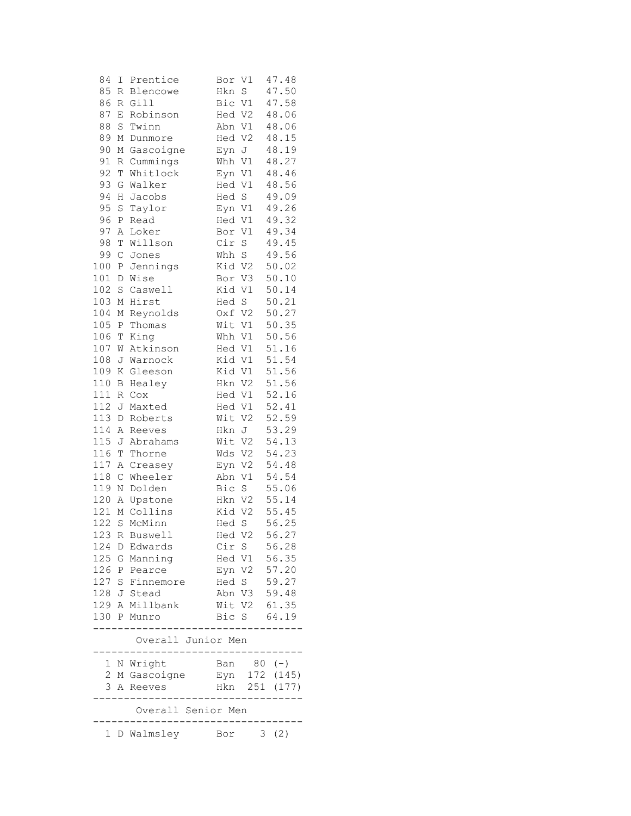| 84         | Ι           | Prentice                  | Bor          | V1              | 47.48         |
|------------|-------------|---------------------------|--------------|-----------------|---------------|
| 85         | R           | Blencowe                  | Hkn          | $\rm S$         | 47.50         |
| 86         | R           | Gill                      | Bic          | $\mathtt{V1}$   | 47.58         |
| 87         | Ε           | Robinson                  | Hed          | V <sub>2</sub>  | 48.06         |
| 88         | S           | Twinn                     | Abn          | V1              | 48.06         |
| 89         | М           | Dunmore                   | Hed          | V <sub>2</sub>  | 48.15         |
| 90         | М           | Gascoigne                 | Eyn          | J               | 48.19         |
| 91         | R           | Cummings                  | Whh          | V1              | 48.27         |
| 92         | T           | Whitlock                  | Eyn          | V1              | 48.46         |
| 93         | G           | Walker                    | Hed          | V1              | 48.56         |
| 94         | Η           | Jacobs                    | Hed          | S               | 49.09         |
| 95         | $\rm S$     | Taylor                    | Eyn V1       |                 | 49.26         |
| 96         | Ρ           | Read                      | Hed V1       |                 | 49.32         |
| 97         | Α           | Loker                     | Bor          | V1              | 49.34         |
| 98         | T           | Willson                   | Cir          | $\mathbf S$     | 49.45         |
| 99         | $\mathsf C$ | Jones                     | Whh          | $\, \mathbb{S}$ | 49.56         |
| 100        | Ρ           | Jennings                  | Kid V2       |                 | 50.02         |
| 101        | D           | Wise                      | Bor          | V3              | 50.10         |
| 102        | $\rm S$     | Caswell                   | Kid          | V1              | 50.14         |
|            |             |                           | Hed          | S               | 50.21         |
| 103<br>104 | М           | Hirst                     |              | V <sub>2</sub>  | 50.27         |
|            | М           | Reynolds                  | Oxf          |                 |               |
| 105        | Ρ           | Thomas                    | Wit          | V1              | 50.35         |
| 106        | Τ           | King                      | Whh          | $\mathtt{V}1$   | 50.56         |
| 107        | W           | Atkinson                  | Hed V1       |                 | 51.16         |
| 108        | J           | Warnock                   | Kid          | $\mathtt{V}1$   | 51.54         |
| 109        | Κ           | Gleeson                   | Kid          | V1              | 51.56         |
| 110        | B           | Healey                    | Hkn          | V <sub>2</sub>  | 51.56         |
| 111        | R           | Cox                       | Hed V1       |                 | 52.16         |
| 112        | J           | Maxted                    | Hed V1       |                 | 52.41         |
| 113        | $\mathbb D$ | Roberts                   | Wit          | V <sub>2</sub>  | 52.59         |
| 114        | Α           | Reeves                    | Hkn          | J               | 53.29         |
| 115        | J           | Abrahams                  | Wit          | $\rm V2$        | 54.13         |
| 116        | T           | Thorne                    | Wds          | V <sub>2</sub>  | 54.23         |
| 117        | Α           | Creasey                   | Eyn          | V <sub>2</sub>  | 54.48         |
| 118        | $\mathsf C$ | Wheeler                   | Abn          | $\mathtt{V1}$   | 54.54         |
| 119        | $\mathbb N$ | Dolden                    | Bic          | $\rm S$         | 55.06         |
| 120        | Α           | Upstone                   | Hkn V2       |                 | 55.14         |
| 121        | М           | Collins                   | Kid          | V <sub>2</sub>  | 55.45         |
| 122        | $\rm S$     | McMinn                    | Hed          | S               | 56.25         |
| 123 R      |             | Buswell                   | Hed V2       |                 | 56.27         |
| 124        | D           | Edwards                   |              |                 | Cir S 56.28   |
|            |             | 125 G Manning             |              |                 | Hed V1 56.35  |
|            |             | 126 P Pearce              |              |                 | Eyn V2 57.20  |
|            |             | 127 S Finnemore           |              |                 | Hed S 59.27   |
|            |             | 128 J Stead               |              | Abn V3          | 59.48         |
| 129 A      |             | Millbank                  |              |                 | Wit V2 61.35  |
| 130 P      |             | Munro                     |              |                 | Bic S 64.19   |
|            |             |                           |              | $- - - -$       |               |
|            |             | Overall Junior Men        | ____________ |                 |               |
| 1          |             | N Wright                  | Ban 80 (-)   |                 |               |
| 2          |             | M Gascoigne Eyn 172 (145) |              |                 |               |
| 3          |             | A Reeves                  |              |                 | Hkn 251 (177) |
|            |             |                           |              |                 |               |
|            |             | Overall Senior Men        |              |                 |               |
|            |             | 1 D Walmsley              | Bor          |                 | 3(2)          |
|            |             |                           |              |                 |               |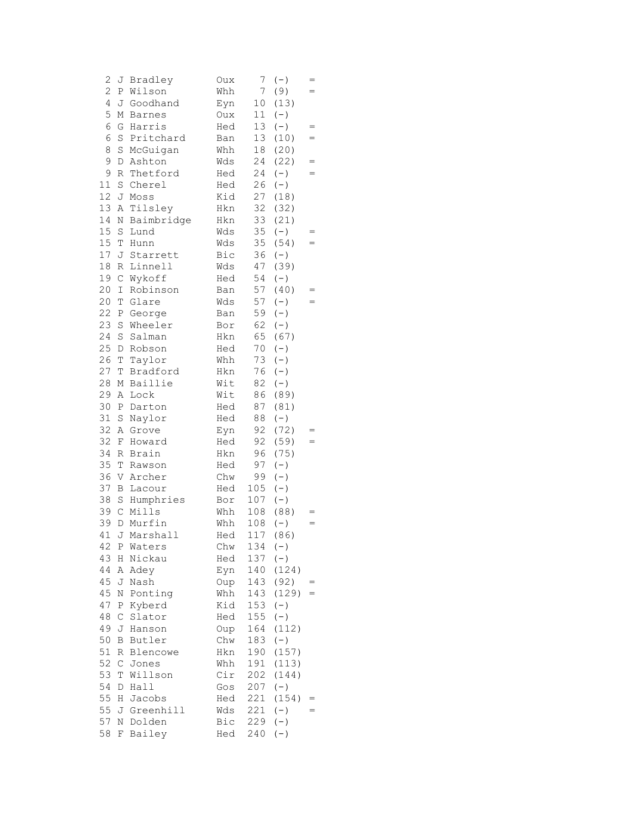|    | 2              | J           | Bradley       | Oux         | 7               | $(-)$     | $=$ |
|----|----------------|-------------|---------------|-------------|-----------------|-----------|-----|
|    | $\overline{c}$ | Ρ           | Wilson        | Whh         | $\overline{7}$  | (9)       | $=$ |
|    | 4              | J           | Goodhand      | Eyn         | 10 <sub>o</sub> | (13)      |     |
|    | 5              | М           | <b>Barnes</b> | Oux         | 11              | $(-)$     |     |
|    | 6              | G           | Harris        | Hed         | 13              | $(-)$     |     |
|    | 6              | S           | Pritchard     | Ban         | 13              | (10)      | $=$ |
|    | 8              | S           | McGuigan      | Whh         | 18              | (20)      |     |
|    | 9              | D           | Ashton        | Wds         | 24              | (22)      | $=$ |
|    | 9              | R           | Thetford      | Hed         | 24              | $(-)$     | $=$ |
| 11 |                | S           | Cherel        | Hed         | 26              | $(-)$     |     |
| 12 |                | J           | Moss          | Kid         | 27              | (18)      |     |
| 13 |                | Α           | Tilsley       | Hkn         | 32              | (32)      |     |
| 14 |                | Ν           | Baimbridge    | Hkn         | 33              | (21)      |     |
| 15 |                | S           | Lund          | Wds         | 35              | $(-)$     | $=$ |
| 15 |                | T           | Hunn          | Wds         | 35              | (54)      | $=$ |
| 17 |                | J           | Starrett      | Bic         | 36              | $(-)$     |     |
| 18 |                | R           | Linnell       | Wds         | 47              | (39)      |     |
| 19 |                | $\mathsf C$ | Wykoff        | Hed         | 54              | $(-)$     |     |
| 20 |                | I           | Robinson      | Ban         | 57              | (40)      | $=$ |
| 20 |                | Т           | Glare         | Wds         | 57              | $(-)$     | $=$ |
| 22 |                | Ρ           | George        | Ban         | 59              | $(-)$     |     |
| 23 |                | S           | Wheeler       | Bor         | 62              | $(-)$     |     |
| 24 |                | S           | Salman        | Hkn         | 65              |           |     |
| 25 |                |             |               |             |                 | (67)      |     |
|    |                | D           | Robson        | Hed         | 70              | $(-)$     |     |
| 26 |                | T           | Taylor        | Whh         | 73              | $(-)$     |     |
| 27 |                | T           | Bradford      | Hkn         | 76              | $(\,-\,)$ |     |
| 28 |                | М           | Baillie       | Wit         | 82              | $(-)$     |     |
| 29 |                | A           | Lock          | Wit         | 86              | (89)      |     |
| 30 |                | Ρ           | Darton        | Hed         | 87              | (81)      |     |
| 31 |                | S           | Naylor        | Hed         | 88              | $(-)$     |     |
| 32 |                | Α           | Grove         | Eyn         | 92              | (72)      | $=$ |
| 32 |                | F           | Howard        | Hed         | 92              | (59)      | $=$ |
| 34 |                | R           | Brain         | Hkn         | 96              | (75)      |     |
| 35 |                | T           | Rawson        | Hed         | 97              | $(-)$     |     |
| 36 |                | V           | Archer        | ${\rm Chw}$ | 99              | $(\,-\,)$ |     |
| 37 |                | B           | Lacour        | Hed         | 105             | $(\,-\,)$ |     |
| 38 |                | S           | Humphries     | Bor         | 107             | $(-)$     |     |
| 39 |                | $\mathsf C$ | Mills         | Whh         | 108             | (88)      | $=$ |
| 39 |                | D           | Murfin        | Whh         | 108             | $(-)$     | $=$ |
|    |                |             | 41 J Marshall | Hed         |                 | 117 (86)  |     |
| 42 |                | Ρ           | Waters        | Chw         | 134             | $(-)$     |     |
| 43 |                | Η           | Nickau        | Hed         | 137             | $(-)$     |     |
| 44 |                | А           | Adey          | Eyn         | 140             | (124)     |     |
| 45 |                | J           | Nash          | Oup         | 143             | (92)      |     |
| 45 |                | Ν           | Ponting       | Whh         | 143             | (129)     |     |
| 47 |                | Ρ           | Kyberd        | Kid         | 153             | $(-)$     |     |
| 48 |                | $\mathsf C$ | Slator        | Hed         | 155             | $(-)$     |     |
| 49 |                | J           | Hanson        | Oup         | 164             | (112)     |     |
| 50 |                | Β           | Butler        | Chw         | 183             | $(-)$     |     |
| 51 |                | R           | Blencowe      | Hkn         | 190             | (157)     |     |
| 52 |                | $\mathsf C$ | Jones         | Whh         | 191             | (113)     |     |
| 53 |                | T           | Willson       | Cir         | 202             | (144)     |     |
| 54 |                | D           | Hall          | Gos         | 207             | $(-)$     |     |
| 55 |                | Η           | Jacobs        | Hed         | 221             | (154)     |     |
| 55 |                | J           | Greenhill     | Wds         | 221             | $(-)$     |     |
| 57 |                | Ν           | Dolden        | Bic         | 229             | $(-)$     |     |
| 58 |                | F           | Bailey        | Hed         | 240             | $(-)$     |     |
|    |                |             |               |             |                 |           |     |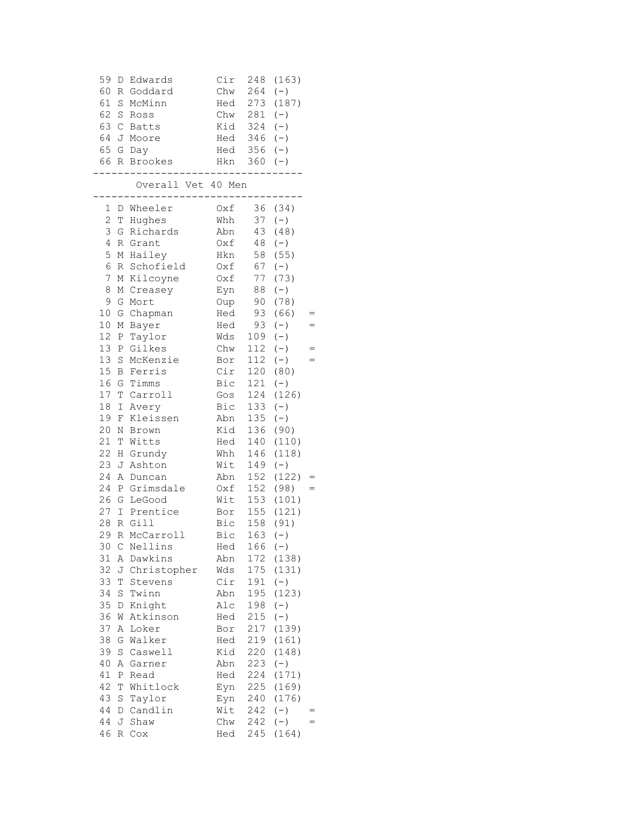| 59<br>60<br>61<br>62<br>63<br>64 J<br>65<br>66 | D<br>R<br>S<br>$\rm S$<br>$\mathsf{C}$<br>G | Edwards<br>Goddard<br>McMinn<br>Ross<br><b>Batts</b><br>Moore<br>Day<br>R Brookes<br>Overall Vet 40 Men | Cir<br>Chw<br>Hed<br>Chw<br>Kid<br>Hed<br>Hed<br>Hkn | 248<br>264<br>273<br>281<br>324<br>346<br>356<br>360 | (163)<br>$(-)$<br>(187)<br>$(-)$<br>$(-)$<br>$(-)$<br>$(-)$<br>$(-)$ |     |
|------------------------------------------------|---------------------------------------------|---------------------------------------------------------------------------------------------------------|------------------------------------------------------|------------------------------------------------------|----------------------------------------------------------------------|-----|
|                                                |                                             |                                                                                                         |                                                      |                                                      |                                                                      |     |
| 1<br>$\overline{c}$                            |                                             | D Wheeler                                                                                               | Oxf<br>Whh                                           | 36<br>37                                             | (34)                                                                 |     |
| 3                                              | Т<br>G                                      | Hughes<br>Richards                                                                                      | Abn                                                  | 43                                                   | $(-)$<br>(48)                                                        |     |
| $\overline{4}$                                 | $\mathbb R$                                 | Grant                                                                                                   | Oxf                                                  | 48                                                   | $(-)$                                                                |     |
| 5                                              | М                                           | Hailey                                                                                                  | Hkn                                                  | 58                                                   | (55)                                                                 |     |
| 6                                              | R                                           | Schofield                                                                                               | Oxf                                                  | 67                                                   | $(-)$                                                                |     |
| 7                                              | М                                           | Kilcoyne                                                                                                | Oxf                                                  | 77                                                   | (73)                                                                 |     |
| 8                                              | М                                           | Creasey                                                                                                 | Eyn                                                  | 88                                                   | $(-)$                                                                |     |
| 9                                              | G                                           | Mort                                                                                                    | Oup                                                  | 90                                                   | (78)                                                                 |     |
| 10                                             | G                                           | Chapman                                                                                                 | Hed                                                  | 93                                                   | (66)                                                                 |     |
| 10                                             | М                                           | Bayer                                                                                                   | Hed                                                  | 93                                                   | $(-)$                                                                | $=$ |
| 12                                             | Ρ                                           | Taylor                                                                                                  | Wds                                                  | 109                                                  | $(-)$                                                                |     |
| 13                                             | $\, {\bf P}$                                | Gilkes                                                                                                  | Chw                                                  | 112                                                  | $(-)$                                                                | $=$ |
| 13                                             | S                                           | McKenzie                                                                                                | Bor                                                  | 112                                                  | $(-)$                                                                | $=$ |
| 15                                             | В                                           | Ferris                                                                                                  | Cir                                                  | 120                                                  | (80)                                                                 |     |
| 16                                             | G                                           | Timms                                                                                                   | Bic                                                  | 121                                                  | $(-)$                                                                |     |
| 17                                             | T                                           | Carroll                                                                                                 | Gos                                                  | 124                                                  | (126)                                                                |     |
| 18                                             | Ι                                           | Avery                                                                                                   | Bic                                                  | 133                                                  | $(-)$                                                                |     |
| 19<br>20                                       | F                                           | Kleissen                                                                                                | Abn<br>Kid                                           | 135<br>136                                           | $(-)$                                                                |     |
| 21                                             | N<br>T                                      | Brown<br>Witts                                                                                          | Hed                                                  | 140                                                  | (90)<br>(110)                                                        |     |
| 22                                             | Η                                           | Grundy                                                                                                  | Whh                                                  | 146                                                  | (118)                                                                |     |
| 23                                             | J                                           | Ashton                                                                                                  | Wit                                                  | 149                                                  | $(-)$                                                                |     |
| 24                                             | Α                                           | Duncan                                                                                                  | Abn                                                  | 152                                                  | (122)                                                                |     |
| 24                                             | Ρ                                           | Grimsdale                                                                                               | Oxf                                                  | 152                                                  | (98)                                                                 | $=$ |
| 26                                             | G                                           | LeGood                                                                                                  | Wit                                                  | 153                                                  | (101)                                                                |     |
| 27                                             | $\mathbbm{I}$                               | Prentice                                                                                                | Bor                                                  | 155                                                  | (121)                                                                |     |
| 28                                             | R                                           | Gill                                                                                                    | Bic                                                  | 158                                                  | (91)                                                                 |     |
|                                                |                                             | 29 R McCarroll                                                                                          | Bic                                                  |                                                      | $163 (-)$                                                            |     |
| 30 C                                           |                                             | Nellins                                                                                                 | Hed                                                  | 166                                                  | $(-)$                                                                |     |
| 31                                             | Α                                           | Dawkins                                                                                                 | Abn                                                  | 172                                                  | (138)                                                                |     |
| 32                                             | J                                           | Christopher                                                                                             | Wds                                                  | 175                                                  | (131)                                                                |     |
| 33                                             | $\mathbb T$                                 | Stevens                                                                                                 | Cir                                                  | 191                                                  | $(-)$                                                                |     |
| 34                                             | S                                           | Twinn                                                                                                   | Abn                                                  | 195                                                  | (123)                                                                |     |
| 35                                             | $\mathbb D$                                 | Knight                                                                                                  | Alc                                                  | 198                                                  | $(-)$                                                                |     |
| 36                                             | W                                           | Atkinson                                                                                                | Hed                                                  | 215                                                  | $(-)$                                                                |     |
| 37                                             | Α                                           | Loker                                                                                                   | Bor                                                  | 217                                                  | (139)                                                                |     |
| 38                                             | G                                           | Walker                                                                                                  | Hed                                                  | 219                                                  | (161)<br>(148)                                                       |     |
| 39<br>40                                       | $\mathbf S$                                 | Caswell<br>Garner                                                                                       | Kid                                                  | 220<br>223                                           | $(-)$                                                                |     |
| 41                                             | Α<br>Ρ                                      | Read                                                                                                    | Abn<br>Hed                                           | 224                                                  | (171)                                                                |     |
| 42                                             | Т                                           | Whitlock                                                                                                | Eyn                                                  | 225                                                  | (169)                                                                |     |
| 43                                             | $\mathbf S$                                 | Taylor                                                                                                  | Eyn                                                  | 240                                                  | (176)                                                                |     |
| 44                                             | $\mathbb D$                                 | Candlin                                                                                                 | Wit                                                  | 242                                                  | $(-)$                                                                |     |
| 44                                             | J                                           | Shaw                                                                                                    | Chw                                                  | 242                                                  | $(-)$                                                                |     |
| 46                                             | R                                           | C <sub>O</sub>                                                                                          | Hed                                                  | 245                                                  | (164)                                                                |     |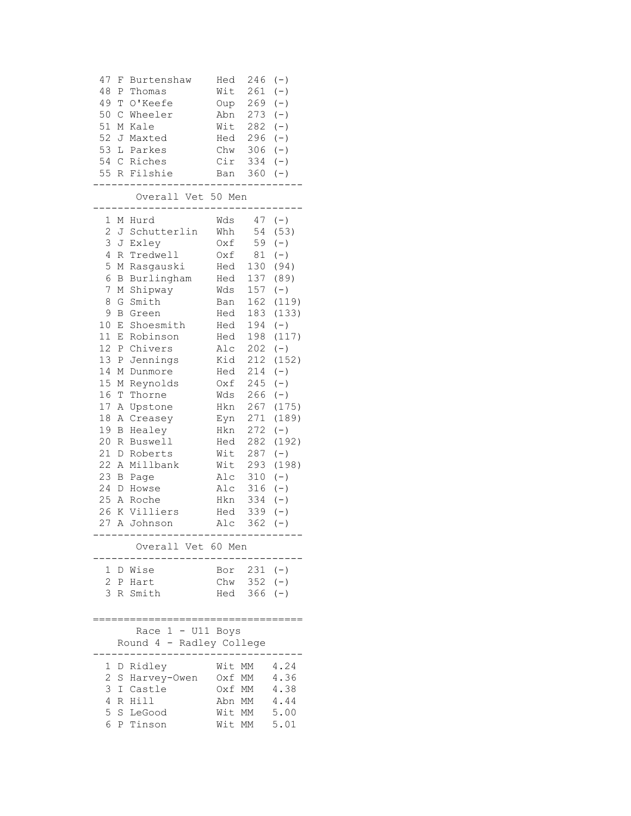| 47<br>F<br>48<br>Ρ<br>49<br>Т<br>50<br>$\mathcal{C}$<br>51<br>52<br>J<br>53<br>L<br>54<br>$\mathcal{C}$<br>55                                                                                                                                                                                | Burtenshaw<br>Thomas<br>O'Keefe<br>Wheeler<br>M Kale<br>Maxted<br>Parkes<br>Riches<br>R Filshie<br>Overall Vet 50 Men                                                                                                                                                                                | Hed<br>Wit<br>Oup<br>Abn<br>Wit<br>Hed<br>Chw<br>Cir<br>Ban                                                                                                                        | 246<br>261<br>269<br>273<br>282<br>296<br>306<br>334<br>360                                                                                                                    | $(-)$<br>$(-)$<br>$(-)$<br>$(-)$<br>$(-)$<br>$(-)$<br>$(-)$<br>$(-)$<br>$(-)$                                                                                                                                                           |
|----------------------------------------------------------------------------------------------------------------------------------------------------------------------------------------------------------------------------------------------------------------------------------------------|------------------------------------------------------------------------------------------------------------------------------------------------------------------------------------------------------------------------------------------------------------------------------------------------------|------------------------------------------------------------------------------------------------------------------------------------------------------------------------------------|--------------------------------------------------------------------------------------------------------------------------------------------------------------------------------|-----------------------------------------------------------------------------------------------------------------------------------------------------------------------------------------------------------------------------------------|
| 1<br>$\overline{2}$<br>J<br>3<br>J<br>4<br>R<br>5<br>М<br>6<br>Β<br>7<br>М<br>8<br>G<br>9<br>B<br>10<br>Ε<br>11<br>E<br>12<br>${\bf P}$<br>13<br>Ρ<br>14<br>М<br>15<br>Μ<br>16<br>T<br>17<br>Α<br>18<br>Α<br>19<br>В<br>20<br>R<br>21<br>D<br>22<br>Α<br>23<br>В<br>24<br>D<br>25<br>26<br>Κ | M Hurd<br>Schutterlin<br>Exley<br>Tredwell<br>Rasgauski<br>Burlingham<br>Shipway<br>Smith<br>Green<br>Shoesmith<br>Robinson<br>Chivers<br>Jennings<br>Dunmore<br>Reynolds<br>Thorne<br>Upstone<br>Creasey<br>Healey<br><b>Buswell</b><br>Roberts<br>Millbank<br>Page<br>Howse<br>A Roche<br>Villiers | Wds<br>Whh<br>Oxf<br>Oxf<br>Hed<br>Hed<br>Wds<br>Ban<br>Hed<br>Hed<br>Hed<br>Alc<br>Kid<br>Hed<br>Oxf<br>Wds<br>Hkn<br>Eyn<br>Hkn<br>Hed<br>Wit<br>Wit<br>Alc<br>Alc<br>Hkn<br>Hed | 47<br>54<br>59<br>81<br>130<br>137<br>157<br>162<br>183<br>194<br>198<br>202<br>212<br>214<br>245<br>266<br>267<br>271<br>272<br>282<br>287<br>293<br>310<br>316<br>334<br>339 | $(\,-\,)$<br>(53)<br>$(-)$<br>$(-)$<br>(94)<br>(89)<br>$(-)$<br>(119)<br>(133)<br>$(-)$<br>(117)<br>$(-)$<br>(152)<br>$(-)$<br>$(-)$<br>$(-)$<br>(175)<br>(189)<br>$(-)$<br>(192)<br>$(-)$<br>(198)<br>$(-)$<br>$(-)$<br>$(-)$<br>$(-)$ |
| 27<br>Α                                                                                                                                                                                                                                                                                      | Johnson                                                                                                                                                                                                                                                                                              | Alc                                                                                                                                                                                | 362                                                                                                                                                                            | $(-)$                                                                                                                                                                                                                                   |
| 1<br>$\mathbf{2}$<br>3                                                                                                                                                                                                                                                                       | Overall Vet 60 Men<br>D Wise<br>P Hart<br>R Smith                                                                                                                                                                                                                                                    | Bor<br>Chw<br>Hed                                                                                                                                                                  | $231 (-)$<br>$352 (-)$<br>366                                                                                                                                                  | $(-)$                                                                                                                                                                                                                                   |
|                                                                                                                                                                                                                                                                                              | 1<br>Race<br>Round 4 - Radley College                                                                                                                                                                                                                                                                | U11 Boys                                                                                                                                                                           |                                                                                                                                                                                |                                                                                                                                                                                                                                         |
| 1<br>D<br>$\mathbf 2$<br>S<br>3<br>$\overline{4}$<br>5<br>6                                                                                                                                                                                                                                  | Ridley<br>Harvey-Owen<br>I Castle<br>R Hill<br>S LeGood<br>P Tinson                                                                                                                                                                                                                                  | Wit<br>Oxf<br>Oxf MM<br>Abn MM<br>Wit MM<br>Wit MM                                                                                                                                 | MМ<br>МM                                                                                                                                                                       | 4.24<br>4.36<br>4.38<br>4.44<br>5.00<br>5.01                                                                                                                                                                                            |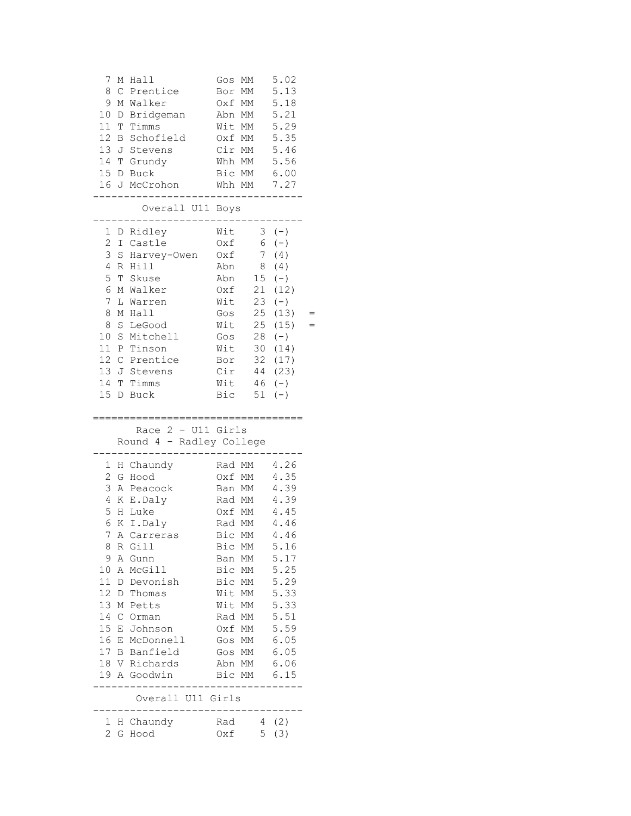| 7<br>8<br>9           | Μ<br>$\mathsf{C}$ | Hall<br>Prentice<br>M Walker   | Gos<br>Bor<br>Oxf | МM<br>МM<br>MM  | 5.02<br>5.13<br>5.18 |  |
|-----------------------|-------------------|--------------------------------|-------------------|-----------------|----------------------|--|
| 10                    | D                 | Bridgeman                      |                   | Abn MM          | 5.21                 |  |
| 11                    |                   | T Timms                        |                   | Wit MM          | 5.29                 |  |
|                       |                   | 12 B Schofield<br>13 J Stevens | Oxf MM<br>Cir MM  |                 | 5.35<br>5.46         |  |
|                       |                   | 14 T Grundy                    | Whh MM            |                 | 5.56                 |  |
|                       |                   | 15 D Buck                      | Bic MM            |                 | 6.00                 |  |
|                       |                   | 16 J McCrohon                  | Whh MM            |                 | 7.27                 |  |
|                       |                   |                                |                   |                 |                      |  |
|                       |                   | Overall U11 Boys               |                   |                 |                      |  |
| 1                     |                   | D Ridley                       | Wit               |                 | $3 (-)$              |  |
| $\overline{c}$        | Ι                 | Castle                         | Oxf               |                 | $6 (-)$              |  |
| 3                     |                   | S Harvey-Owen                  | Oxf               | 7 <sup>1</sup>  | (4)                  |  |
| 4                     |                   | R Hill                         | Abn               | 8               | (4)                  |  |
| 5                     |                   | T Skuse                        | Abn               | 15 <sub>1</sub> | $(-)$                |  |
| 6                     |                   | M Walker                       | Oxf               | 21              | (12)                 |  |
| 7                     | L                 | Warren                         | Wit               | 23              | $(-)$                |  |
| 8                     |                   | M Hall                         | Gos               | 25              | (13)                 |  |
| 8                     | S                 | LeGood                         | Wit               | 25              | (15)                 |  |
| 10                    |                   | S Mitchell                     | Gos               | 28              | $(-)$                |  |
| 11<br>12 <sup>7</sup> |                   | P Tinson                       | Wit               | 30              | (14)                 |  |
|                       |                   | C Prentice<br>13 J Stevens     | Bor<br>Cir        |                 | 32 (17)              |  |
|                       |                   | 14 T Timms                     | Wit               |                 | 44 (23)<br>$46 (-)$  |  |
| 15 <sub>1</sub>       |                   | D Buck                         | Bic               | 51              | $(-)$                |  |
|                       |                   |                                |                   |                 |                      |  |
|                       |                   |                                |                   |                 |                      |  |
|                       |                   |                                |                   |                 |                      |  |
|                       |                   | Race 2 - U11 Girls             |                   |                 |                      |  |
|                       |                   | Round 4 - Radley College       |                   |                 |                      |  |
|                       |                   |                                |                   |                 |                      |  |
| 1                     |                   | H Chaundy                      | Rad MM            |                 | 4.26                 |  |
| $\mathbf{2}$          | G                 | Hood                           | Oxf MM            |                 | 4.35                 |  |
| 3<br>4                |                   | A Peacock                      | Ban MM            |                 | 4.39                 |  |
|                       |                   | K E.Daly                       | Rad MM            |                 | 4.39                 |  |
| 5<br>6                |                   | H Luke                         | Oxf MM            | Rad MM          | 4.45<br>4.46         |  |
|                       |                   | K I.Daly<br>7 A Carreras       |                   | Bic MM          | 4.46                 |  |
| 8                     | R                 | Gill                           | Bic               | МM              | 5.16                 |  |
| 9                     | Α                 | Gunn                           | Ban               | МM              | 5.17                 |  |
| 10                    | Α                 | McGill                         | Bic               | МM              | 5.25                 |  |
| 11                    | D                 | Devonish                       | Bic               | MM              | 5.29                 |  |
| 12                    |                   | D Thomas                       | Wit MM            |                 | 5.33                 |  |
| 13                    | Μ                 | Petts                          | Wit               | МM              | 5.33                 |  |
| 14                    | C                 | Orman                          | Rad               | МM              | 5.51                 |  |
| 15                    | Ε                 | Johnson                        | Oxf               | MM              | 5.59                 |  |
| 16                    |                   | E McDonnell                    | Gos               | МM              | 6.05                 |  |
|                       |                   | 17 B Banfield                  | Gos               | МM              | 6.05                 |  |
|                       |                   | 18 V Richards                  | Abn MM            |                 | 6.06                 |  |
|                       |                   | 19 A Goodwin                   | Bic MM            |                 | 6.15                 |  |
|                       |                   | Overall U11 Girls              |                   |                 |                      |  |
| 1                     | Η                 | Chaundy                        | Rad               | 4               | (2)                  |  |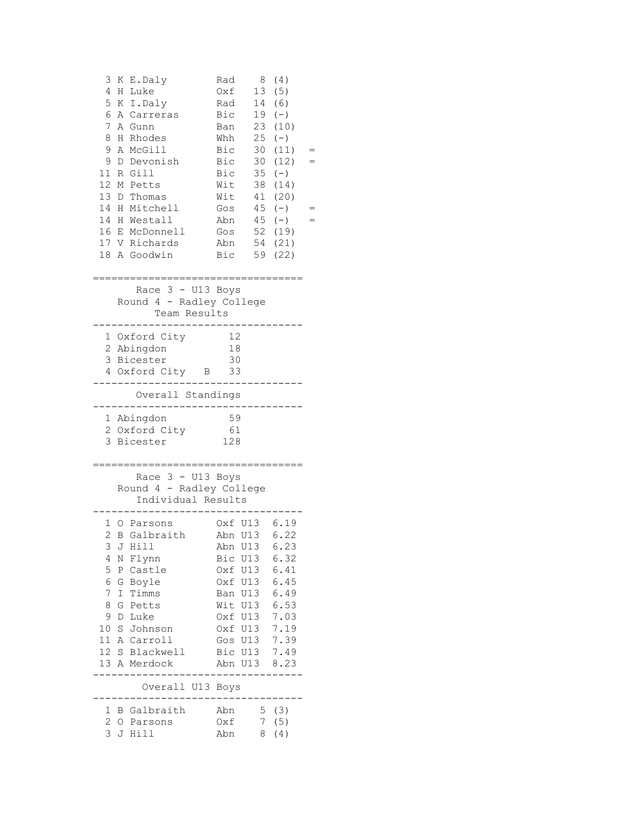| 3<br>E.Daly<br>Κ<br>4<br>Luke<br>Η<br>5<br>K<br>I.Daly<br>6<br>Α<br>Carreras<br>7<br>A Gunn<br>8<br>$\rm H$<br>Rhodes<br>9<br>McGill<br>Α<br>9<br>Devonish<br>D<br>11<br>Gill<br>R<br>12<br>М<br>Petts<br>13 D Thomas<br>14<br>H Mitchell<br>14 H Westall<br>16 E McDonnell<br>17 V Richards<br>18 A Goodwin | Rad<br>0xf<br>Rad<br>Bic<br>Ban<br>Whh<br>Bic<br>Bic<br>Bic<br>Wit<br>Wit<br>Gos<br>Abn<br>Gos<br>Abn<br>Bic                                                  | 8<br>13<br>14<br>19<br>23<br>25<br>30<br>30<br>35<br>38<br>41<br>45<br>45<br>52<br>54<br>59 | (4)<br>(5)<br>(6)<br>$(-)$<br>(10)<br>$(-)$<br>(11)<br>(12)<br>$(-)$<br>(14)<br>(20)<br>$(-)$<br>$(-)$<br>(19)<br>(21)<br>(22) |  |
|--------------------------------------------------------------------------------------------------------------------------------------------------------------------------------------------------------------------------------------------------------------------------------------------------------------|---------------------------------------------------------------------------------------------------------------------------------------------------------------|---------------------------------------------------------------------------------------------|--------------------------------------------------------------------------------------------------------------------------------|--|
| Race $3 - U13$ Boys<br>Round 4 - Radley College<br>Team Results                                                                                                                                                                                                                                              |                                                                                                                                                               |                                                                                             |                                                                                                                                |  |
| 1 Oxford City<br>2 Abingdon<br>3 Bicester<br>Oxford City B<br>4                                                                                                                                                                                                                                              | 12<br>18<br>30<br>33                                                                                                                                          |                                                                                             |                                                                                                                                |  |
| Overall Standings                                                                                                                                                                                                                                                                                            |                                                                                                                                                               |                                                                                             |                                                                                                                                |  |
| 1 Abingdon<br>2 Oxford City<br>3 Bicester                                                                                                                                                                                                                                                                    | 59<br>61<br>128                                                                                                                                               |                                                                                             |                                                                                                                                |  |
| Race $3 - U13$ Boys<br>Round 4 - Radley College<br>Individual Results                                                                                                                                                                                                                                        |                                                                                                                                                               |                                                                                             |                                                                                                                                |  |
| 1 O Parsons<br>2 B Galbraith<br>3<br>Hill<br>J<br>$\sqrt{4}$<br>N<br>Flynn<br>5<br>Castle<br>Ρ<br>6<br>Boyle<br>G<br>$\boldsymbol{7}$<br>Timms<br>Ι<br>8<br>G<br>Petts<br>9<br>D<br>Luke<br>10<br>$\mathbf S$<br>Johnson<br>11 A Carroll<br>12 S Blackwell<br>13 A Merdock                                   | Oxf U13 6.19<br>Abn U13<br>Abn U13<br>Bic U13<br>Oxf U13<br>Oxf U13<br>Ban U13<br>Wit U13<br>Oxf U13<br>Oxf U13<br>Gos U13<br>Bic U13<br>Abn U13 8.23<br>---- |                                                                                             | 6.22<br>6.23<br>6.32<br>6.41<br>6.45<br>6.49<br>6.53<br>7.03<br>7.19<br>7.39<br>7.49                                           |  |
| Overall U13 Boys                                                                                                                                                                                                                                                                                             | . _ _ _ _ _ _ _ _ _ _ _                                                                                                                                       |                                                                                             |                                                                                                                                |  |
| <b>B</b> Galbraith<br>1<br>2<br>O Parsons                                                                                                                                                                                                                                                                    | Abn<br>Oxf                                                                                                                                                    | 7 <sup>7</sup>                                                                              | 5 (3)<br>(5)                                                                                                                   |  |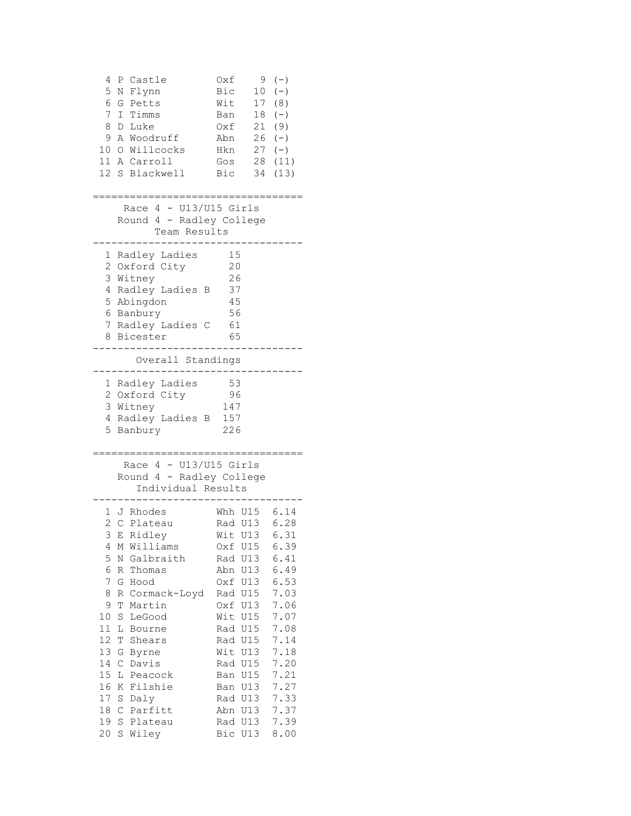```
 4 P Castle Oxf 9 (-) 
              Bic 10 (-) 6 G Petts Wit 17 (8) 
 7 I Timms Ban 18 (-) 
 8 D Luke Oxf 21 (9) 
 9 A Woodruff Abn 26 (-) 
 10 O Willcocks Hkn 27 (-) 
 11 A Carroll Gos 28 (11) 
12 S Blackwell Bic 34 (13) 
==================================
   Race 4 - U13/U15 Girls
    Round 4 - Radley College
     Team Results
----------------------------------
  1 Radley Ladies 15
 2 Oxford City 20 3 Witney 26
  4 Radley Ladies B 37
  5 Abingdon 45
  6 Banbury 56
  7 Radley Ladies C 61
  8 Bicester 65
----------------------------------
     Overall Standings
----------------------------------
 1 Radley Ladies 53
 2 Oxford City 96
 3 Witney 147
  4 Radley Ladies B 157
  5 Banbury 226
==================================
   Race 4 - U13/U15 Girls
   Round 4 - Radley College
     Individual Results
----------------------------------
 1 J Rhodes Whh U15 6.14
2 C Plateau Rad U13 6.28
 3 E Ridley Wit U13 6.31
 4 M Williams Oxf U15 6.39
 5 N Galbraith Rad U13 6.41
 6 R Thomas Abn U13 6.49
 7 G Hood Oxf U13 6.53
 8 R Cormack-Loyd Rad U15 7.03
 9 T Martin Oxf U13 7.06
 10 S LeGood Wit U15 7.07
 11 L Bourne Rad U15 7.08
 12 T Shears Rad U15 7.14
 13 G Byrne Wit U13 7.18
 14 C Davis Rad U15 7.20
 15 L Peacock Ban U15 7.21
 16 K Filshie Ban U13 7.27
 17 S Daly Rad U13 7.33
 18 C Parfitt Abn U13 7.37
 19 S Plateau Rad U13 7.39
 20 S Wiley Bic U13 8.00
```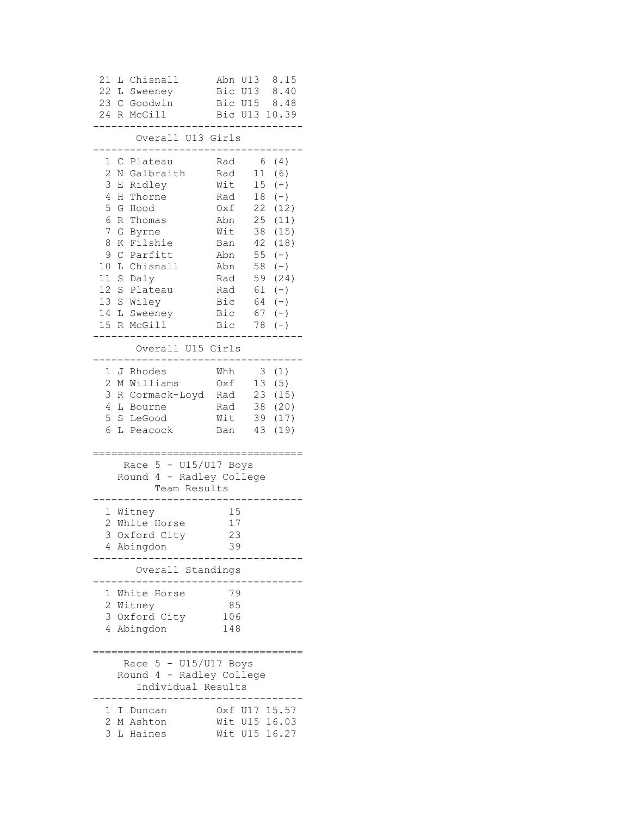| 21<br>L Chisnall<br>22<br>L Sweeney<br>23 C Goodwin<br>24 R McGill                                                                                                                                                                                                                                            | U13<br>8.15<br>Abn<br>Bic U13<br>8.40<br>Bic U15<br>8.48<br>Bic U13 10.39                                                                                                                                                                                                                                                      |
|---------------------------------------------------------------------------------------------------------------------------------------------------------------------------------------------------------------------------------------------------------------------------------------------------------------|--------------------------------------------------------------------------------------------------------------------------------------------------------------------------------------------------------------------------------------------------------------------------------------------------------------------------------|
| Overall U13 Girls                                                                                                                                                                                                                                                                                             |                                                                                                                                                                                                                                                                                                                                |
| 1 C<br>Plateau<br>2<br>Galbraith<br>Ν<br>3<br>Ridley<br>Е<br>4<br>Thorne<br>Н<br>5<br>G<br>Hood<br>6<br>Thomas<br>R<br>7<br>G<br>Byrne<br>8<br>Filshie<br>K<br>9<br>$\mathsf C$<br>Parfitt<br>10<br>Chisnall<br>L<br>11<br>S<br>Daly<br>12<br>S<br>Plateau<br>13<br>S<br>Wiley<br>14 L Sweeney<br>15 R McGill | Rad<br>- 6<br>(4)<br>11<br>(6)<br>Rad<br>15<br>Wit<br>$(-)$<br>Rad<br>18<br>$(-)$<br>Oxf<br>22<br>(12)<br>25<br>Abn<br>(11)<br>38<br>Wit<br>(15)<br>42<br>(18)<br>Ban<br>55<br>Abn<br>$(-)$<br>$(-)$<br>Abn<br>58<br>59<br>Rad<br>(24)<br>61<br>Rad<br>$(-)$<br>Bic<br>64<br>$(-)$<br>Bic<br>67<br>$(-)$<br>Bic<br>78<br>$(-)$ |
| Overall U15 Girls                                                                                                                                                                                                                                                                                             |                                                                                                                                                                                                                                                                                                                                |
| 1 J Rhodes<br>Williams<br>2<br>М<br>3<br>Cormack-Loyd<br>R<br>4<br>L Bourne<br>5<br>S LeGood<br>6<br>L Peacock                                                                                                                                                                                                | Whh<br>3<br>(1)<br>13<br>(5)<br>Oxf<br>23<br>Rad<br>(15)<br>Rad<br>38<br>(20)<br>Wit<br>39<br>(17)<br>43<br>(19)<br>Ban                                                                                                                                                                                                        |
| Race 5 - U15/U17 Boys<br>Round 4 - Radley College<br>Team Results                                                                                                                                                                                                                                             |                                                                                                                                                                                                                                                                                                                                |
| 1 Witney<br>2 White Horse<br>3 Oxford City<br>Abingdon<br>4                                                                                                                                                                                                                                                   | 15<br>17<br>23<br>39                                                                                                                                                                                                                                                                                                           |
| Overall Standings                                                                                                                                                                                                                                                                                             |                                                                                                                                                                                                                                                                                                                                |
| 1 White Horse<br>2 Witney<br>3 Oxford City<br>4 Abingdon                                                                                                                                                                                                                                                      | 79<br>85<br>106<br>148                                                                                                                                                                                                                                                                                                         |
| Race 5<br>- U15/U17 Boys<br>Round<br>4<br>Individual Results                                                                                                                                                                                                                                                  | - Radley College                                                                                                                                                                                                                                                                                                               |
| 1<br>I Duncan<br>2<br>M Ashton<br>3<br>L Haines                                                                                                                                                                                                                                                               | Oxf U17 15.57<br>Wit U15 16.03<br>16.27<br>Wit U15                                                                                                                                                                                                                                                                             |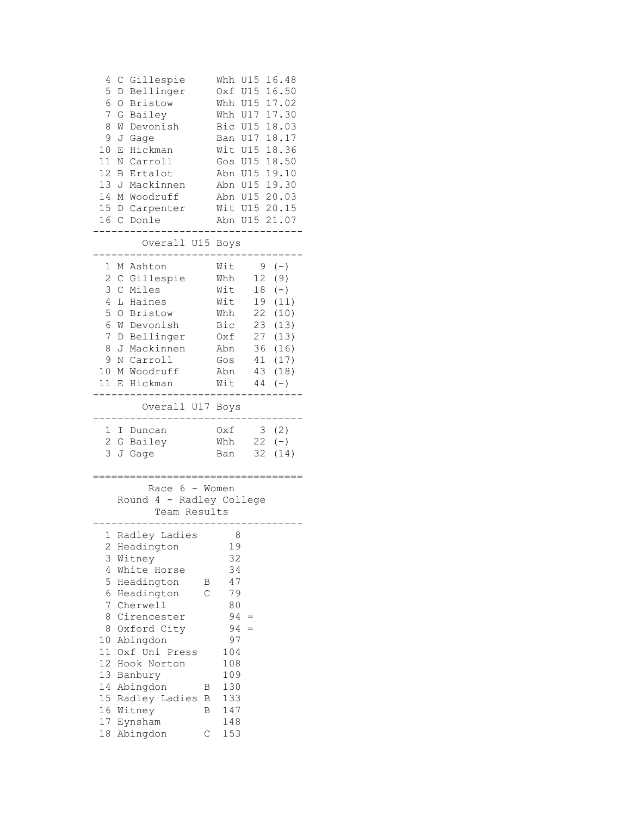| C Gillespie<br>4<br>5<br>D Bellinger<br>6<br>O Bristow<br>7 G Bailey<br>8<br>W Devonish Bic U15 18.03<br>9<br>J Gage<br>E Hickman<br>10<br>11<br>N Carroll<br>12 B Ertalot<br>13 J Mackinnen<br>14 M Woodruff<br>15 D Carpenter<br>16 C Donle                                                                                                                                                                  | Whh U15 16.48<br>Oxf U15 16.50<br>Whh U15 17.02<br>Whh U17 17.30<br>Ban U17 18.17<br>Wit U15 18.36<br>Gos U15 18.50<br>Abn U15 19.10<br>Abn U15 19.30<br>Abn U15 20.03<br>Wit U15 20.15<br>Abn U15 21.07 |
|----------------------------------------------------------------------------------------------------------------------------------------------------------------------------------------------------------------------------------------------------------------------------------------------------------------------------------------------------------------------------------------------------------------|----------------------------------------------------------------------------------------------------------------------------------------------------------------------------------------------------------|
| Overall U15 Boys<br>1 M Ashton<br>2 C Gillespie<br>3 C Miles<br>4<br>L Haines<br>5 O Bristow<br>6 W Devonish<br>8<br>J Mackinnen Mbn 36 (16)<br>9 N Carroll<br>10 M Woodruff<br>11 E Hickman<br>Overall U17 Boys                                                                                                                                                                                               | Wit<br>$9(-)$<br>Whh 12 (9)<br>Wit<br>$18$ (-)<br>Wit 19 (11)<br>Whh 22 (10)<br>Bic 23 (13)<br>Gos 41 (17)<br>Abn 43 (18)<br>Wit 44 (-)<br>--------------                                                |
| 1 I Duncan<br>2 G Bailey<br>3 J Gage<br>.===================================<br>Race $6 -$ Women<br>Round 4 - Radley College                                                                                                                                                                                                                                                                                   | 0xf 3 (2)<br>Whh $22 (-)$<br>Ban 32 (14)                                                                                                                                                                 |
| Team Results<br>-----------<br>1 Radley Ladies 8<br>2<br>Headington<br>3<br>Witney<br>4<br>White Horse<br>5<br>Headington<br>Β<br>6<br>Headington<br>C<br>7<br>Cherwell<br>8<br>Cirencester<br>8<br>Oxford City<br>10<br>Abingdon<br>11<br>Oxf Uni Press<br>12<br>Hook Norton<br>13<br>Banbury<br>14<br>Abingdon<br>Β<br>15<br>Radley Ladies<br>В<br>16<br>Witney<br>В<br>17<br>Eynsham<br>Abingdon<br>18<br>C | 19<br>32<br>34<br>47<br>79<br>80<br>94<br>$\hspace*{0.4em} = \hspace*{0.4em}$<br>94<br>$=$<br>97<br>104<br>108<br>109<br>130<br>133<br>147<br>148<br>153                                                 |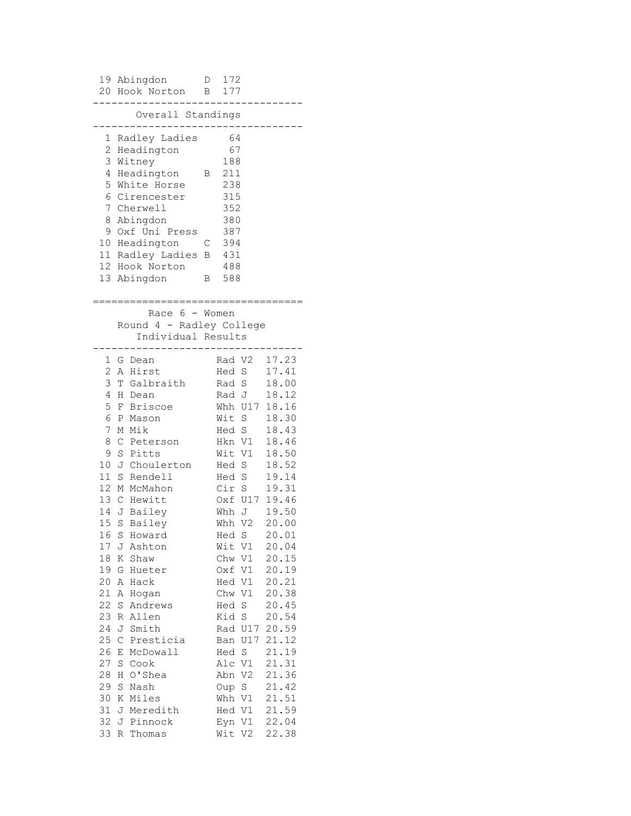|                 | 19 Abingdon               | D | 172     |       |
|-----------------|---------------------------|---|---------|-------|
|                 | 20 Hook Norton            | Β | 177     |       |
|                 |                           |   |         |       |
|                 | Overall Standings         |   |         |       |
|                 |                           |   |         |       |
| 1               | Radley Ladies             |   | 64      |       |
| 2               | Headington                |   | 67      |       |
| 3               |                           |   | 188     |       |
|                 | Witney                    |   |         |       |
| 4               | Headington                | Β | 211     |       |
| 5               | White Horse               |   | 238     |       |
| 6               | Cirencester               |   | 315     |       |
| 7               | Cherwell                  |   | 352     |       |
| 8               | Abingdon                  |   | 380     |       |
| 9               | Oxf Uni Press             |   | 387     |       |
| 10              | Headington                | С | 394     |       |
|                 | 11 Radley Ladies          | Β | 431     |       |
|                 | 12 Hook Norton            |   | 488     |       |
|                 | 13 Abingdon               | Β | 588     |       |
|                 |                           |   |         |       |
|                 |                           |   |         |       |
|                 | Race $6 -$ Women          |   |         |       |
|                 | Round 4 - Radley College  |   |         |       |
|                 | Individual Results        |   |         |       |
|                 |                           |   |         |       |
| 1               | G Dean                    |   | Rad V2  | 17.23 |
| 2               | A Hirst                   |   | Hed S   | 17.41 |
| 3               | T Galbraith               |   | Rad S   | 18.00 |
| 4               | H Dean                    |   | Rad J   | 18.12 |
| 5               | F Briscoe                 |   | Whh U17 | 18.16 |
| 6               | $\mathbf{P}$<br>Mason     |   | Wit S   | 18.30 |
| 7               | Mik<br>М                  |   | Hed S   | 18.43 |
| 8               | $\mathcal{C}$<br>Peterson |   | Hkn V1  | 18.46 |
| 9               | $\mathbf S$<br>Pitts      |   | Wit V1  | 18.50 |
| 10              | J Choulerton              |   | Hed S   | 18.52 |
| 11 <sub>1</sub> | Rendell<br>S              |   | Hed S   | 19.14 |
| 12 <sup>7</sup> | M McMahon                 |   | Cir S   | 19.31 |
|                 | 13 C Hewitt               |   | Oxf U17 | 19.46 |
| 14              | J Bailey                  |   | Whh J   | 19.50 |
|                 | 15 S Bailey               |   | Whh V2  | 20.00 |
|                 | 16 S Howard               |   |         |       |
|                 |                           |   | Hed S   | 20.01 |
| 17              | J Ashton                  |   | Wit V1  | 20.04 |
| 18              | K Shaw                    |   | Chw V1  | 20.15 |
| 19              | G<br>Hueter               |   | Oxf V1  | 20.19 |
| 20              | Α<br>Hack                 |   | Hed V1  | 20.21 |
| 21              | A Hogan                   |   | Chw V1  | 20.38 |
|                 | 22 S Andrews              |   | Hed S   | 20.45 |
| 23              | Allen<br>R                |   | Kid S   | 20.54 |
| 24              | J Smith                   |   | Rad U17 | 20.59 |
| 25              | C Presticia               |   | Ban U17 | 21.12 |
| 26              | E McDowall                |   | Hed S   | 21.19 |
| 27              | S<br>Cook                 |   | Alc V1  | 21.31 |
| 28              | H O'Shea                  |   | Abn V2  | 21.36 |
| 29              | S<br>Nash                 |   | Oup S   | 21.42 |
| 30              | K Miles                   |   | Whh V1  | 21.51 |
| 31              | J Meredith                |   | Hed V1  | 21.59 |
| 32              | J Pinnock                 |   | Eyn V1  | 22.04 |
| 33              | R Thomas                  |   | Wit V2  | 22.38 |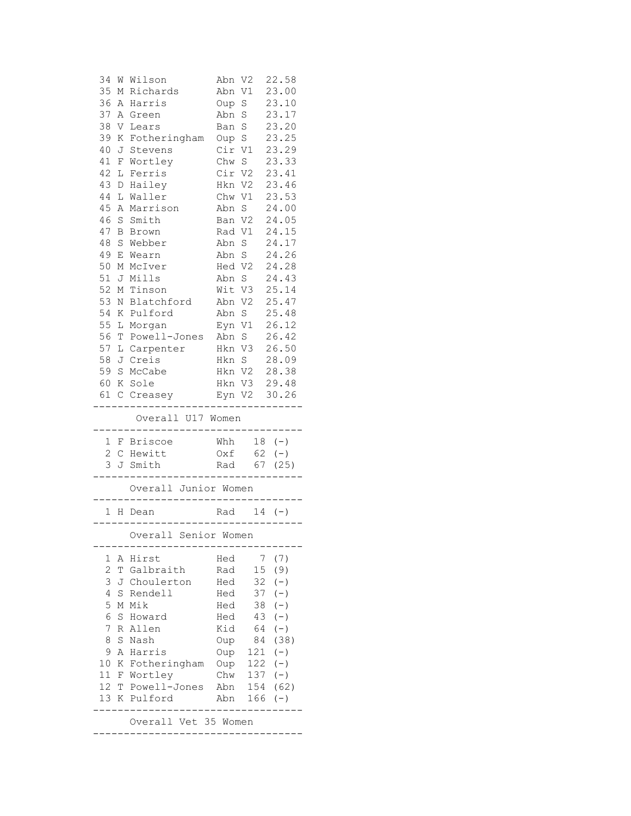| 35<br>36       |                | W Wilson                                    | Abn V2      |              | 22.58    |
|----------------|----------------|---------------------------------------------|-------------|--------------|----------|
|                | М              | Richards                                    | Abn V1      |              | 23.00    |
|                |                | A Harris                                    | Oup S       |              | 23.10    |
| 37             | Α              | Green                                       | Abn S       |              | 23.17    |
| 38             | V              | Lears                                       | Ban S       |              | 23.20    |
| 39             | Κ              | Fotheringham                                | Oup S       |              | 23.25    |
| 40             | J              | Stevens                                     | Cir         | V1           | 23.29    |
| 41             | F              | Wortley                                     | Chw S       |              | 23.33    |
| 42             | L              | Ferris                                      | Cir V2      |              | 23.41    |
| 43             | $\mathbb D$    | Hailey                                      | Hkn V2      |              | 23.46    |
| 44             | L              | Waller                                      | Chw V1      |              | 23.53    |
| 45             |                | A Marrison                                  | Abn S       |              | 24.00    |
| 46             | S              | Smith                                       | Ban V2      |              | 24.05    |
| 47             |                | B Brown                                     | Rad V1      |              | 24.15    |
| 48             | S              | Webber                                      | Abn S       |              | 24.17    |
| 49             | E              | Wearn                                       | Abn S       |              | 24.26    |
| 50             |                | M McIver                                    | Hed V2      |              | 24.28    |
| 51             |                | J Mills                                     | Abn         | S            | 24.43    |
| 52             | М              | Tinson                                      | Wit V3      |              | 25.14    |
| 53             | Ν              | Blatchford                                  | Abn V2      |              | 25.47    |
| 54             | Κ              | Pulford                                     | Abn S       |              | 25.48    |
| 55             | L              | Morgan                                      | Eyn V1      |              | 26.12    |
| 56             | Т              | Powell-Jones                                | Abn S       |              | 26.42    |
| 57             |                |                                             | Hkn V3      |              | 26.50    |
|                | L              | Carpenter                                   |             |              |          |
| 58             | J              | Creis                                       | Hkn S       |              | 28.09    |
| 59             |                | S McCabe                                    | Hkn V2      |              | 28.38    |
| 60             |                | K Sole                                      | Hkn V3      |              | 29.48    |
| 61             | $\mathsf{C}^-$ | Creasey                                     | Eyn V2      |              | 30.26    |
|                |                | Overall U17 Women                           |             |              |          |
| 1              |                | F Briscoe                                   | Whh         |              | $18 (-)$ |
|                |                | C Hewitt                                    | Oxf         | 62           | $(-)$    |
|                |                |                                             |             |              |          |
| 2              |                |                                             |             |              |          |
|                |                | 3 J Smith                                   | Rad         | 67           | (25)     |
|                |                | Overall Junior Women                        |             |              |          |
|                |                | 1 H Dean                                    |             | Rad $14 (-)$ |          |
|                |                | . _ _ _ _ _ _ _ _ _<br>Overall Senior Women | ___________ |              |          |
|                |                |                                             |             |              |          |
| 1              | Α              | Hirst                                       | Hed         | 7            | (7)      |
| $\overline{c}$ | Τ              | Galbraith                                   | Rad         | 15           | (9)      |
| 3              | J              | Choulerton                                  | Hed         | 32           | $(-)$    |
| 4              | S              | Rendell                                     | Hed         | 37           | $(-)$    |
| 5              | М              | Mik                                         | Hed         | 38           | $(-)$    |
| 6              | $\mathbf S$    | Howard                                      | Hed         | 43           | $(-)$    |
| 7              | R              | Allen                                       | Kid         | 64           | $(-)$    |
| 8              | S              | Nash                                        | Oup         | 84           | (38)     |
| 9              | Α              | Harris                                      | Oup         | 121          | $(-)$    |
| 10             | К              | Fotheringham                                | Oup         | 122          | $(-)$    |
| 11             |                | F Wortley                                   | Chw         | 137          | $(-)$    |
| 12             | Т              | Powell-Jones                                | Abn         | 154          | (62)     |
| 13             | Κ              | Pulford                                     | Abn         | 166          | $(-)$    |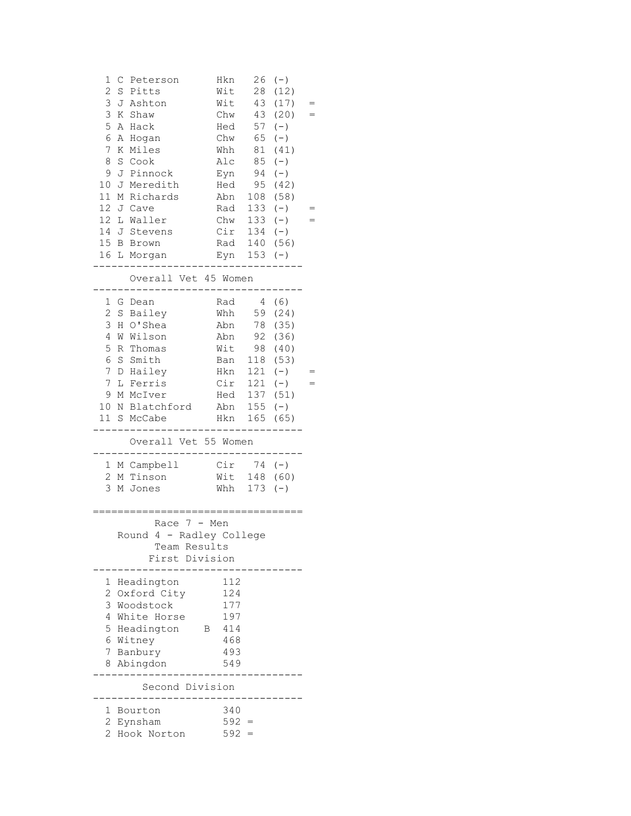| 1<br>С<br>$\overline{c}$<br>3<br>3<br>5<br>Α<br>6<br>Α<br>$\boldsymbol{7}$<br>8<br>9<br>10<br>11 | Peterson<br>S Pitts<br>J Ashton<br>K Shaw<br>Hack<br>Hogan<br>K Miles<br>S Cook<br>J Pinnock<br>J Meredith<br>M Richards<br>12 J Cave<br>12 L Waller<br>14 J Stevens<br>15 B Brown<br>16 L Morgan | Hkn<br>Wit<br>Wit<br>Chw<br>Hed<br>Chw<br>Whh<br>Alc<br>Eyn<br>Hed<br>Abn<br>Rad<br>Chw<br>Cir<br>Rad 140 (56)<br>Eyn $153$ (-) | 26<br>28<br>43<br>57<br>65<br>81<br>85<br>94<br>95<br>108<br>133<br>$133 (-)$<br>$134 (-)$ | $(-)$<br>(12)<br>(17)<br>43 (20)<br>$(-)$<br>$(-)$<br>(41)<br>$(-)$<br>$(-)$<br>(42)<br>(58)<br>$\left( \, - \, \right)$ |  |
|--------------------------------------------------------------------------------------------------|---------------------------------------------------------------------------------------------------------------------------------------------------------------------------------------------------|---------------------------------------------------------------------------------------------------------------------------------|--------------------------------------------------------------------------------------------|--------------------------------------------------------------------------------------------------------------------------|--|
|                                                                                                  | Overall Vet 45 Women                                                                                                                                                                              |                                                                                                                                 |                                                                                            |                                                                                                                          |  |
| $\mathbf{2}$<br>3<br>$\overline{4}$<br>5<br>6<br>$\boldsymbol{7}$<br>$\boldsymbol{7}$<br>9       | 1 G Dean<br>S Bailey<br>H O'Shea<br>W Wilson<br>R Thomas<br>S Smith<br>D Hailey<br>L Ferris<br>M McIver<br>10 N Blatchford<br>11 S McCabe                                                         | Rad<br>Whh<br>Abn<br>Abn<br>Wit 98<br>Ban<br>Hkn<br>Cir<br>Hed<br>Abn<br>Hkn                                                    | 118<br>121<br>121<br>$155 (-)$                                                             | 4(6)<br>59 (24)<br>78 (35)<br>92 (36)<br>(40)<br>(53)<br>$(-)$<br>$(-)$<br>137(51)<br>165 (65)                           |  |
|                                                                                                  | Overall Vet 55 Women                                                                                                                                                                              |                                                                                                                                 |                                                                                            |                                                                                                                          |  |
| 2<br>3                                                                                           | 1 M Campbell<br>M Tinson<br>M Jones                                                                                                                                                               | Cir<br>Wit<br>Whh                                                                                                               | $74 (-)$<br>173                                                                            | 148 (60)<br>$(-)$                                                                                                        |  |
|                                                                                                  | Race $7 - Men$<br>Round 4 - Radley College<br>Team Results<br>First Division                                                                                                                      |                                                                                                                                 |                                                                                            |                                                                                                                          |  |
| 1<br>$\overline{2}$<br>3<br>4<br>5<br>7<br>8                                                     | Headington<br>Oxford City<br>Woodstock<br>White Horse<br>Headington<br>6 Witney<br>Banbury<br>Abingdon                                                                                            | 112<br>124<br>177<br>197<br>414<br>Β<br>468<br>493<br>549                                                                       |                                                                                            |                                                                                                                          |  |
|                                                                                                  | Second Division                                                                                                                                                                                   |                                                                                                                                 |                                                                                            |                                                                                                                          |  |
| 1<br>2<br>2                                                                                      | Bourton<br>Eynsham<br>Hook Norton                                                                                                                                                                 | 340<br>592<br>$592 =$                                                                                                           | $=$                                                                                        |                                                                                                                          |  |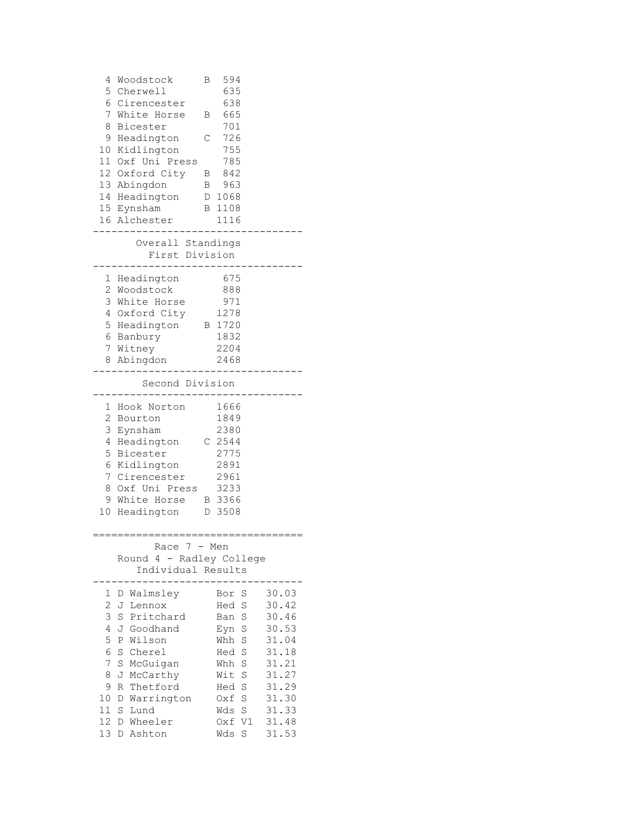```
4 Woodstock B 594<br>5 Cherwell 635
 5 Cherwell 635
 6 Cirencester 638
  7 White Horse B 665
 8 Bicester 701
  9 Headington C 726
10 Kidlington 755
11 Oxf Uni Press 785
 12 Oxford City B 842
 13 Abingdon B 963
14 Headington D 1068
 15 Eynsham B 1108
 16 Alchester 1116
----------------------------------
     Overall Standings
      First Division
----------------------------------
  1 Headington 675
  2 Woodstock 888
 3 White Horse 971<br>4 Oxford City 1278
 4 Oxford City 1278
 5 Headington B 1720
 6 Banbury 1832
 7 Witney 2204
  8 Abingdon 2468
----------------------------------
      Second Division
----------------------------------
  1 Hook Norton 1666
 2 Bourton 1849
 3 Eynsham 2380
 2 Boursen<br>3 Eynsham 2380<br>4 Headington C 2544
  5 Bicester 2775
  6 Kidlington 2891
  7 Cirencester 2961
  8 Oxf Uni Press 3233
  9 White Horse B 3366
10 Headington D 3508
=====================================
   Race 7 - Men
   Round 4 - Radley College
    Individual Results
----------------------------------
 1 D Walmsley Bor S 30.03
 2 J Lennox Hed S 30.42
 3 S Pritchard Ban S 30.46
 4 J Goodhand Eyn S 30.53
 5 P Wilson Whh S 31.04
 6 S Cherel Hed S 31.18
 7 S McGuigan Whh S 31.21
 8 J McCarthy Wit S 31.27
9 R Thetford Hed S 31.29
10 D Warrington Oxf S 31.30
 11 S Lund Wds S 31.33
 12 D Wheeler Oxf V1 31.48
 13 D Ashton Wds S 31.53
```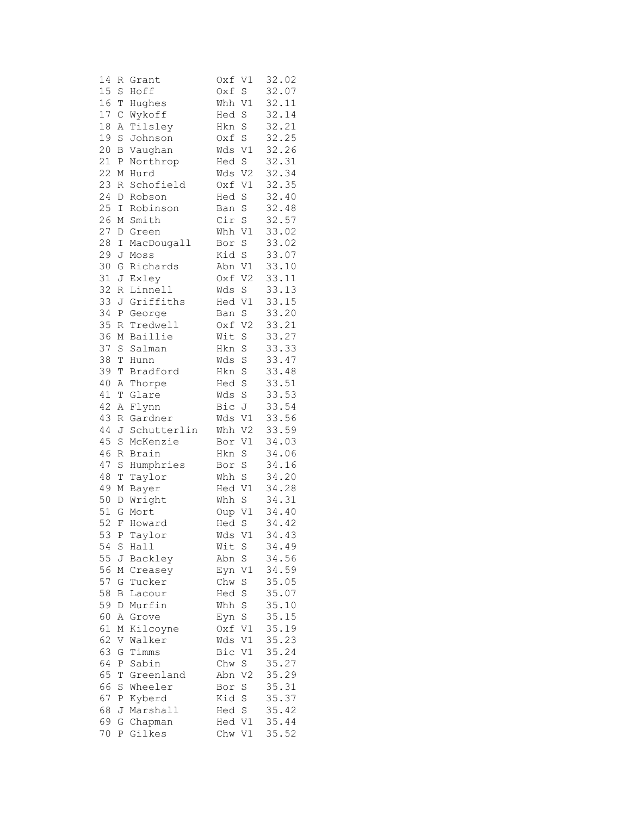| 14     | R           | Grant       | V1<br>Oxf             | 32.02 |
|--------|-------------|-------------|-----------------------|-------|
| 15     | S           | Hoff        | $\mathbf S$<br>Oxf    | 32.07 |
| 16     | Т           | Hughes      | Whh<br>V1             | 32.11 |
| 17     | С           | Wykoff      | Hed<br>S              | 32.14 |
| 18     | Α           | Tilsley     | Hkn<br>S              | 32.21 |
| 19     | S           | Johnson     | Oxf S                 | 32.25 |
| 20     | В           | Vaughan     | Wds<br>V1             | 32.26 |
| 21     | Ρ           | Northrop    | Hed<br>$\mathbf S$    | 32.31 |
| 22     | $\mathbb M$ | Hurd        | V <sub>2</sub><br>Wds | 32.34 |
| 23     | R           | Schofield   | V1<br>Oxf             | 32.35 |
| 24     | D           | Robson      | S<br>Hed              | 32.40 |
| 25     | I           | Robinson    | Ban<br>S              | 32.48 |
| 26     | М           | Smith       | Cir<br>$\rm S$        | 32.57 |
| 27     | D           | Green       | Whh<br>V1             | 33.02 |
| 28     | Ι           | MacDougall  | $\rm S$<br>Bor        | 33.02 |
| 29     | J           | Moss        | Kid<br>$\mathbf S$    | 33.07 |
| 30     | G           | Richards    | V1<br>Abn             | 33.10 |
| 31     | J           | Exley       | V <sub>2</sub><br>Oxf | 33.11 |
| 32     | R           | Linnell     | $\rm S$<br>Wds        | 33.13 |
| 33     | J           | Griffiths   | $\mathtt{V1}$<br>Hed  | 33.15 |
| 34     | Ρ           | George      | $\rm S$<br>Ban        | 33.20 |
| 35     | R           | Tredwell    | V <sub>2</sub><br>Oxf | 33.21 |
| 36     | М           | Baillie     | Wit<br>$\rm S$        | 33.27 |
| 37     | S           |             | $\rm S$               | 33.33 |
| 38     |             | Salman      | Hkn                   |       |
|        | $\mathbb T$ | Hunn        | Wds<br>S              | 33.47 |
| 39     | $\mathbb T$ | Bradford    | Hkn<br>S              | 33.48 |
| 40     | Α           | Thorpe      | $\rm S$<br>Hed        | 33.51 |
| 41     | T           | Glare       | Wds<br>$\rm S$        | 33.53 |
| 42     | Α           | Flynn       | Bic<br>J              | 33.54 |
| 43     | R           | Gardner     | Wds<br>V1             | 33.56 |
| $4\,4$ | J           | Schutterlin | Whh<br>V2             | 33.59 |
| 45     | S           | McKenzie    | V1<br>Bor             | 34.03 |
| 46     | R           | Brain       | Hkn<br>$\rm S$        | 34.06 |
| 47     | $\rm S$     | Humphries   | S<br>Bor              | 34.16 |
| 48     | Т           | Taylor      | Whh<br>$\mathbf S$    | 34.20 |
| 49     | М           | Bayer       | V1<br>Hed             | 34.28 |
| 50     | D           | Wright      | $\rm S$<br>Whh        | 34.31 |
| 51     | G           | Mort        | $\mathtt{V1}$<br>Oup  | 34.40 |
| 52     | F           | Howard      | Hed<br>$\rm S$        | 34.42 |
| 53     | Ρ           | Taylor      | V1<br>Wds             | 34.43 |
| 54     | S           | Hall        | Wit<br>S              | 34.49 |
| 55     | J           | Backley     | $\rm S$<br>Abn        | 34.56 |
| 56     | М           | Creasey     | V1<br>Eyn             | 34.59 |
| 57     | G           | Tucker      | Chw<br>S              | 35.05 |
| 58     | В           | Lacour      | S<br>Hed              | 35.07 |
| 59     | D           | Murfin      | $\rm S$<br>Whh        | 35.10 |
| 60     | Α           | Grove       | $\rm S$<br>Eyn        | 35.15 |
| 61     | М           | Kilcoyne    | V1<br>Oxf             | 35.19 |
| 62     | V           | Walker      | Wds<br>V1             | 35.23 |
| 63     | G           | Timms       | V1<br>Bic             | 35.24 |
| 64     | Ρ           | Sabin       | Chw<br>$\rm S$        | 35.27 |
| 65     | T           | Greenland   | V <sub>2</sub><br>Abn | 35.29 |
| 66     | S           | Wheeler     | Bor<br>S              | 35.31 |
| 67     | Ρ           | Kyberd      | Kid<br>$\rm S$        | 35.37 |
| 68     | J           | Marshall    | $\rm S$<br>Hed        | 35.42 |
| 69     | G           | Chapman     | Hed V1                | 35.44 |
| 70     | Ρ           | Gilkes      | Chw<br>V1             | 35.52 |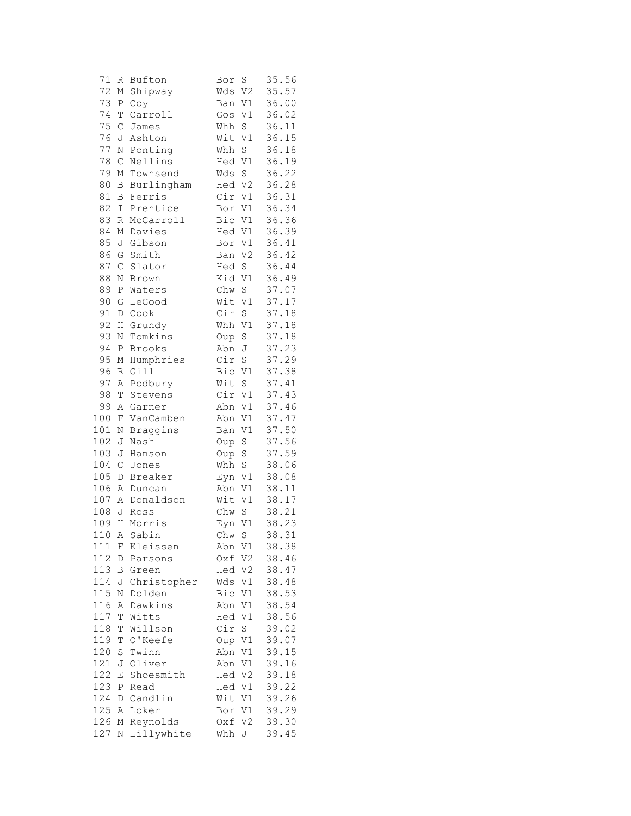| 71  | R             | Bufton      | Bor<br>S              | 35.56 |
|-----|---------------|-------------|-----------------------|-------|
| 72  | М             | Shipway     | V <sub>2</sub><br>Wds | 35.57 |
| 73  | Ρ             | Coy         | V1<br>Ban             | 36.00 |
| 74  | T             | Carroll     | V1<br>Gos             | 36.02 |
| 75  | $\mathcal{C}$ | James       | S<br>Whh              | 36.11 |
| 76  | J             | Ashton      | Wit<br>V1             | 36.15 |
| 77  | N             | Ponting     | S<br>Whh              | 36.18 |
| 78  | $\mathcal{C}$ | Nellins     | Hed V1                | 36.19 |
| 79  | М             | Townsend    | $\mathbf S$<br>Wds    | 36.22 |
| 80  | B             | Burlingham  | Hed V2                | 36.28 |
| 81  | В             | Ferris      | Cir V1                | 36.31 |
| 82  | I             | Prentice    | Bor<br>V1             | 36.34 |
| 83  | R             | McCarroll   | Bic<br>V1             | 36.36 |
| 84  | М             | Davies      | V1<br>Hed             | 36.39 |
| 85  | J             | Gibson      | V1<br>Bor             | 36.41 |
| 86  | G             | Smith       | V <sub>2</sub><br>Ban | 36.42 |
| 87  | $\mathcal{C}$ | Slator      | S<br>Hed              | 36.44 |
| 88  | N             | Brown       | Kid V1                | 36.49 |
| 89  | Ρ             | Waters      | S<br>Chw              | 37.07 |
| 90  | G             | LeGood      | Wit<br>V1             | 37.17 |
| 91  | D             | Cook        | S<br>Cir              | 37.18 |
| 92  | Η             | Grundy      | Whh<br>V1             | 37.18 |
| 93  | N             | Tomkins     | Oup<br>S              | 37.18 |
| 94  | Ρ             | Brooks      | Abn<br>J              | 37.23 |
| 95  | М             | Humphries   | Cir<br>$\rm S$        | 37.29 |
| 96  | R             | Gill        | Bic<br>V1             | 37.38 |
| 97  | Α             | Podbury     | $\mathbf S$<br>Wit    | 37.41 |
| 98  | T             | Stevens     | Cir V1                | 37.43 |
| 99  | Α             | Garner      | V1<br>Abn             | 37.46 |
| 100 | F             | VanCamben   | Abn<br>V1             | 37.47 |
| 101 | N             | Braggins    | V1<br>Ban             | 37.50 |
| 102 | J             | Nash        | $\rm S$<br>Oup        | 37.56 |
| 103 | J             | Hanson      | $\rm S$<br>Oup        | 37.59 |
| 104 | $\mathsf C$   | Jones       | Whh<br>$\rm S$        | 38.06 |
| 105 | D             | Breaker     | V1<br>Eyn             | 38.08 |
| 106 | Α             | Duncan      | V1<br>Abn             | 38.11 |
| 107 | Α             | Donaldson   | V1<br>Wit             | 38.17 |
| 108 | J             | Ross        | Chw<br>S              | 38.21 |
| 109 | Η             | Morris      | $\mathtt{V1}$<br>Eyn  | 38.23 |
|     |               | 110 A Sabin | Chw<br>S              | 38.31 |
| 111 | F             | Kleissen    | Abn V1                | 38.38 |
| 112 | $\mathbb D$   | Parsons     | Oxf V2                | 38.46 |
| 113 | В             | Green       | Hed V2                | 38.47 |
| 114 | J             | Christopher | Wds V1                | 38.48 |
| 115 | N             | Dolden      | Bic V1                | 38.53 |
| 116 | Α             | Dawkins     | Abn<br>V1             | 38.54 |
| 117 | Т             | Witts       | V1<br>Hed             | 38.56 |
| 118 | Τ             | Willson     | Cir<br>S              | 39.02 |
| 119 | Τ             | O'Keefe     | V1<br>Oup             | 39.07 |
| 120 | S             | Twinn       | Abn<br>V1             | 39.15 |
| 121 | J             | Oliver      | V1<br>Abn             | 39.16 |
| 122 | Ε             | Shoesmith   | Hed V2                | 39.18 |
| 123 | Ρ             | Read        | Hed V1                | 39.22 |
| 124 | D             | Candlin     | Wit V1                | 39.26 |
| 125 | Α             | Loker       | V1<br>Bor             | 39.29 |
| 126 |               | M Reynolds  | V <sub>2</sub><br>Oxf | 39.30 |
| 127 | Ν             | Lillywhite  | Whh<br>J              | 39.45 |
|     |               |             |                       |       |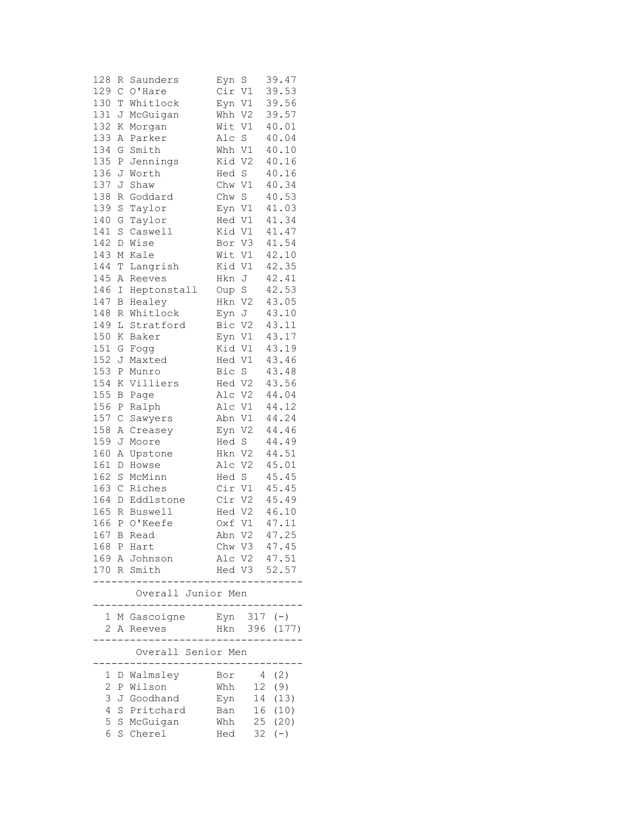| 128            | R            | Saunders                  | Eyn    | S              | 39.47         |
|----------------|--------------|---------------------------|--------|----------------|---------------|
| 129            | $\mathsf C$  | O'Hare                    | Cir    | V1             | 39.53         |
| 130            | Т            | Whitlock                  | Eyn V1 |                | 39.56         |
| 131            | J            | McGuigan                  | Whh V2 |                | 39.57         |
| 132            | Κ            | Morgan                    | Wit    | V1             | 40.01         |
| 133            | Α            | Parker                    | Alc    | S              | 40.04         |
| 134            | G            | Smith                     | Whh    | V1             | 40.10         |
| 135            | $\, {\bf P}$ | Jennings                  | Kid V2 |                | 40.16         |
| 136            | J            | Worth                     | Hed S  |                | 40.16         |
| 137            | J            | Shaw                      | Chw V1 |                | 40.34         |
| 138            | R            | Goddard                   | Chw    | $\rm S$        | 40.53         |
| 139            | S            | Taylor                    | Eyn V1 |                | 41.03         |
| 140            | G            | Taylor                    | Hed V1 |                | 41.34         |
| 141            | S            | Caswell                   | Kid V1 |                | 41.47         |
| 142            | $\mathbb D$  | Wise                      | Bor    | V3             | 41.54         |
| 143            | М            | Kale                      | Wit    | V1             | 42.10         |
| 144            | Т            | Langrish                  | Kid    | V1             | 42.35         |
| 145            | Α            | Reeves                    | Hkn    | J              | 42.41         |
| 146            | I            | Heptonstall               | Oup    | $\mathbf S$    | 42.53         |
| 147            | В            | Healey                    | Hkn    | V <sub>2</sub> | 43.05         |
| 148            | R            | Whitlock                  | Eyn    | J              | 43.10         |
| 149            | L            | Stratford                 | Bic    | V <sub>2</sub> | 43.11         |
| 150            | Κ            | Baker                     | Eyn    | V1             | 43.17         |
| 151            | G            | Fogg                      | Kid    | V1             | 43.19         |
| 152            | J            | Maxted                    | Hed V1 |                | 43.46         |
| 153            | Ρ            | Munro                     | Bic    | S              | 43.48         |
| 154            | Κ            | Villiers                  | Hed V2 |                | 43.56         |
| 155            | В            | Page                      | Alc V2 |                | 44.04         |
| 156            | Ρ            | Ralph                     | Alc V1 |                | 44.12         |
| 157            | C            | Sawyers                   | Abn    | V1             | 44.24         |
| 158            | Α            | Creasey                   | Eyn    | V <sub>2</sub> | 44.46         |
| 159            | J            | Moore                     | Hed    | S              | 44.49         |
| 160            | Α            | Upstone                   | Hkn    | V2             | 44.51         |
| 161            | D            | Howse                     | Alc    | V <sub>2</sub> | 45.01         |
| 162            | S            | McMinn                    | Hed    | S              | 45.45         |
| 163            | $\mathsf C$  | Riches                    | Cir V1 |                | 45.45         |
| 164            | D            | Eddlstone                 | Cir V2 |                | 45.49         |
| 165            | R            | Buswell                   | Hed V2 |                | 46.10         |
| 166            | Ρ            | O'Keefe                   | Oxf    | V1             | 47.11         |
| 167            |              | B Read                    | Abn V2 |                | 47.25         |
|                |              | 168 P Hart                |        |                | Chw V3 47.45  |
|                |              | 169 A Johnson             |        |                | Alc V2 47.51  |
|                |              | 170 R Smith               |        | Hed V3         | 52.57         |
|                |              | Overall Junior Men        |        |                |               |
|                |              |                           |        | Eyn $317$ (-)  |               |
| $\mathbf{2}^-$ |              | 1 M Gascoigne<br>A Reeves |        |                | Hkn 396 (177) |
|                |              |                           |        | .              |               |
|                |              | Overall Senior Men        |        |                |               |
| 1              |              | D Walmsley                | Bor    | 4              | (2)           |
| $\overline{c}$ |              | P Wilson                  | Whh    | 12             | (9)           |
| 3              |              | J Goodhand                | Eyn    | 14             | (13)          |
| 4              |              | S Pritchard               | Ban    | 16             | (10)          |
| 5              | S            | McGuigan                  | Whh    | 25             | (20)          |
| 6              |              | S Cherel                  | Hed    | 32             | $(-)$         |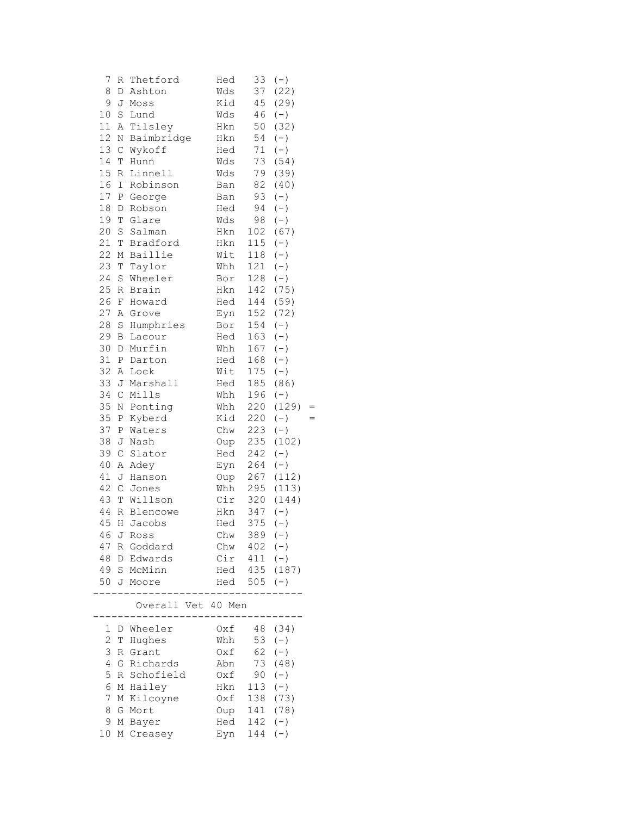| 7<br>8         | R<br>D      | Thetford<br>Ashton | Hed<br>Wds | 33<br>37   | $(-)$<br>(22)    |  |
|----------------|-------------|--------------------|------------|------------|------------------|--|
| 9              | J           | Moss               | Kid        | 45         | (29)             |  |
| 10             | S           | Lund               | Wds        | 46         | $(-)$            |  |
| 11             | Α           | Tilsley            | Hkn        | 50         | (32)             |  |
| 12             | Ν           | Baimbridge         | Hkn        | 54         | $(-)$            |  |
| 13             | $\mathsf C$ | Wykoff             | Hed        | 71         | $(-)$            |  |
| 14             | Т           | Hunn               | Wds        | 73         | (54)             |  |
| 15             | R           | Linnell            | Wds        | 79         | (39)             |  |
| 16             | I           | Robinson           | Ban        | 82         | (40)             |  |
| 17             | Ρ           | George             | Ban        | 93         | $(-)$            |  |
| 18             | D           | Robson             | Hed        | 94         | $(-)$            |  |
| 19             | T           | Glare              | Wds        | 98         | $(-)$            |  |
| 20             | S           | Salman             | Hkn        | 102        | (67)             |  |
| 21             | Т           | Bradford           | Hkn        | 115        | $(-)$            |  |
| 22             | М           | Baillie            | Wit        | 118        | $(\,-\,)$        |  |
| 23             | T           | Taylor             | Whh        | 121        | $(-)$            |  |
| 24             | S           | Wheeler            | Bor        | 128        | $(-)$            |  |
| 25<br>26       | $\mathbb R$ | Brain              | Hkn        | 142        | (75)             |  |
| 27             | F           | Howard             | Hed        | 144<br>152 | (59)             |  |
| 28             | Α<br>S      | Grove<br>Humphries | Eyn        | 154        | (72)<br>$(-)$    |  |
| 29             | В           | Lacour             | Bor<br>Hed | 163        | $(-)$            |  |
| 30             | D           | Murfin             | Whh        | 167        | $(-)$            |  |
| 31             | Ρ           | Darton             | Hed        | 168        | $(-)$            |  |
| 32             | Α           | Lock               | Wit        | 175        | $(-)$            |  |
| 33             | J           | Marshall           | Hed        | 185        | (86)             |  |
| 34             | $\mathsf C$ | Mills              | Whh        | 196        | $(-)$            |  |
| 35             | Ν           | Ponting            | Whh        | 220        | (129)            |  |
| 35             | Ρ           | Kyberd             | Kid        | 220        | $(-)$            |  |
| 37             | Ρ           | Waters             | Chw        | 223        | $(-)$            |  |
| 38             | J           | Nash               | Oup        | 235        | (102)            |  |
| 39             | $\mathsf C$ | Slator             | Hed        | 242        | $(-)$            |  |
| 40             | Α           | Adey               | Eyn        | 264        | $(-)$            |  |
| 41             | J           | Hanson             | Oup        | 267        | (112)            |  |
| 42             | $\mathsf C$ | Jones              | Whh        | 295        | (113)            |  |
| 43             | $\mathbb T$ | Willson            | Cir        | 320        | (144)            |  |
| $4\,4$         | R           | Blencowe           | Hkn        | 347        | $(-)$            |  |
| 45             | Η           | Jacobs             | Hed        | 375        | $(-)$            |  |
|                |             | 46 J Ross          | Chw        |            | $389 (-)$        |  |
|                |             | 47 R Goddard       | Chw        | $402 (-)$  |                  |  |
| 48             | D           | Edwards            | Cir        | 411        | $(-)$            |  |
| 49             |             | S McMinn           | Hed        | 435        | (187)            |  |
| 50             |             | J Moore            | Hed        | 505        | $(-)$            |  |
|                |             | Overall Vet 40 Men |            |            |                  |  |
| 1              |             | Wheeler            |            |            |                  |  |
| 2              | D<br>Т      | Hughes             | Oxf<br>Whh | 53         | 48 (34)<br>$(-)$ |  |
| 3              | R           | Grant              | Oxf        | 62         | $(-)$            |  |
| 4              | G           | Richards           | Abn        | 73         | (48)             |  |
| 5              | R           | Schofield          | Oxf        | 90         | $(-)$            |  |
| 6              | М           | Hailey             | Hkn        | 113        | $(-)$            |  |
| $\overline{7}$ | М           | Kilcoyne           | Oxf        | 138        | (73)             |  |
| 8              | G           | Mort               | Oup        | 141        | (78)             |  |
| 9              | Μ           | Bayer              | Hed        | 142        | $(-)$            |  |
| 10             | Μ           | Creasey            | Eyn        | 144        | $(-)$            |  |
|                |             |                    |            |            |                  |  |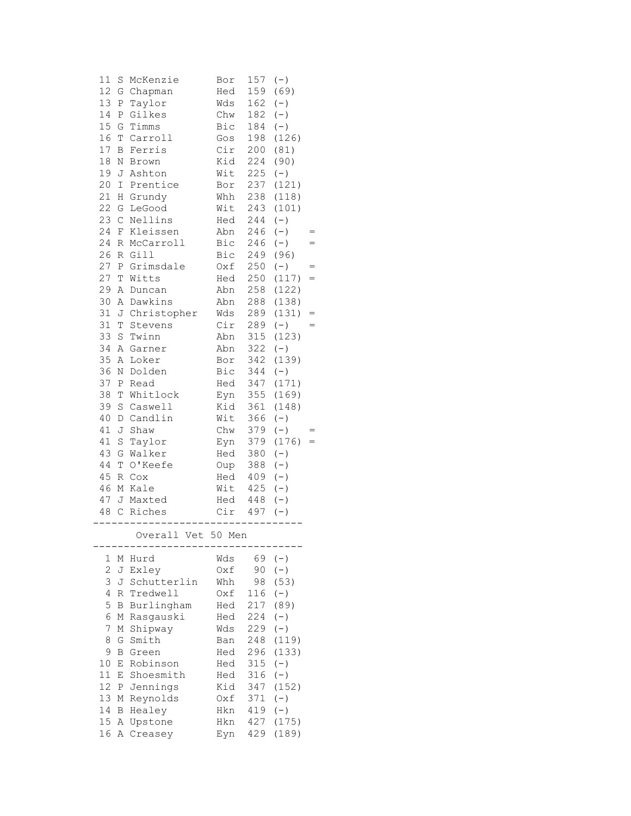| $11\,$<br>S<br>12 <sup>°</sup><br>G<br>13<br>$\mathbf{P}$<br>14<br>Ρ<br>15<br>G<br>16<br>T<br>17<br>$\, {\bf B}$<br>18<br>Ν<br>19<br>J<br>20<br>I<br>21<br>Η<br>22<br>G<br>23<br>$\mathsf C$<br>24<br>24<br>26<br>27<br>$\, {\bf P}$<br>27<br>Т<br>29<br>Α<br>30<br>Α<br>31<br>J<br>31<br>T<br>33<br>$\rm S$<br>34<br>Α<br>35<br>Α<br>36<br>N<br>37<br>Ρ<br>38<br>Т<br>39<br>S<br>40<br>D<br>41<br>J<br>41<br>S<br>43<br>G<br>44<br>$\mathbb T$<br>45<br>R<br>46<br>М | McKenzie<br>Chapman<br>Taylor<br>Gilkes<br>Timms<br>Carroll<br>Ferris<br>Brown<br>Ashton<br>Prentice<br>Grundy<br>LeGood<br>Nellins<br>F Kleissen<br>R McCarroll<br>R Gill<br>Grimsdale<br>Witts<br>Duncan<br>Dawkins<br>Christopher<br>Stevens<br>Twinn<br>Garner<br>Loker<br>Dolden<br>Read<br>Whitlock<br>Caswell<br>Candlin<br>Shaw<br>Taylor<br>Walker<br>O'Keefe<br>Cox<br>Kale | Bor<br>Hed<br>Wds<br>Chw<br>Bic<br>Gos<br>Cir<br>Kid<br>Wit<br>Bor<br>Whh<br>Wit<br>Hed<br>Abn<br>Bic<br>Bic<br>Oxf<br>Hed<br>Abn<br>Abn<br>Wds<br>Cir<br>Abn<br>Abn<br>Bor<br>Bic<br>Hed<br>Eyn<br>Kid<br>Wit<br>Chw<br>Eyn<br>Hed<br>Oup<br>Hed<br>Wit | 157<br>159<br>162<br>182<br>184<br>198<br>200<br>224<br>225<br>237<br>238<br>243<br>244<br>246<br>246<br>249<br>250<br>250<br>258<br>288<br>289<br>289<br>315<br>322<br>342<br>344<br>347<br>355<br>361<br>366<br>379<br>379<br>380<br>388<br>409<br>425 | $(-)$<br>(69)<br>$(-)$<br>$(-)$<br>$(-)$<br>(126)<br>(81)<br>(90)<br>$(-)$<br>(121)<br>(118)<br>(101)<br>$(-)$<br>$(-)$<br>$(-)$<br>(96)<br>$(-)$<br>(117)<br>(122)<br>(138)<br>(131)<br>$(-)$<br>(123)<br>$(-)$<br>(139)<br>$(-)$<br>(171)<br>(169)<br>(148)<br>$(\,-\,)$<br>$(-)$<br>(176)<br>$(-)$<br>$(-)$<br>$(\, - \,)$<br>$(-)$ | $=$<br>$=$<br>$=$ |
|-----------------------------------------------------------------------------------------------------------------------------------------------------------------------------------------------------------------------------------------------------------------------------------------------------------------------------------------------------------------------------------------------------------------------------------------------------------------------|---------------------------------------------------------------------------------------------------------------------------------------------------------------------------------------------------------------------------------------------------------------------------------------------------------------------------------------------------------------------------------------|----------------------------------------------------------------------------------------------------------------------------------------------------------------------------------------------------------------------------------------------------------|----------------------------------------------------------------------------------------------------------------------------------------------------------------------------------------------------------------------------------------------------------|----------------------------------------------------------------------------------------------------------------------------------------------------------------------------------------------------------------------------------------------------------------------------------------------------------------------------------------|-------------------|
| 47<br>48                                                                                                                                                                                                                                                                                                                                                                                                                                                              | J Maxted<br>C Riches                                                                                                                                                                                                                                                                                                                                                                  | Hed<br>Cir                                                                                                                                                                                                                                               | 448<br>497                                                                                                                                                                                                                                               | $(-)$<br>$(-)$                                                                                                                                                                                                                                                                                                                         |                   |
|                                                                                                                                                                                                                                                                                                                                                                                                                                                                       | Overall Vet                                                                                                                                                                                                                                                                                                                                                                           | 50 Men                                                                                                                                                                                                                                                   |                                                                                                                                                                                                                                                          |                                                                                                                                                                                                                                                                                                                                        |                   |
| 1<br>М<br>2<br>J<br>3<br>J<br>4<br>R<br>5<br>В<br>6<br>М<br>7<br>М<br>8<br>G<br>9<br>B<br>10<br>Ε<br>11<br>Ε<br>12<br>Ρ<br>13<br>М<br>14<br>B<br>15<br>Α                                                                                                                                                                                                                                                                                                              | Hurd<br>Exley<br>Schutterlin<br>Tredwell<br>Burlingham<br>Rasgauski<br>Shipway<br>Smith<br>Green<br>Robinson<br>Shoesmith<br>Jennings<br>Reynolds<br>Healey<br>Upstone                                                                                                                                                                                                                | Wds<br>Oxf<br>Whh<br>Oxf<br>Hed<br>Hed<br>Wds<br>Ban<br>Hed<br>Hed<br>Hed<br>Kid<br>Oxf<br>Hkn<br>Hkn                                                                                                                                                    | 69<br>90<br>98<br>116<br>217<br>224<br>229<br>248<br>296<br>315<br>316<br>347<br>371<br>419<br>427                                                                                                                                                       | $(-)$<br>$(-)$<br>(53)<br>$(-)$<br>(89)<br>$(-)$<br>$(-)$<br>(119)<br>(133)<br>$(-)$<br>$(-)$<br>(152)<br>$(-)$<br>$(-)$<br>(175)                                                                                                                                                                                                      |                   |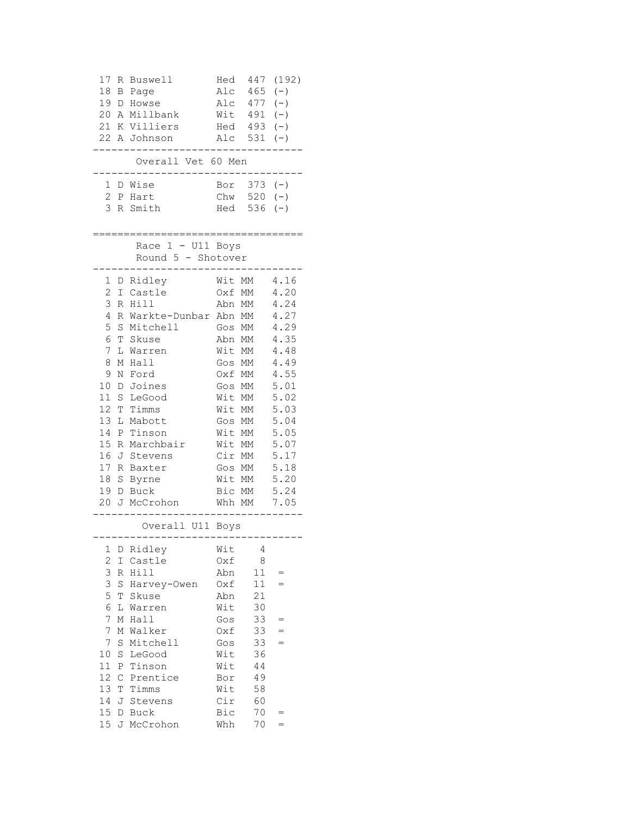| 17<br>R<br>18<br>В<br>19<br>D<br>20<br>Α<br>21<br>K<br>22<br>A                                                                                                                                             | Buswell<br>Page<br>Howse<br>Millbank<br>Villiers<br>Johnson                                                                                                                                                       | Hed<br>Alc<br>Alc<br>Wit<br>Hed<br>Alc                                                                                                                     | 447<br>465<br>477<br>491<br>493<br>531                                               | (192)<br>$(-)$<br>$(-)$<br>$(-)$<br>$(-)$<br>$(-)$                                                                                                           |
|------------------------------------------------------------------------------------------------------------------------------------------------------------------------------------------------------------|-------------------------------------------------------------------------------------------------------------------------------------------------------------------------------------------------------------------|------------------------------------------------------------------------------------------------------------------------------------------------------------|--------------------------------------------------------------------------------------|--------------------------------------------------------------------------------------------------------------------------------------------------------------|
|                                                                                                                                                                                                            | Overall Vet 60 Men                                                                                                                                                                                                |                                                                                                                                                            |                                                                                      |                                                                                                                                                              |
| 1<br>$\overline{c}$<br>Ρ<br>3                                                                                                                                                                              | D Wise<br>Hart<br>R Smith                                                                                                                                                                                         | Bor<br>Chw<br>Hed                                                                                                                                          | $373 (-)$<br>520<br>536                                                              | $(-)$<br>$(-)$                                                                                                                                               |
|                                                                                                                                                                                                            | Race 1 - U11 Boys<br>Round 5 - Shotover                                                                                                                                                                           |                                                                                                                                                            |                                                                                      |                                                                                                                                                              |
| 1<br>D<br>2<br>I<br>3<br>R<br>4<br>R<br>5<br>S<br>6<br>Т<br>7<br>L<br>8<br>Μ<br>9<br>Ν<br>10<br>D<br>11<br>S<br>12<br>Т<br>13<br>L<br>14<br>Ρ<br>15<br>R<br>16<br>J<br>17<br>R<br>18<br>S<br>19<br>D<br>20 | Ridley<br>Castle<br>Hill<br>Warkte-Dunbar<br>Mitchell<br>Skuse<br>Warren<br>Hall<br>Ford<br>Joines<br>LeGood<br>Timms<br>Mabott<br>Tinson<br>Marchbair<br>Stevens<br>Baxter<br>Byrne<br><b>Buck</b><br>J McCrohon | Wit<br>Oxf<br>Abn MM<br>Abn MM<br>Gos<br>Abn MM<br>Wit<br>Gos<br>Oxf<br>Gos<br>Wit<br>Wit<br>Gos MM<br>Wit<br>Wit MM<br>Cir MM<br>Gos<br>Wit<br>Bic<br>Whh | МM<br>МM<br>МM<br>МM<br>МM<br>МM<br>МM<br>МM<br>МM<br>MМ<br>МM<br>МM<br>МM<br>МM     | 4.16<br>4.20<br>4.24<br>4.27<br>4.29<br>4.35<br>4.48<br>4.49<br>4.55<br>5.01<br>5.02<br>5.03<br>5.04<br>5.05<br>5.07<br>5.17<br>5.18<br>5.20<br>5.24<br>7.05 |
|                                                                                                                                                                                                            | Overall U11 Boys                                                                                                                                                                                                  |                                                                                                                                                            |                                                                                      |                                                                                                                                                              |
| 1<br>D<br>$\overline{c}$<br>I<br>3<br>3<br>S<br>5<br>T<br>6<br>7<br>М<br>7<br>7<br>$\rm S$<br>10<br>S<br>11<br>12<br>C<br>13<br>14<br>15                                                                   | Ridley<br>Castle<br>R Hill<br>Harvey-Owen<br>Skuse<br>L Warren<br>Hall<br>M Walker<br>Mitchell<br>LeGood<br>P Tinson<br>Prentice<br>T Timms<br>J Stevens<br>D Buck                                                | Wit<br>Oxf<br>Abn<br>Oxf<br>Abn<br>Wit<br>Gos<br>0xf<br>Gos<br>Wit<br>Wit<br>Bor<br>Wit<br>Cir<br>Bic                                                      | 4<br>8<br>11<br>11<br>21<br>30<br>33<br>33<br>33<br>36<br>44<br>49<br>58<br>60<br>70 | =<br>$=$<br>=<br>$=$<br>$=$                                                                                                                                  |
| 15<br>J                                                                                                                                                                                                    | McCrohon                                                                                                                                                                                                          | Whh                                                                                                                                                        | 70                                                                                   |                                                                                                                                                              |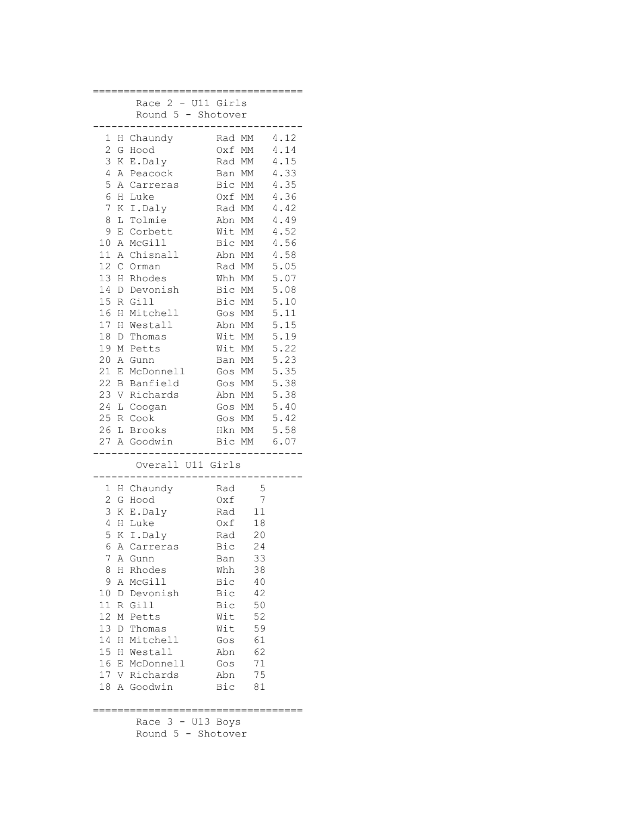|                |             | - U11 Girls<br>Race 2 |            |                   |      |
|----------------|-------------|-----------------------|------------|-------------------|------|
|                |             | Round 5<br>$-$        | Shotover   |                   |      |
|                |             |                       |            |                   |      |
| 1              | Η           | Chaundy               | Rad        | МM                | 4.12 |
| $\overline{c}$ | G           | Hood                  | Oxf        | МM                | 4.14 |
| 3              | К           | E.Daly                | Rad MM     |                   | 4.15 |
| 4              | Α           | Peacock               | Ban MM     |                   | 4.33 |
| 5              | Α           | Carreras              | Bic MM     |                   | 4.35 |
| 6              | Н           | Luke                  | Oxf MM     |                   | 4.36 |
| 7              | Κ           | I.Daly                | Rad MM     |                   | 4.42 |
| 8              | L           | Tolmie                | Abn MM     |                   | 4.49 |
| 9              | Ε           | Corbett               | Wit MM     |                   | 4.52 |
|                |             |                       |            |                   |      |
| 10             | Α           | McGill                | Bic        | $\mathop{\rm MM}$ | 4.56 |
| 11             | Α           | Chisnall              | Abn MM     |                   | 4.58 |
| 12             | $\mathsf C$ | Orman                 | Rad MM     |                   | 5.05 |
| 13             | Η           | Rhodes                | Whh        | $\mathop{\rm MM}$ | 5.07 |
| 14             | D           | Devonish              | Bic MM     |                   | 5.08 |
| 15             | R           | Gill                  | Bic MM     |                   | 5.10 |
| 16             | Η           | Mitchell              | Gos        | МM                | 5.11 |
| 17             | Η           | Westall               | Abn MM     |                   | 5.15 |
| 18             | D           | Thomas                | Wit        | МM                | 5.19 |
| 19             | Μ           | Petts                 | Wit        | $\mathop{\rm MM}$ | 5.22 |
| 20             | Α           | Gunn                  | Ban MM     |                   | 5.23 |
| 21             | Ε           | McDonnell             | Gos MM     |                   | 5.35 |
| 22             | B           | Banfield              | Gos MM     |                   | 5.38 |
| 23             | $\mathbf V$ | Richards              | Abn MM     |                   | 5.38 |
| 24             | L           | Coogan                | Gos MM     |                   | 5.40 |
| 25             | R           | Cook                  | Gos MM     |                   | 5.42 |
| 26             | L           | <b>Brooks</b>         | Hkn MM     |                   | 5.58 |
|                |             | 27 A Goodwin          | Bic        | МM                | 6.07 |
|                |             |                       |            |                   |      |
|                |             | Overall U11 Girls     |            |                   |      |
| 1              | Η           | Chaundy               | Rad        | 5                 |      |
| $\overline{c}$ | G           | Hood                  | Oxf        | 7                 |      |
| 3              | Κ           | E.Daly                | Rad        | 11                |      |
| 4              | Η           | Luke                  | Oxf        | 18                |      |
| 5              | Κ           | I.Daly                | Rad        | 20                |      |
|                |             | 6 A Carreras          | Bic        | 24                |      |
| 7              | Α           | Gunn                  | Ban        | 33                |      |
| 8              | Н           | Rhodes                | Whh        | 38                |      |
| 9              | $\mathbb A$ | McGill                |            |                   |      |
| 10             |             | Devonish              | Bic<br>Bic | 40<br>42          |      |
|                | D           | Gill                  |            |                   |      |
| 11             | $\mathbb R$ |                       | Bic        | 50                |      |
| 12             | М           | Petts                 | Wit        | 52                |      |
| 13             | D           | Thomas                | Wit        | 59                |      |
| 14             | Η           | Mitchell              | Gos        | 61                |      |
| 15             | Η           | Westall               | Abn        | 62                |      |
| 16             | Ε           | McDonnell             | Gos        | 71                |      |
| 17             |             | V Richards            | Abn        | 75                |      |
| 18             | Α           | Goodwin               | Bic        | 81                |      |
|                |             |                       |            |                   |      |

==================================

 Race 3 - U13 Boys Round 5 - Shotover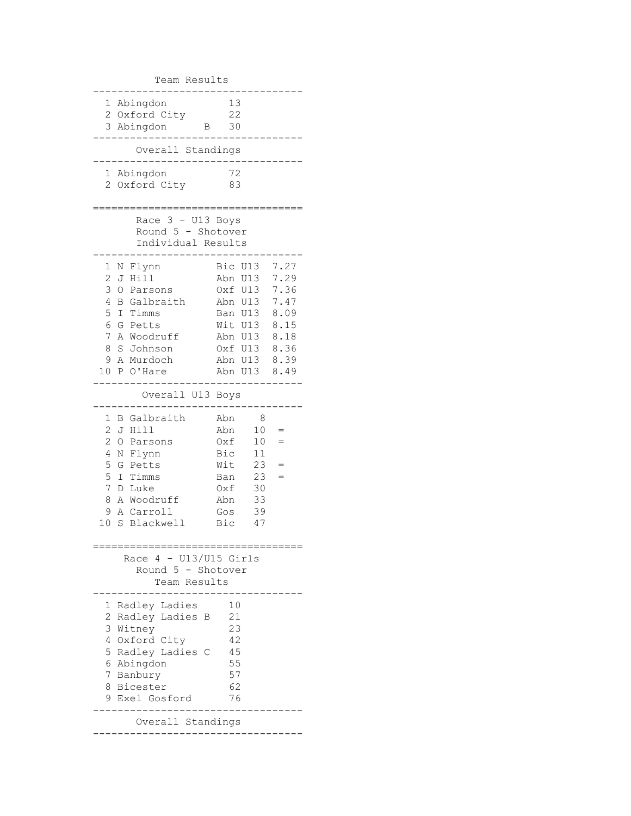Team Results ---------------------------------- 1 Abingdon 13 2 Oxford City 22 3 Abingdon B 30 ---------------------------------- Overall Standings ---------------------------------- 1 Abingdon 72 2 Oxford City 83 ================================== Race 3 - U13 Boys Round 5 - Shotover Individual Results ---------------------------------- 1 N Flynn Bic U13 7.27 2 J Hill Abn U13 7.29 3 O Parsons Oxf U13 7.36 4 B Galbraith Abn U13 7.47 5 I Timms Ban U13 8.09 6 G Petts Wit U13 8.15 7 A Woodruff Abn U13 8.18 8 S Johnson Oxf U13 8.36 9 A Murdoch Abn U13 8.39 10 P O'Hare Abn U13 8.49 ---------------------------------- Overall U13 Boys ---------------------------------- 1 B Galbraith Abn 8 2 J Hill Abn 10 = 2 O Parsons Oxf 10 = 4 N Flynn Bic 11 5 G Petts Wit 23 =  $5$  I Timms Ban  $23 =$  7 D Luke Oxf 30 8 A Woodruff Abn 33 9 A Carroll Gos 39 10 S Blackwell Bic 47 ================================== Race  $4 - U13/U15$  Girls Round 5 - Shotover Team Results ---------------------------------- 1 Radley Ladies 10 2 Radley Ladies B 21 3 Witney 23 4 Oxford City 42 5 Radley Ladies C 45 6 Abingdon 55 7 Banbury 57 8 Bicester 62 9 Exel Gosford 76 ---------------------------------- Overall Standings ----------------------------------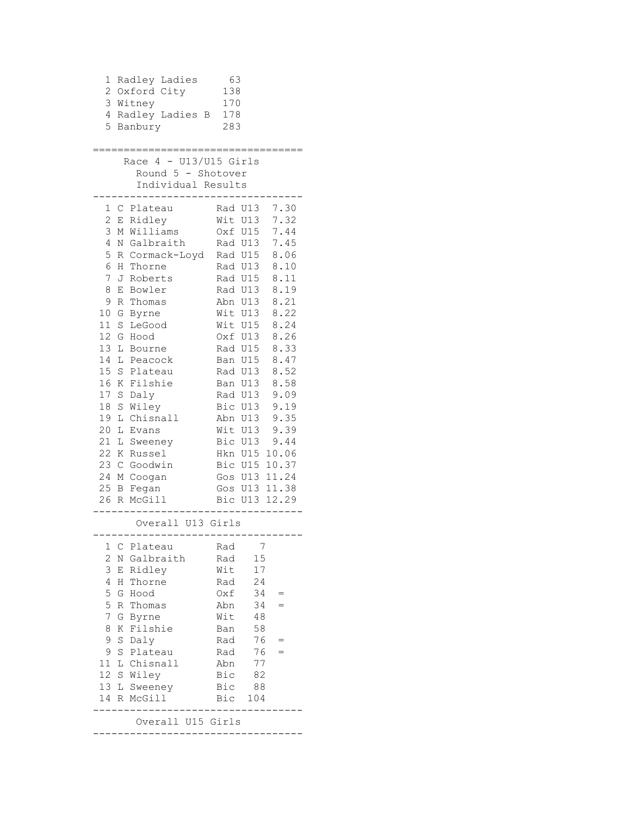```
1 Radley Ladies 63<br>2 Oxford City 138
 2 Oxford City
  3 Witney 170
  4 Radley Ladies B 178
  5 Banbury 283
==================================
   Race 4 - U13/U15 Girls
     Round 5 - Shotover
      Individual Results
----------------------------------
 1 C Plateau Rad U13 7.30
 2 E Ridley Wit U13 7.32
 3 M Williams Oxf U15 7.44
 4 N Galbraith Rad U13 7.45
  5 R Cormack-Loyd Rad U15 8.06
 6 H Thorne Rad U13 8.10
7 J Roberts Rad U15 8.11
8 E Bowler Rad U13 8.19
 9 R Thomas Abn U13 8.21
10 G Byrne Wit U13 8.22
11 S LeGood Wit U15 8.24
12 G Hood Oxf U13 8.26
13 L Bourne Rad U15 8.33
14 L Peacock Ban U15 8.47
15 S Plateau Rad U13 8.52
16 K Filshie Ban U13 8.58
17 S Daly Rad U13 9.09
18 S Wiley Bic U13 9.19
19 L Chisnall Abn U13 9.35
20 L Evans Wit U13 9.39
21 L Sweeney Bic U13 9.44
22 K Russel Hkn U15 10.06
23 C Goodwin Bic U15 10.37
24 M Coogan Gos U13 11.24
25 B Fegan Gos U13 11.38
26 R McGill Bic U13 12.29
----------------------------------
     Overall U13 Girls
----------------------------------
  1 C Plateau Rad 7 
  2 N Galbraith Rad 15 
  3 E Ridley Wit 17 
  4 H Thorne Rad 24 
  5 G Hood Oxf 34 =
  5 R Thomas Abn 34 =
  7 G Byrne Wit 48 
  8 K Filshie Ban 58 
  9 S Daly Rad 76 =
 9 S Plateau Rad 76 =<br>11 L Chisnall Abn 77
11 L Chisnall Abn 77 
12 S Wiley Bic 82 
13 L Sweeney Bic 88
14 R McGill Bic 104
----------------------------------
     Overall U15 Girls
----------------------------------
```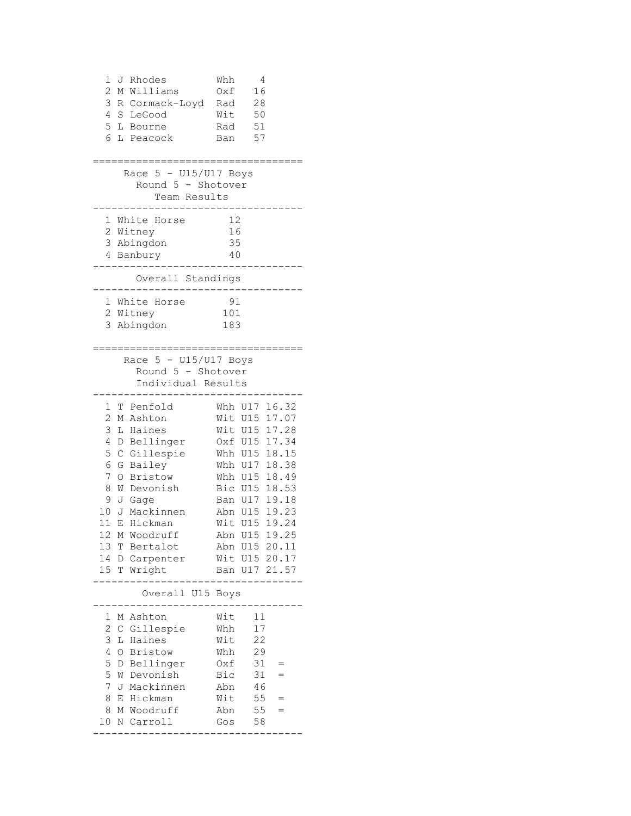```
 1 J Rhodes Whh 4 
 2 M Williams Oxf 16 
  3 R Cormack-Loyd Rad 28 
  4 S LeGood Wit 50 
  5 L Bourne Rad 51 
  6 L Peacock Ban 57 
==================================
   Race 5 - U15/U17 Boys
     Round 5 - Shotover
        Team Results
----------------------------------
 1 White Horse
  2 Witney 16
 3 Abingdon 35<br>4 Banbury 40
 4 Banbury
----------------------------------
     Overall Standings
----------------------------------
  1 White Horse 91
  2 Witney 101
  3 Abingdon 183
==================================
   Race 5 - U15/U17 Boys
     Round 5 - Shotover
      Individual Results
----------------------------------
 1 T Penfold Whh U17 16.32
 2 M Ashton Wit U15 17.07
 3 L Haines Wit U15 17.28
 4 D Bellinger Oxf U15 17.34
 5 C Gillespie Whh U15 18.15
 6 G Bailey Whh U17 18.38
 7 O Bristow Whh U15 18.49
 8 W Devonish Bic U15 18.53
9 J Gage Ban U17 19.18
10 J Mackinnen Abn U15 19.23
11 E Hickman Wit U15 19.24
12 M Woodruff Abn U15 19.25
13 T Bertalot Abn U15 20.11
14 D Carpenter Wit U15 20.17
15 T Wright Ban U17 21.57
----------------------------------
       Overall U15 Boys
----------------------------------
  1 M Ashton Wit 11 
  2 C Gillespie Whh 17 
  3 L Haines Wit 22 
 4 O Bristow Whh 29 
 5 D Bellinger Oxf 31 =
 5 W Devonish Bic 31 =
 7 J Mackinnen Abn 46 
 8 E Hickman Wit 55 =
 8 M Woodruff Abn 55 =
10 N Carroll Gos 58 
----------------------------------
```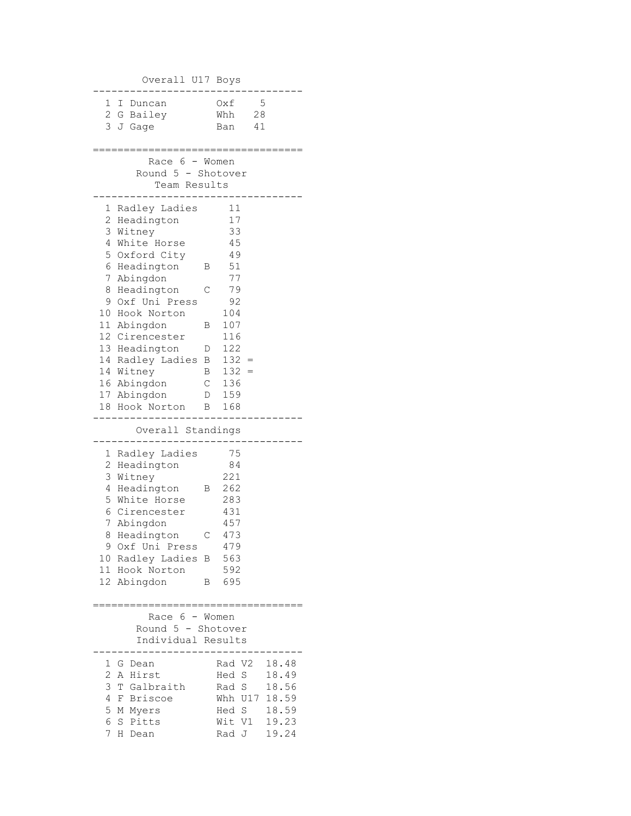| Overall U17 Boys                                                                                                                                                                                                                                                                                            |                                           |                                                                                                                    |       |
|-------------------------------------------------------------------------------------------------------------------------------------------------------------------------------------------------------------------------------------------------------------------------------------------------------------|-------------------------------------------|--------------------------------------------------------------------------------------------------------------------|-------|
| 1 I Duncan<br>2 G Bailey<br>3 J Gage                                                                                                                                                                                                                                                                        |                                           | Oxf<br>Whh<br>28<br>41<br>Ban                                                                                      | 5     |
| Race 6 - Women<br>Round 5 - Shotover<br>Team Results                                                                                                                                                                                                                                                        |                                           |                                                                                                                    |       |
| 1 Radley Ladies<br>2 Headington<br>3 Witney<br>4 White Horse<br>5 Oxford City<br>6 Headington<br>7 Abingdon<br>8 Headington<br>9 Oxf Uni Press<br>10 Hook Norton<br>11 Abingdon<br>12 Cirencester<br>13 Headington<br>14 Radley Ladies B 132 =<br>14 Witney<br>16 Abingdon<br>17 Abingdon<br>18 Hook Norton | B<br>C<br>Β<br>D<br>Β<br>$\mathsf C$<br>В | 11<br>17<br>33<br>45<br>49<br>51<br>77<br>79<br>92<br>104<br>107<br>116<br>122<br>$132 =$<br>136<br>$D$ 159<br>168 |       |
| Overall Standings                                                                                                                                                                                                                                                                                           |                                           |                                                                                                                    |       |
| 1 Radley Ladies<br>2 Headington<br>3 Witney<br>4 Headington<br>5 White Horse<br>6 Cirencester<br>7 Abingdon<br>8 Headington<br>9 Oxf Uni Press<br>10 Radley Ladies B 563<br>11 Hook Norton<br>12 Abingdon                                                                                                   | В<br>C                                    | 75<br>84<br>221<br>262<br>283<br>431<br>457<br>473<br>479<br>592<br>B 695                                          |       |
| Race 6 - Women<br>Round 5 - Shotover<br>Individual Results                                                                                                                                                                                                                                                  |                                           |                                                                                                                    |       |
| 1 G Dean<br>2 A Hirst<br>3 T Galbraith<br>4 F Briscoe<br>5 M Myers<br>6 S Pitts<br>7 H Dean                                                                                                                                                                                                                 |                                           | Rad V2 18.48<br>Hed S<br>Rad S 18.56<br>Whh U17 18.59<br>Hed S 18.59<br>Wit V1 19.23<br>Rad J 19.24                | 18.49 |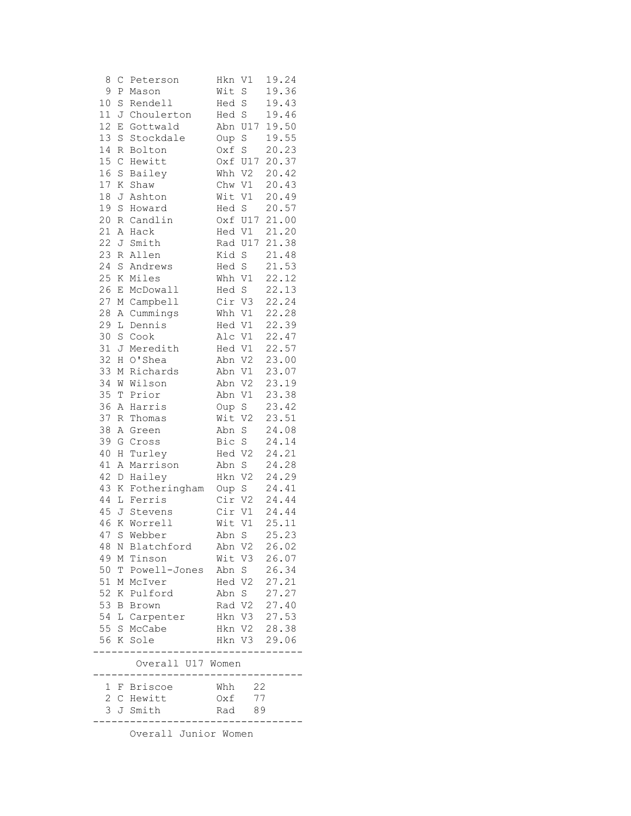|          |                    | 3 J Smith                 | Rad               | -89                 |                |
|----------|--------------------|---------------------------|-------------------|---------------------|----------------|
|          |                    | 1 F Briscoe<br>2 C Hewitt | Whh<br>Oxf        | 22<br>77            |                |
|          |                    | Overall U17 Women         |                   |                     |                |
| 56       |                    | K Sole                    |                   |                     | Hkn V3 29.06   |
| 55 S     |                    | McCabe                    |                   |                     | Hkn V2 28.38   |
| 54 L     |                    | Carpenter                 |                   | Hkn V3              | 27.53          |
| 53       | B                  | Brown                     | Rad V2            |                     | 27.40          |
| 52       | Κ                  | Pulford                   | Abn S             |                     | 27.27          |
| 51       | Μ                  | McIver                    | Hed V2            |                     | 27.21          |
| 50       |                    | T Powell-Jones            | Abn S             |                     | 26.34          |
| 49       |                    | M Tinson                  | Wit V3            |                     | 26.07          |
| 48       | Ν                  | Blatchford                |                   | Abn V2              | 26.02          |
| 47       |                    | S Webber                  | Abn S             |                     | 25.23          |
| 46       | Κ                  | Worrell                   | Wit               | V1                  | 25.11          |
| 45       |                    | J Stevens                 | Cir               | V1                  | 24.44          |
| 44       | L                  | Ferris                    | Cir V2            |                     | 24.44          |
| 43       | D<br>К             | Hailey<br>Fotheringham    | Oup S             |                     | 24.29<br>24.41 |
| 41<br>42 | Α                  | Marrison                  | Abn<br>Hkn        | S<br>V <sub>2</sub> | 24.28          |
| 40       | Η                  | Turley                    | Hed               | V <sub>2</sub>      | 24.21          |
| 39       | G                  | Cross                     | Bic S             |                     | 24.14          |
| 38       | Α                  | Green                     | Abn               | S                   | 24.08          |
| 37       | R                  | Thomas                    | Wit               | V <sub>2</sub>      | 23.51          |
| 36       | Α                  | Harris                    | Oup S             |                     | 23.42          |
| 35       | T                  | Prior                     | Abn V1            |                     | 23.38          |
| 34       | W                  | Wilson                    | Abn               | V <sub>2</sub>      | 23.19          |
| 33       | Μ                  | Richards                  | Abn               | V1                  | 23.07          |
| 32       | Η                  | O'Shea                    | Abn               | V <sub>2</sub>      | 23.00          |
| 31       | J                  | Meredith                  | Hed               | V1                  | 22.57          |
| 30       | $\mathbf S$        | Cook                      | Alc               | V1                  | 22.47          |
| 29       | L                  | Dennis                    | Hed               | V1                  | 22.39          |
| 28       | Α                  | Cummings                  | Whh               | V1                  | 22.28          |
| 27       | М                  | Campbell                  | Cir               | V3                  | 22.24          |
| 26       | Ε                  | McDowall                  | Hed               | S                   | 22.13          |
| 25       | Κ                  | Miles                     | Whh V1            |                     | 22.12          |
| 24       | S                  | Andrews                   | Hed               | S                   | 21.53          |
| 23       | R                  | Allen                     | Kid S             |                     | 21.48          |
| 22       | J                  | Smith                     | Rad U17           |                     | 21.38          |
| 21       | Α                  | Hack                      | Hed V1            |                     | 21.20          |
| 20       | R                  | Candlin                   |                   | Oxf U17             | 21.00          |
| 19       | $\mathbf S$        | Howard                    | Hed S             |                     | 20.57          |
| 18       | J                  | Ashton                    | Wit V1            |                     | 20.49          |
| 17       | K                  | Shaw                      | Chw V1            |                     | 20.43          |
| 16       | $\mathbf S$        | Hewitt<br>Bailey          | Oxf U17<br>Whh V2 |                     | 20.37<br>20.42 |
| 14<br>15 | R<br>$\mathcal{C}$ | Bolton                    | Oxf S             |                     | 20.23          |
| 13       | $\rm S$            | Stockdale                 | Oup               | S                   | 19.55          |
| 12       | Ε                  | Gottwald                  |                   | Abn U17             | 19.50          |
| 11       | J                  | Choulerton                | Hed S             |                     | 19.46          |
| 10       | $\rm S$            | Rendell                   | Hed               | $\rm S$             | 19.43          |
| 9        | Ρ                  | Mason                     | Wit               | S                   | 19.36          |
| 8        | С                  | Peterson                  | Hkn               | V1                  | 19.24          |

Overall Junior Women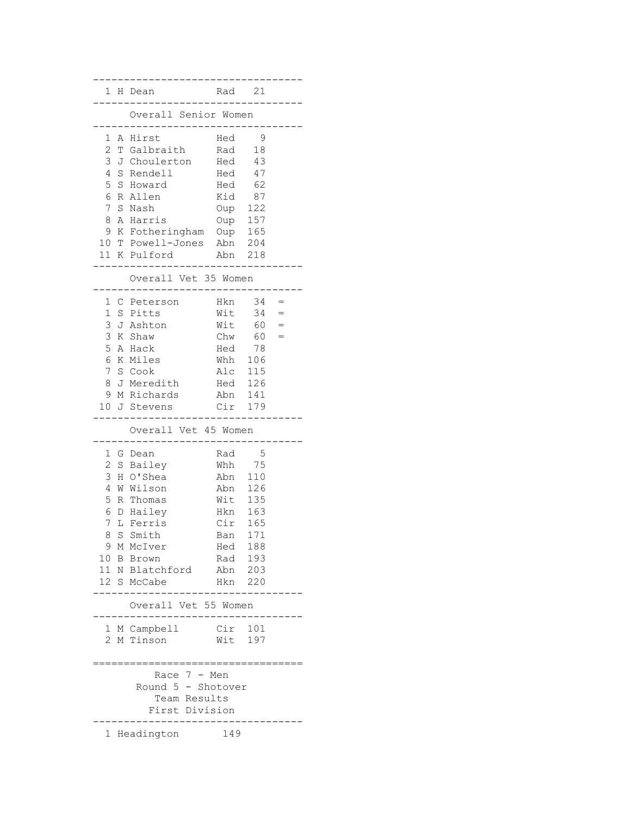---------------------------------- 1 H Dean Rad 21 ---------------------------------- Overall Senior Women ---------------------------------- 1 A Hirst Hed 9<br>2 T Galbraith Rad 18 2 T Galbraith 3 J Choulerton Hed 43 4 S Rendell Hed 47 5 S Howard Hed 62 6 R Allen Kid 87 7 S Nash Oup 122 8 A Harris Oup 157 9 K Fotheringham Oup 165 10 T Powell-Jones Abn 204 11 K Pulford Abn 218 ---------------------------------- Overall Vet 35 Women ---------------------------------- 1 C Peterson Hkn 34 = 1 S Pitts Wit 34 = 3 J Ashton Wit 60 = 3 K Shaw Chw 60 = 5 A Hack Hed 78 6 K Miles Whh 106 7 S Cook Alc 115 8 J Meredith Hed 126 9 M Richards Abn 141 10 J Stevens Cir 179 ---------------------------------- Overall Vet 45 Women ---------------------------------- 1 G Dean Rad 2 S Bailey Whh 75 3 H O'Shea Abn 110 4 W Wilson Abn 126<br>5 R Thomas Mit 135 5 R Thomas 6 D Hailey Hkn 163 7 L Ferris Cir 165 8 S Smith Ban 171 9 M McIver Hed 188 10 B Brown Rad 193 11 N Blatchford Abn 203 12 S McCabe Hkn 220 ---------------------------------- Overall Vet 55 Women ---------------------------------- 1 M Campbell Cir 101 2 M Tinson Wit 197 ================================== Race 7 - Men Round 5 - Shotover Team Results First Division ---------------------------------- 1 Headington 149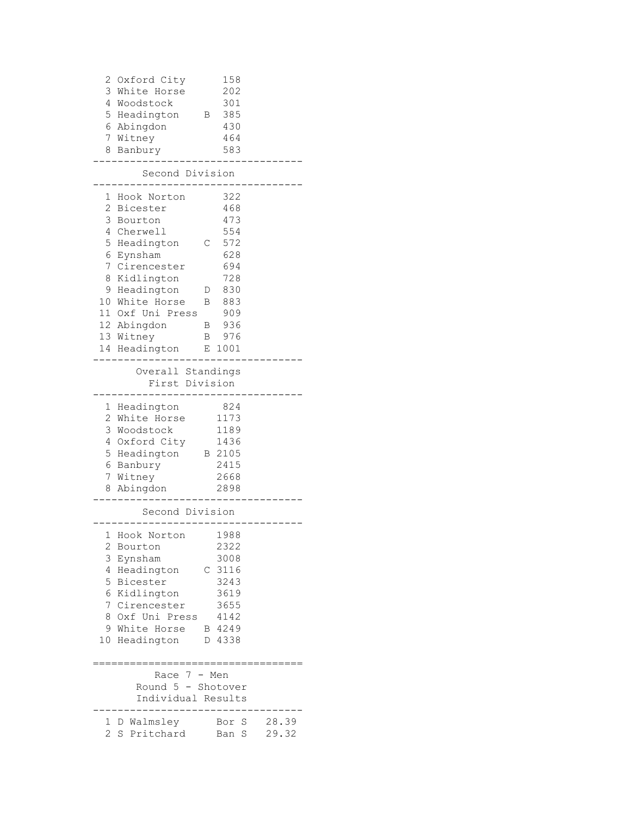| 2<br>Oxford City<br>3<br>White Horse<br>4 Woodstock<br>5 Headington<br>6 Abingdon<br>7 Witney<br>8<br>Banbury                                                                                                                                   | 158<br>202<br>301<br>385<br>Β<br>430<br>464<br>583                                                                                       |                |
|-------------------------------------------------------------------------------------------------------------------------------------------------------------------------------------------------------------------------------------------------|------------------------------------------------------------------------------------------------------------------------------------------|----------------|
| Second Division                                                                                                                                                                                                                                 |                                                                                                                                          |                |
| 1 Hook Norton<br>2<br>Bicester<br>3<br>Bourton<br>4<br>Cherwell<br>5<br>Headington<br>6<br>Eynsham<br>7<br>Cirencester<br>8<br>Kidlington<br>9<br>Headington<br>10 White Horse<br>11 Oxf Uni Press<br>12 Abingdon<br>13 Witney<br>14 Headington | 322<br>468<br>473<br>554<br>572<br>С<br>628<br>694<br>728<br>830<br>D<br>883<br>Β<br>909<br>936<br>Β<br>$\mathbf{B}$<br>976<br>1001<br>E |                |
| Overall Standings<br>First Division                                                                                                                                                                                                             |                                                                                                                                          |                |
| 1 Headington<br>2<br>White Horse<br>3<br>Woodstock<br>4 Oxford City<br>5 Headington<br>6<br>Banbury<br>7 Witney<br>8<br>Abingdon                                                                                                                | 824<br>1173<br>1189<br>1436<br>B 2105<br>2415<br>2668<br>2898                                                                            |                |
| Second Division                                                                                                                                                                                                                                 |                                                                                                                                          |                |
| 1.<br>Hook Norton<br>2<br>Bourton<br>3<br>Eynsham<br>4<br>Headington<br>5<br>Bicester<br>6<br>Kidlington<br>7<br>Cirencester<br>Oxf Uni Press<br>8<br>9<br>White Horse<br>10<br>Headington                                                      | 1988<br>2322<br>3008<br>3116<br>С<br>3243<br>3619<br>3655<br>4142<br>B 4249<br>4338<br>D                                                 |                |
| Race<br>Round 5 - Shotover<br>Individual Results                                                                                                                                                                                                | $7 -$<br>Men                                                                                                                             |                |
| 1<br>Walmsley<br>D<br>$\overline{2}$<br>Pritchard<br>S                                                                                                                                                                                          | S<br>Bor<br>S<br>Ban                                                                                                                     | 28.39<br>29.32 |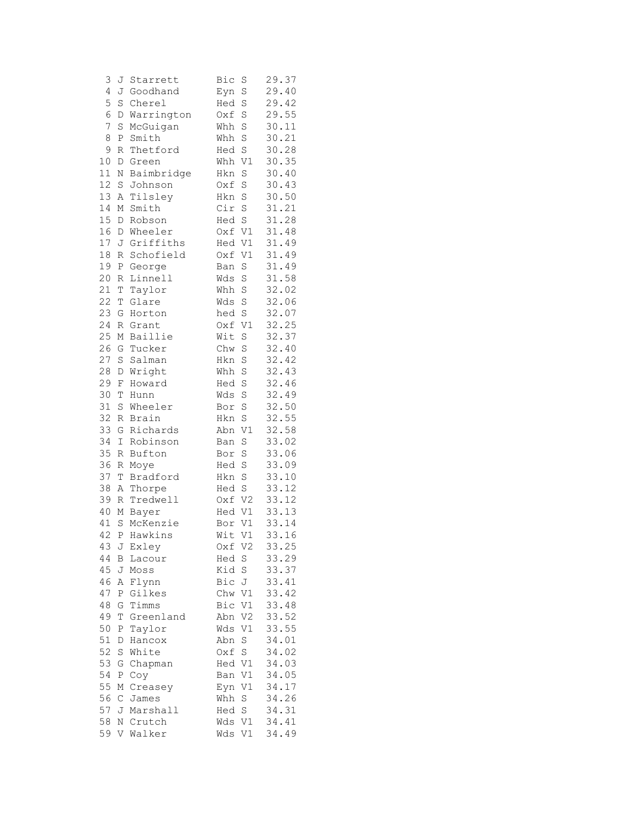| 3        | J            | Starrett        | Bic<br>S             | 29.37          |
|----------|--------------|-----------------|----------------------|----------------|
| 4        | J            | Goodhand        | S<br>Eyn             | 29.40          |
| 5        | S            | Cherel          | S<br>Hed             | 29.42          |
| 6        | D            | Warrington      | $\rm S$<br>Oxf       | 29.55          |
| 7        | S            | McGuigan        | Whh<br>$\rm S$       | 30.11          |
| 8        | $\, {\bf P}$ | Smith           | S<br>Whh             | 30.21          |
| 9        | R            | Thetford        | S<br>Hed             | 30.28          |
| 10       | D            | Green           | Whh<br>V1            | 30.35          |
| 11       | N            | Baimbridge      | S<br>Hkn             | 30.40          |
| 12       | S            | Johnson         | S<br>Oxf             | 30.43          |
| 13       | Α            | Tilsley         | S<br>Hkn             | 30.50          |
| 14       | М            | Smith           | Cir<br>S             | 31.21          |
| 15       | D            | Robson          | $\rm S$<br>Hed       | 31.28          |
| 16       | D            | Wheeler         | V1<br>Oxf            | 31.48          |
| 17       | J            | Griffiths       | V1<br>Hed            | 31.49          |
| 18       | R            | Schofield       | $\mathtt{V1}$<br>Oxf | 31.49          |
| 19       | Ρ            | George          | S<br>Ban             | 31.49          |
| 20       | R            | Linnell         | S<br>Wds             | 31.58          |
| 21       | Τ            | Taylor          | S<br>Whh             | 32.02          |
| 22       | Τ            | Glare           | S<br>Wds             | 32.06          |
| 23       | G            | Horton          | S<br>hed             | 32.07          |
| 24       | R            | Grant           | V1<br>Oxf            | 32.25          |
| 25       | М            | Baillie         | S<br>Wit             | 32.37          |
| 26       | G            | Tucker          | S<br>Chw             | 32.40          |
| 27       | S            | Salman          | S<br>Hkn             | 32.42          |
| 28       | D            | Wright          | Whh<br>$\rm S$       | 32.43          |
| 29       | F            | Howard          | S<br>Hed             | 32.46          |
| 30       | Т            | Hunn            | S<br>Wds             | 32.49          |
| 31       | S            | Wheeler         | S<br>Bor             | 32.50          |
| 32       | R            | Brain           | S<br>Hkn             | 32.55          |
| 33       | G            | Richards        | Abn<br>V1            | 32.58          |
| 34       | I            | Robinson        | S<br>Ban             | 33.02          |
| 35       | R            | Bufton          | $\rm S$<br>Bor       | 33.06          |
| 36       | R            | Moye            | $\rm S$<br>Hed       | 33.09          |
| 37       | T            | Bradford        | Hkn<br>$\rm S$       | 33.10          |
| 38       | Α            | Thorpe          | S<br>Hed             | 33.12          |
| 39       | R            | Tredwell        | Oxf V2               | 33.12          |
| 40       | Μ            | Bayer           | V1<br>Hed            | 33.13          |
| 41       | S            | McKenzie        | $\mathtt{V1}$<br>Bor | 33.14          |
| 42       | $\, {\bf P}$ | Hawkins         | Wit<br>V1            | 33.16          |
| 43       | J            | Exley           | Oxf V2               | 33.25          |
| 44       | В            | Lacour          | S<br>Hed             | 33.29          |
| 45       | J            | Moss            | Kid S                | 33.37          |
| 46<br>47 | Α            | Flynn<br>Gilkes | Bic J                | 33.41<br>33.42 |
| 48       | Ρ<br>G       | Timms           | Chw V1<br>Bic<br>V1  | 33.48          |
| 49       | Τ            | Greenland       | V2<br>Abn            | 33.52          |
| 50       | Ρ            | Taylor          | V1<br>Wds            | 33.55          |
| 51       | D            | Hancox          | $\rm S$<br>Abn       | 34.01          |
| 52       | S            | White           | Oxf S                | 34.02          |
| 53       | G            | Chapman         | Hed V1               | 34.03          |
| 54       | Ρ            | Coy             | V1<br>Ban            | 34.05          |
| 55       | Μ            | Creasey         | V1<br>Eyn            | 34.17          |
| 56       | $\mathsf{C}$ | James           | Whh S                | 34.26          |
| 57 J     |              | Marshall        | Hed S                | 34.31          |
| 58       | Ν            | Crutch          | Wds Vl               | 34.41          |
| 59       |              | V Walker        | Wds<br>V1            | 34.49          |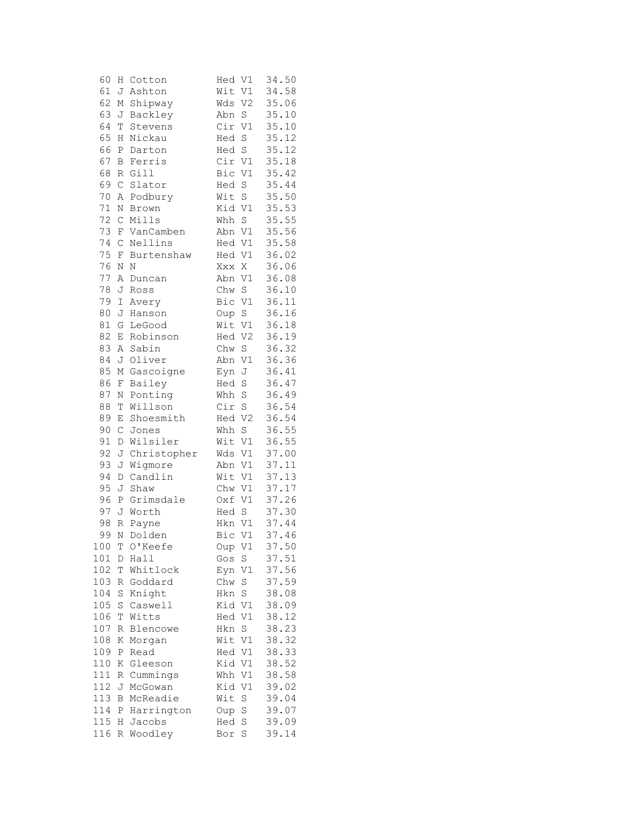| 60     | Η            | Cotton      | V1<br>Hed             | 34.50 |
|--------|--------------|-------------|-----------------------|-------|
| 61     | J            | Ashton      | Wit<br>V1             | 34.58 |
| 62     | М            | Shipway     | Wds<br>V <sub>2</sub> | 35.06 |
| 63     | J            | Backley     | Abn<br>$\rm S$        | 35.10 |
| 64     | T            | Stevens     | Cir<br>V1             | 35.10 |
| 65     | Η            | Nickau      | S<br>Hed              | 35.12 |
| 66     | $\mathbf P$  | Darton      | S<br>Hed              | 35.12 |
| 67     | В            | Ferris      | Cir V1                | 35.18 |
| 68     | R            | Gill        | V1<br>Bic             | 35.42 |
| 69     | $\mathsf C$  | Slator      | S<br>Hed              | 35.44 |
| 70     | Α            | Podbury     | S<br>Wit              | 35.50 |
| 71     | Ν            | Brown       | Kid V1                | 35.53 |
| 72     | $\mathsf C$  | Mills       | S<br>Whh              | 35.55 |
| 73     | $\rm F$      | VanCamben   | $\mathtt{V}1$<br>Abn  | 35.56 |
| 74     | $\mathsf C$  | Nellins     | Hed V1                | 35.58 |
| 75     | F            | Burtenshaw  | Hed V1                | 36.02 |
| 76     | $\mathbb N$  | Ν           | X<br>Xxx              | 36.06 |
| 77     | Α            |             | $\mathtt{V1}$<br>Abn  | 36.08 |
| 78     |              | Duncan      | S                     | 36.10 |
| 79     | J            | Ross        | Chw                   |       |
|        | Ι            | Avery       | Bic<br>$\mathtt{V1}$  | 36.11 |
| 80     | J            | Hanson      | Oup<br>$\rm S$        | 36.16 |
| $8\,1$ | G            | LeGood      | Wit<br>V1             | 36.18 |
| 82     | Ε            | Robinson    | V2<br>Hed             | 36.19 |
| 83     | Α            | Sabin       | Chw<br>S              | 36.32 |
| 84     | J            | Oliver      | Abn<br>V1             | 36.36 |
| 85     | М            | Gascoigne   | J<br>Eyn              | 36.41 |
| 86     | F            | Bailey      | $\rm S$<br>Hed        | 36.47 |
| 87     | Ν            | Ponting     | $\rm S$<br>Whh        | 36.49 |
| 88     | T            | Willson     | Cir<br>S              | 36.54 |
| 89     | Ε            | Shoesmith   | V <sub>2</sub><br>Hed | 36.54 |
| 90     | $\mathsf C$  | Jones       | Whh<br>$\rm S$        | 36.55 |
| 91     | $\mathbb D$  | Wilsiler    | Wit<br>V1             | 36.55 |
| 92     | J            | Christopher | Wds<br>V1             | 37.00 |
| 93     | J            | Wigmore     | Abn<br>V1             | 37.11 |
| 94     | D            | Candlin     | V1<br>Wit             | 37.13 |
| 95     | J            | Shaw        | V1<br>Chw             | 37.17 |
| 96     | $\, {\bf P}$ | Grimsdale   | V1<br>Oxf             | 37.26 |
| 97     | J            | Worth       | S<br>Hed              | 37.30 |
| 98     | R            | Payne       | V1<br>Hkn             | 37.44 |
| 99     |              | N Dolden    | Bic V1                | 37.46 |
| 100    | Τ            | O'Keefe     | V1<br>Oup             | 37.50 |
| 101    | D            | Hall        | S<br>Gos              | 37.51 |
| 102    | Τ            | Whitlock    | V1<br>Eyn             | 37.56 |
| 103    | R            | Goddard     | Chw<br>S              | 37.59 |
| 104    | S            | Knight      | S<br>Hkn              | 38.08 |
| 105    | S            | Caswell     | Kid<br>V1             | 38.09 |
| 106    | Τ            | Witts       | V1<br>Hed             | 38.12 |
| 107    | R            | Blencowe    | S<br>Hkn              | 38.23 |
| 108    | Κ            | Morgan      | Wit<br>V1             | 38.32 |
| 109    | Ρ            | Read        | V1<br>Hed             | 38.33 |
| 110    | Κ            | Gleeson     | Kid<br>V1             | 38.52 |
| 111    | R            | Cummings    | V1<br>Whh             | 38.58 |
| 112    | J            | McGowan     | Kid<br>$\rm V1$       | 39.02 |
| 113    | В            | McReadie    | S<br>Wit              | 39.04 |
| 114    |              | Harrington  | S                     | 39.07 |
|        | P            |             | Oup                   |       |
| 115    | Η            | Jacobs      | Hed<br>S<br>S         | 39.09 |
| 116    | R            | Woodley     | Bor                   | 39.14 |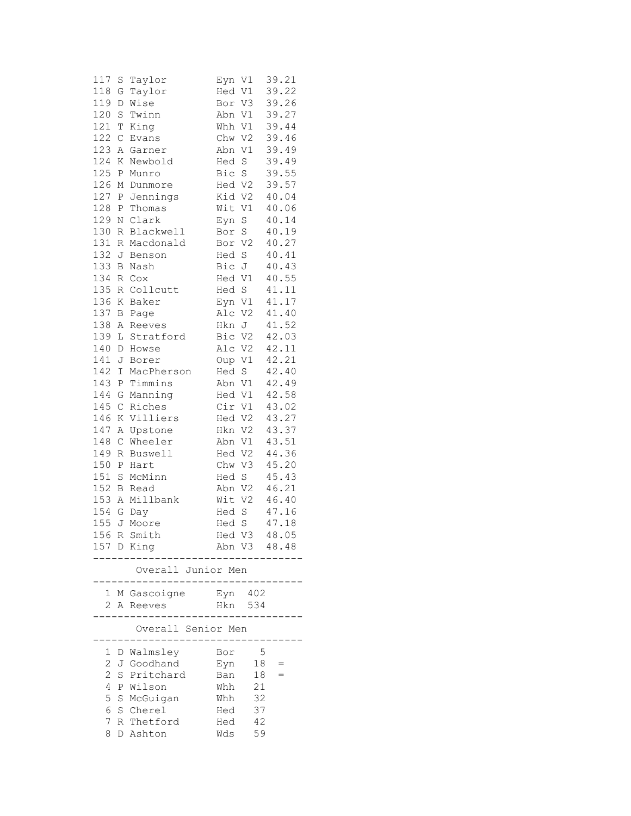| 117            | S            | Taylor             | Eyn V1 |                 | 39.21 |
|----------------|--------------|--------------------|--------|-----------------|-------|
| 118            | G            | Taylor             | Hed V1 |                 | 39.22 |
| 119            | D            | Wise               | Bor V3 |                 | 39.26 |
| 120            | S            | Twinn              | Abn V1 |                 | 39.27 |
| 121            | T            | King               | Whh V1 |                 | 39.44 |
| 122            | C            | Evans              | Chw V2 |                 | 39.46 |
| 123            | Α            | Garner             | Abn V1 |                 | 39.49 |
| 124            | Κ            | Newbold            | Hed    | $\rm S$         | 39.49 |
| 125            | Ρ            | Munro              | Bic S  |                 | 39.55 |
| 126            | М            | Dunmore            | Hed V2 |                 | 39.57 |
| 127            | Ρ            | Jennings           | Kid V2 |                 | 40.04 |
| 128            | Ρ            | Thomas             | Wit V1 |                 | 40.06 |
| 129            | Ν            | Clark              | Eyn S  |                 | 40.14 |
| 130            | R            | Blackwell          | Bor S  |                 | 40.19 |
| 131            | R            | Macdonald          | Bor    | V <sub>2</sub>  | 40.27 |
| 132            | J            | Benson             | Hed    | $S_{\parallel}$ | 40.41 |
| 133            | B            | Nash               | Bic J  |                 | 40.43 |
| 134            | R            | C <sub>O</sub>     | Hed V1 |                 | 40.55 |
| 135            | R            | Collcutt           | Hed S  |                 | 41.11 |
| 136            | Κ            | Baker              | Eyn V1 |                 | 41.17 |
| 137            | В            | Page               | Alc    | V2              | 41.40 |
| 138            | Α            | Reeves             | Hkn J  |                 | 41.52 |
| 139            | L            | Stratford          | Bic V2 |                 | 42.03 |
| 140            | D            | Howse              | Alc V2 |                 | 42.11 |
| 141            | J            | Borer              | Oup V1 |                 | 42.21 |
| 142            | I            | MacPherson         | Hed S  |                 | 42.40 |
| 143            | Ρ            | Timmins            | Abn V1 |                 | 42.49 |
| 144            | G            | Manning            | Hed V1 |                 | 42.58 |
| 145            | $\mathsf C$  | Riches             | Cir V1 |                 | 43.02 |
| 146            | Κ            | Villiers           | Hed V2 |                 | 43.27 |
| 147            | Α            | Upstone            | Hkn V2 |                 | 43.37 |
| 148            | $\mathsf C$  | Wheeler            | Abn V1 |                 | 43.51 |
| 149            | R            | Buswell            | Hed V2 |                 | 44.36 |
| 150            | $\, {\bf P}$ | Hart               | Chw V3 |                 | 45.20 |
| 151            | S            | McMinn             | Hed S  |                 | 45.43 |
| 152            | В            | Read               | Abn V2 |                 | 46.21 |
| 153            | Α            | Millbank           | Wit    | V <sub>2</sub>  | 46.40 |
| 154            | G            | Day                | Hed    | $\rm S$         | 47.16 |
| 155            | J            | Moore              | Hed    | S               | 47.18 |
|                |              | 156 R Smith        | Hed V3 |                 | 48.05 |
|                |              | 157 D King         |        | Abn V3 48.48    |       |
|                |              |                    |        |                 |       |
|                |              | Overall Junior Men |        |                 |       |
| $\mathbf{1}$   |              | M Gascoigne        |        | $Eyn$ 402       |       |
| $\mathbf{2}^-$ |              | A Reeves           | Hkn    | 534             |       |
|                |              |                    |        |                 |       |
|                |              | Overall Senior Men |        |                 |       |
| 1              | D            | Walmsley           | Bor    | 5               |       |
| 2              |              | J Goodhand         | Eyn    | 18              |       |
| $\overline{2}$ |              | S Pritchard        | Ban    | 18              |       |
| 4              |              | P Wilson           | Whh    | 21              |       |
| 5              | S            | McGuigan           | Whh    | 32              |       |
| 6              |              | S Cherel           | Hed    | 37              |       |
| 7              |              | R Thetford         | Hed    | 42              |       |
| 8              |              | D Ashton           | Wds    | 59              |       |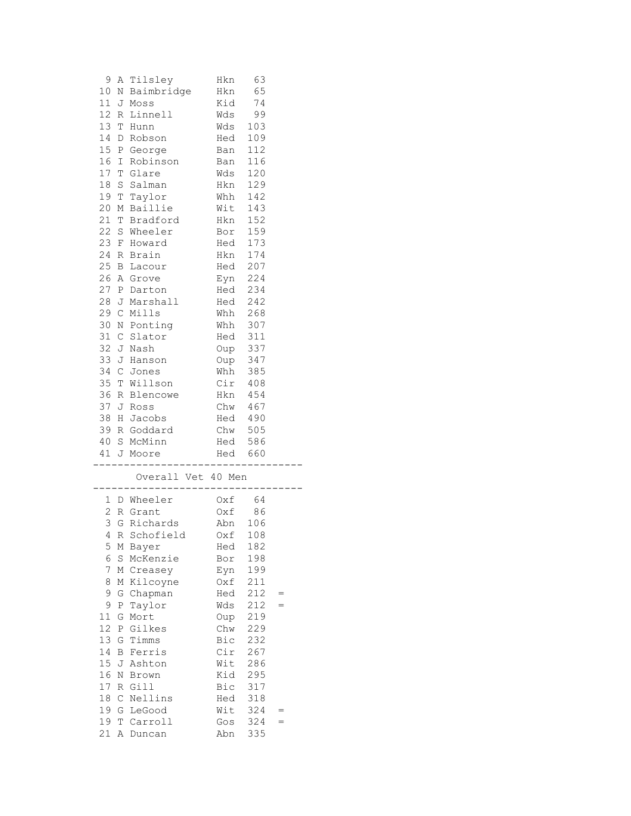| 9               |              | A Tilsley             | Hkn        | 63  |     |  |
|-----------------|--------------|-----------------------|------------|-----|-----|--|
| 10 <sub>o</sub> |              | N Baimbridge          | Hkn        | 65  |     |  |
| 11              | J            | Moss                  | Kid        | 74  |     |  |
|                 |              | 12 R Linnell          | Wds        | 99  |     |  |
| 13 T            |              | Hunn                  | Wds        | 103 |     |  |
| 14              |              | D Robson              | Hed        | 109 |     |  |
|                 |              | 15 P George           | Ban        | 112 |     |  |
| 16              | $\mathbf{I}$ | Robinson              | Ban        | 116 |     |  |
|                 |              | 17 T Glare            | Wds        | 120 |     |  |
|                 |              | 18 S Salman           | Hkn        | 129 |     |  |
|                 |              | 19 T Taylor           | Whh        | 142 |     |  |
| 20              |              | M Baillie             | Wit        | 143 |     |  |
| 21              |              | T Bradford            | Hkn        | 152 |     |  |
|                 |              | 22 S Wheeler          | Bor        | 159 |     |  |
|                 |              | 23 F Howard           | Hed        | 173 |     |  |
|                 |              | 24 R Brain            | Hkn        | 174 |     |  |
|                 |              | 25 B Lacour           | Hed 207    |     |     |  |
| 26              |              | A Grove               | Eyn 224    |     |     |  |
|                 |              | 27 P Darton           | Hed        | 234 |     |  |
| 28              |              | J Marshall            | Hed        | 242 |     |  |
| 29 C            |              | Mills                 | Whh        | 268 |     |  |
| 30              |              | N Ponting             | Whh        | 307 |     |  |
|                 |              | 31 C Slator           | Hed        | 311 |     |  |
|                 |              | 32 J Nash             | Oup        | 337 |     |  |
|                 |              | 33 J Hanson           | Oup        | 347 |     |  |
|                 |              | 34 C Jones            | Whh        | 385 |     |  |
|                 |              | 35 T Willson          | Cir        | 408 |     |  |
| 36              |              | R Blencowe            | Hkn 454    |     |     |  |
|                 |              | 37 J Ross             | Chw $467$  |     |     |  |
| 38              |              | H Jacobs              | Hed 490    |     |     |  |
|                 |              | 39 R Goddard          | Chw 505    |     |     |  |
|                 |              | 40 S McMinn           | Hed 586    |     |     |  |
|                 |              | 41 J Moore            | Hed 660    |     |     |  |
|                 |              | Overall Vet 40 Men    |            |     |     |  |
|                 |              |                       | ---------- |     |     |  |
|                 |              | 1 D Wheeler           | Oxf 64     |     |     |  |
| $\mathbf{2}$    |              | R Grant               | Oxf        | 86  |     |  |
| 3               |              | G Richards            | Abn 106    |     |     |  |
|                 |              | 4 R Schofield 0xf 108 |            |     |     |  |
| 5               | М            | Bayer                 | Hed        | 182 |     |  |
| 6               | $\rm S$      | McKenzie              | Bor        | 198 |     |  |
| 7               | М            | Creasey               | Eyn        | 199 |     |  |
| 8               | $\mathbb M$  | Kilcoyne              | Oxf        | 211 |     |  |
| 9               | G            | Chapman               | Hed        | 212 | $=$ |  |
| 9               | Ρ            | Taylor                | Wds        | 212 |     |  |
| 11              | G            | Mort                  | Oup        | 219 |     |  |
| 12              | Ρ            | Gilkes                | Chw        | 229 |     |  |
| 13              | G            | Timms                 | Bic        | 232 |     |  |
| 14              | В            | Ferris                | Cir        | 267 |     |  |
| 15              | J            | Ashton                | Wit        | 286 |     |  |
| 16              | Ν            | Brown                 | Kid        | 295 |     |  |
| 17              | R            | Gill                  | Bic        | 317 |     |  |
| 18              | $\mathsf C$  | Nellins               | Hed        | 318 |     |  |
| 19              | G            | LeGood                | Wit        | 324 | =   |  |
| 19              | Т            | Carroll               | Gos        | 324 | $=$ |  |
| 21              | А            | Duncan                | Abn        | 335 |     |  |